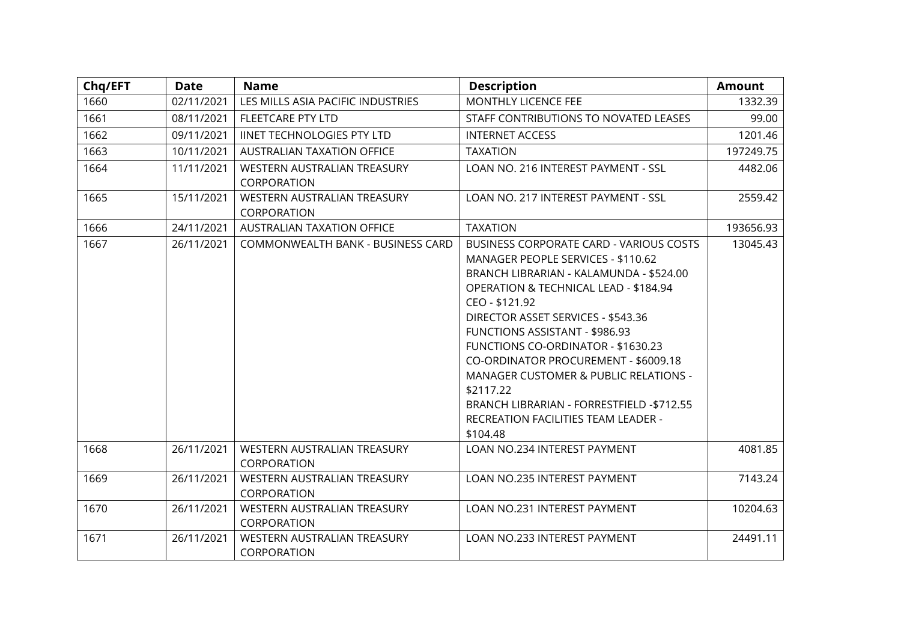| Chq/EFT | <b>Date</b> | <b>Name</b>                                | <b>Description</b>                                                                                                                                                                                                                                                                                                                                                                                                                                                                                      | <b>Amount</b> |
|---------|-------------|--------------------------------------------|---------------------------------------------------------------------------------------------------------------------------------------------------------------------------------------------------------------------------------------------------------------------------------------------------------------------------------------------------------------------------------------------------------------------------------------------------------------------------------------------------------|---------------|
| 1660    | 02/11/2021  | LES MILLS ASIA PACIFIC INDUSTRIES          | MONTHLY LICENCE FEE                                                                                                                                                                                                                                                                                                                                                                                                                                                                                     | 1332.39       |
| 1661    | 08/11/2021  | <b>FLEETCARE PTY LTD</b>                   | STAFF CONTRIBUTIONS TO NOVATED LEASES                                                                                                                                                                                                                                                                                                                                                                                                                                                                   | 99.00         |
| 1662    | 09/11/2021  | <b>IINET TECHNOLOGIES PTY LTD</b>          | <b>INTERNET ACCESS</b>                                                                                                                                                                                                                                                                                                                                                                                                                                                                                  | 1201.46       |
| 1663    | 10/11/2021  | AUSTRALIAN TAXATION OFFICE                 | <b>TAXATION</b>                                                                                                                                                                                                                                                                                                                                                                                                                                                                                         | 197249.75     |
| 1664    | 11/11/2021  | WESTERN AUSTRALIAN TREASURY<br>CORPORATION | LOAN NO. 216 INTEREST PAYMENT - SSL                                                                                                                                                                                                                                                                                                                                                                                                                                                                     | 4482.06       |
| 1665    | 15/11/2021  | WESTERN AUSTRALIAN TREASURY<br>CORPORATION | LOAN NO. 217 INTEREST PAYMENT - SSL                                                                                                                                                                                                                                                                                                                                                                                                                                                                     | 2559.42       |
| 1666    | 24/11/2021  | AUSTRALIAN TAXATION OFFICE                 | <b>TAXATION</b>                                                                                                                                                                                                                                                                                                                                                                                                                                                                                         | 193656.93     |
| 1667    | 26/11/2021  | COMMONWEALTH BANK - BUSINESS CARD          | <b>BUSINESS CORPORATE CARD - VARIOUS COSTS</b><br>MANAGER PEOPLE SERVICES - \$110.62<br>BRANCH LIBRARIAN - KALAMUNDA - \$524.00<br>OPERATION & TECHNICAL LEAD - \$184.94<br>CEO - \$121.92<br>DIRECTOR ASSET SERVICES - \$543.36<br>FUNCTIONS ASSISTANT - \$986.93<br>FUNCTIONS CO-ORDINATOR - \$1630.23<br>CO-ORDINATOR PROCUREMENT - \$6009.18<br>MANAGER CUSTOMER & PUBLIC RELATIONS -<br>\$2117.22<br>BRANCH LIBRARIAN - FORRESTFIELD - \$712.55<br>RECREATION FACILITIES TEAM LEADER -<br>\$104.48 | 13045.43      |
| 1668    | 26/11/2021  | WESTERN AUSTRALIAN TREASURY<br>CORPORATION | LOAN NO.234 INTEREST PAYMENT                                                                                                                                                                                                                                                                                                                                                                                                                                                                            | 4081.85       |
| 1669    | 26/11/2021  | WESTERN AUSTRALIAN TREASURY<br>CORPORATION | <b>LOAN NO.235 INTEREST PAYMENT</b>                                                                                                                                                                                                                                                                                                                                                                                                                                                                     | 7143.24       |
| 1670    | 26/11/2021  | WESTERN AUSTRALIAN TREASURY<br>CORPORATION | LOAN NO.231 INTEREST PAYMENT                                                                                                                                                                                                                                                                                                                                                                                                                                                                            | 10204.63      |
| 1671    | 26/11/2021  | WESTERN AUSTRALIAN TREASURY<br>CORPORATION | <b>LOAN NO.233 INTEREST PAYMENT</b>                                                                                                                                                                                                                                                                                                                                                                                                                                                                     | 24491.11      |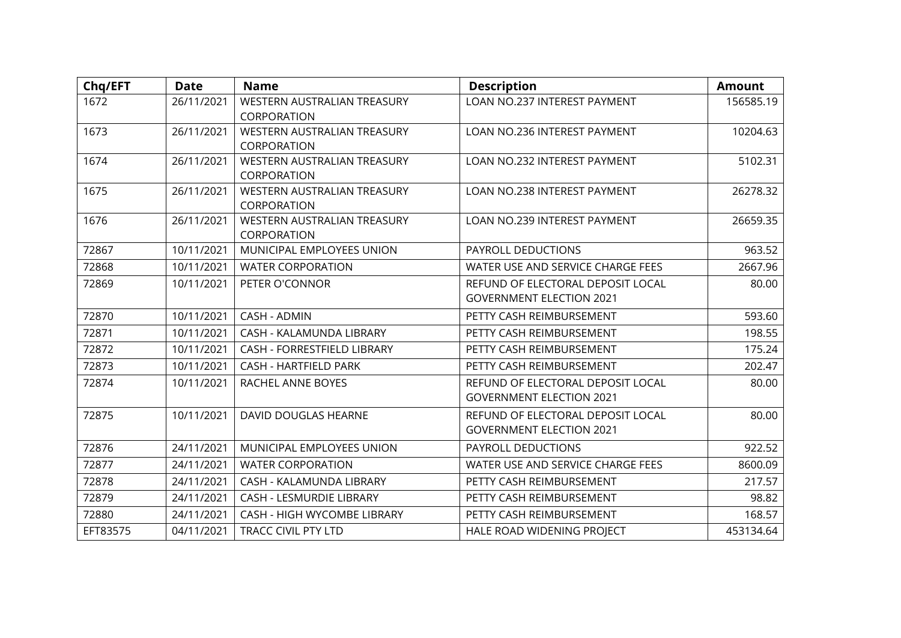| Chq/EFT  | <b>Date</b> | <b>Name</b>                        | <b>Description</b>                | <b>Amount</b> |
|----------|-------------|------------------------------------|-----------------------------------|---------------|
| 1672     | 26/11/2021  | WESTERN AUSTRALIAN TREASURY        | LOAN NO.237 INTEREST PAYMENT      | 156585.19     |
|          |             | CORPORATION                        |                                   |               |
| 1673     | 26/11/2021  | WESTERN AUSTRALIAN TREASURY        | LOAN NO.236 INTEREST PAYMENT      | 10204.63      |
|          |             | CORPORATION                        |                                   |               |
| 1674     | 26/11/2021  | <b>WESTERN AUSTRALIAN TREASURY</b> | LOAN NO.232 INTEREST PAYMENT      | 5102.31       |
|          |             | CORPORATION                        |                                   |               |
| 1675     | 26/11/2021  | WESTERN AUSTRALIAN TREASURY        | LOAN NO.238 INTEREST PAYMENT      | 26278.32      |
|          |             | CORPORATION                        |                                   |               |
| 1676     | 26/11/2021  | WESTERN AUSTRALIAN TREASURY        | LOAN NO.239 INTEREST PAYMENT      | 26659.35      |
|          |             | CORPORATION                        |                                   |               |
| 72867    | 10/11/2021  | MUNICIPAL EMPLOYEES UNION          | PAYROLL DEDUCTIONS                | 963.52        |
| 72868    | 10/11/2021  | <b>WATER CORPORATION</b>           | WATER USE AND SERVICE CHARGE FEES | 2667.96       |
| 72869    | 10/11/2021  | PETER O'CONNOR                     | REFUND OF ELECTORAL DEPOSIT LOCAL | 80.00         |
|          |             |                                    | <b>GOVERNMENT ELECTION 2021</b>   |               |
| 72870    | 10/11/2021  | <b>CASH - ADMIN</b>                | PETTY CASH REIMBURSEMENT          | 593.60        |
| 72871    | 10/11/2021  | CASH - KALAMUNDA LIBRARY           | PETTY CASH REIMBURSEMENT          | 198.55        |
| 72872    | 10/11/2021  | CASH - FORRESTFIELD LIBRARY        | PETTY CASH REIMBURSEMENT          | 175.24        |
| 72873    | 10/11/2021  | <b>CASH - HARTFIELD PARK</b>       | PETTY CASH REIMBURSEMENT          | 202.47        |
| 72874    | 10/11/2021  | RACHEL ANNE BOYES                  | REFUND OF ELECTORAL DEPOSIT LOCAL | 80.00         |
|          |             |                                    | <b>GOVERNMENT ELECTION 2021</b>   |               |
| 72875    | 10/11/2021  | DAVID DOUGLAS HEARNE               | REFUND OF ELECTORAL DEPOSIT LOCAL | 80.00         |
|          |             |                                    | <b>GOVERNMENT ELECTION 2021</b>   |               |
| 72876    | 24/11/2021  | MUNICIPAL EMPLOYEES UNION          | PAYROLL DEDUCTIONS                | 922.52        |
| 72877    | 24/11/2021  | <b>WATER CORPORATION</b>           | WATER USE AND SERVICE CHARGE FEES | 8600.09       |
| 72878    | 24/11/2021  | CASH - KALAMUNDA LIBRARY           | PETTY CASH REIMBURSEMENT          | 217.57        |
| 72879    | 24/11/2021  | CASH - LESMURDIE LIBRARY           | PETTY CASH REIMBURSEMENT          | 98.82         |
| 72880    | 24/11/2021  | CASH - HIGH WYCOMBE LIBRARY        | PETTY CASH REIMBURSEMENT          | 168.57        |
| EFT83575 | 04/11/2021  | <b>TRACC CIVIL PTY LTD</b>         | HALE ROAD WIDENING PROJECT        | 453134.64     |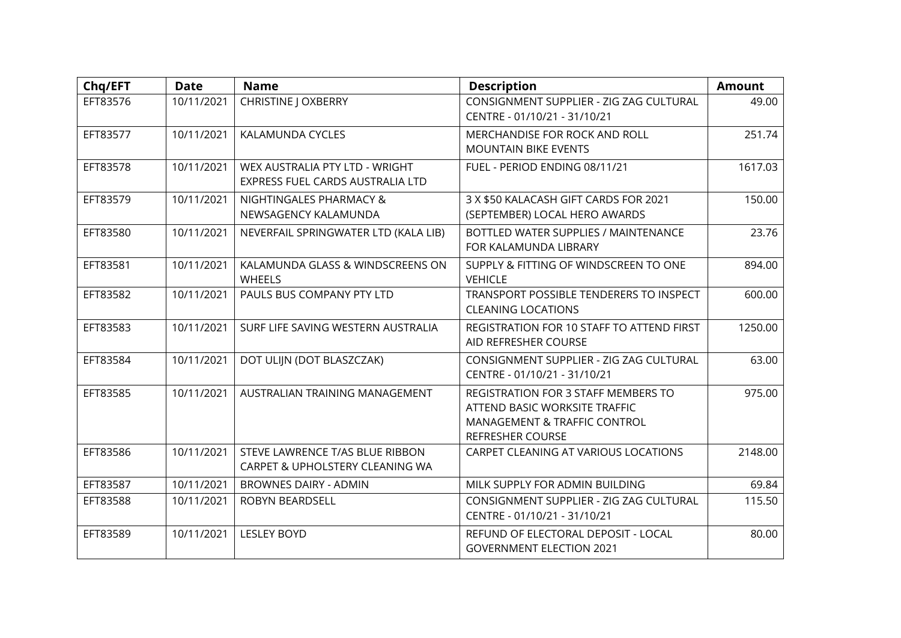| Chq/EFT  | <b>Date</b> | <b>Name</b>                                                        | <b>Description</b>                                                                                                              | <b>Amount</b> |
|----------|-------------|--------------------------------------------------------------------|---------------------------------------------------------------------------------------------------------------------------------|---------------|
| EFT83576 | 10/11/2021  | <b>CHRISTINE J OXBERRY</b>                                         | CONSIGNMENT SUPPLIER - ZIG ZAG CULTURAL<br>CENTRE - 01/10/21 - 31/10/21                                                         | 49.00         |
| EFT83577 | 10/11/2021  | KALAMUNDA CYCLES                                                   | MERCHANDISE FOR ROCK AND ROLL<br><b>MOUNTAIN BIKE EVENTS</b>                                                                    | 251.74        |
| EFT83578 | 10/11/2021  | WEX AUSTRALIA PTY LTD - WRIGHT<br>EXPRESS FUEL CARDS AUSTRALIA LTD | FUEL - PERIOD ENDING 08/11/21                                                                                                   | 1617.03       |
| EFT83579 | 10/11/2021  | NIGHTINGALES PHARMACY &<br>NEWSAGENCY KALAMUNDA                    | 3 X \$50 KALACASH GIFT CARDS FOR 2021<br>(SEPTEMBER) LOCAL HERO AWARDS                                                          | 150.00        |
| EFT83580 | 10/11/2021  | NEVERFAIL SPRINGWATER LTD (KALA LIB)                               | <b>BOTTLED WATER SUPPLIES / MAINTENANCE</b><br>FOR KALAMUNDA LIBRARY                                                            | 23.76         |
| EFT83581 | 10/11/2021  | KALAMUNDA GLASS & WINDSCREENS ON<br><b>WHEELS</b>                  | SUPPLY & FITTING OF WINDSCREEN TO ONE<br><b>VEHICLE</b>                                                                         | 894.00        |
| EFT83582 | 10/11/2021  | PAULS BUS COMPANY PTY LTD                                          | TRANSPORT POSSIBLE TENDERERS TO INSPECT<br><b>CLEANING LOCATIONS</b>                                                            | 600.00        |
| EFT83583 | 10/11/2021  | SURF LIFE SAVING WESTERN AUSTRALIA                                 | REGISTRATION FOR 10 STAFF TO ATTEND FIRST<br>AID REFRESHER COURSE                                                               | 1250.00       |
| EFT83584 | 10/11/2021  | DOT ULIJN (DOT BLASZCZAK)                                          | CONSIGNMENT SUPPLIER - ZIG ZAG CULTURAL<br>CENTRE - 01/10/21 - 31/10/21                                                         | 63.00         |
| EFT83585 | 10/11/2021  | AUSTRALIAN TRAINING MANAGEMENT                                     | REGISTRATION FOR 3 STAFF MEMBERS TO<br>ATTEND BASIC WORKSITE TRAFFIC<br>MANAGEMENT & TRAFFIC CONTROL<br><b>REFRESHER COURSE</b> | 975.00        |
| EFT83586 | 10/11/2021  | STEVE LAWRENCE T/AS BLUE RIBBON<br>CARPET & UPHOLSTERY CLEANING WA | CARPET CLEANING AT VARIOUS LOCATIONS                                                                                            | 2148.00       |
| EFT83587 | 10/11/2021  | <b>BROWNES DAIRY - ADMIN</b>                                       | MILK SUPPLY FOR ADMIN BUILDING                                                                                                  | 69.84         |
| EFT83588 | 10/11/2021  | ROBYN BEARDSELL                                                    | CONSIGNMENT SUPPLIER - ZIG ZAG CULTURAL<br>CENTRE - 01/10/21 - 31/10/21                                                         | 115.50        |
| EFT83589 | 10/11/2021  | <b>LESLEY BOYD</b>                                                 | REFUND OF ELECTORAL DEPOSIT - LOCAL<br><b>GOVERNMENT ELECTION 2021</b>                                                          | 80.00         |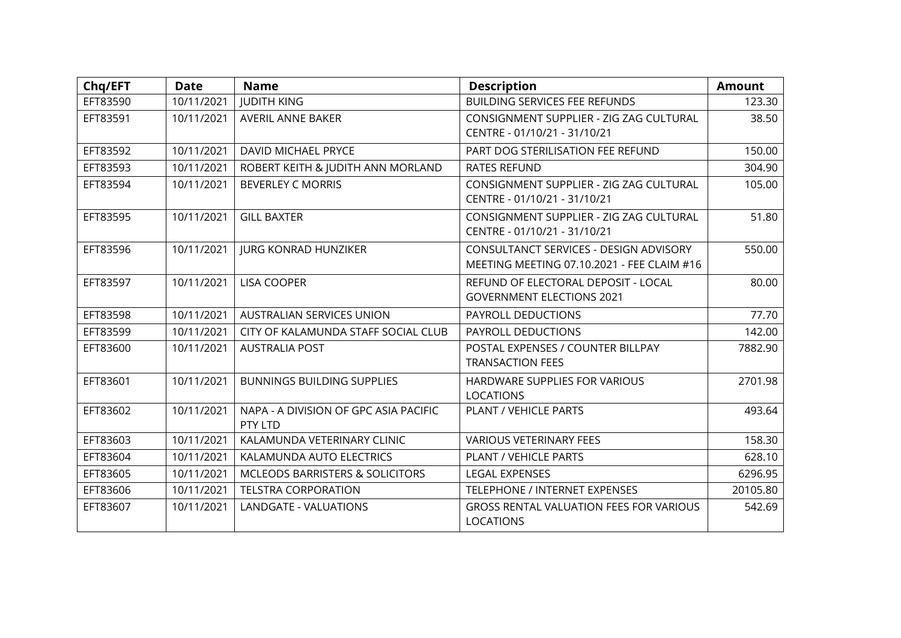| Chq/EFT  | <b>Date</b> | <b>Name</b>                                      | <b>Description</b>                                                                   | <b>Amount</b> |
|----------|-------------|--------------------------------------------------|--------------------------------------------------------------------------------------|---------------|
| EFT83590 | 10/11/2021  | <b>JUDITH KING</b>                               | <b>BUILDING SERVICES FEE REFUNDS</b>                                                 | 123.30        |
| EFT83591 | 10/11/2021  | AVERIL ANNE BAKER                                | CONSIGNMENT SUPPLIER - ZIG ZAG CULTURAL<br>CENTRE - 01/10/21 - 31/10/21              | 38.50         |
| EFT83592 | 10/11/2021  | <b>DAVID MICHAEL PRYCE</b>                       | PART DOG STERILISATION FEE REFUND                                                    | 150.00        |
| EFT83593 | 10/11/2021  | ROBERT KEITH & JUDITH ANN MORLAND                | <b>RATES REFUND</b>                                                                  | 304.90        |
| EFT83594 | 10/11/2021  | <b>BEVERLEY C MORRIS</b>                         | CONSIGNMENT SUPPLIER - ZIG ZAG CULTURAL<br>CENTRE - 01/10/21 - 31/10/21              | 105.00        |
| EFT83595 | 10/11/2021  | <b>GILL BAXTER</b>                               | CONSIGNMENT SUPPLIER - ZIG ZAG CULTURAL<br>CENTRE - 01/10/21 - 31/10/21              | 51.80         |
| EFT83596 | 10/11/2021  | <b>IURG KONRAD HUNZIKER</b>                      | CONSULTANCT SERVICES - DESIGN ADVISORY<br>MEETING MEETING 07.10.2021 - FEE CLAIM #16 | 550.00        |
| EFT83597 | 10/11/2021  | <b>LISA COOPER</b>                               | REFUND OF ELECTORAL DEPOSIT - LOCAL<br><b>GOVERNMENT ELECTIONS 2021</b>              | 80.00         |
| EFT83598 | 10/11/2021  | <b>AUSTRALIAN SERVICES UNION</b>                 | PAYROLL DEDUCTIONS                                                                   | 77.70         |
| EFT83599 | 10/11/2021  | CITY OF KALAMUNDA STAFF SOCIAL CLUB              | PAYROLL DEDUCTIONS                                                                   | 142.00        |
| EFT83600 | 10/11/2021  | <b>AUSTRALIA POST</b>                            | POSTAL EXPENSES / COUNTER BILLPAY<br><b>TRANSACTION FEES</b>                         | 7882.90       |
| EFT83601 | 10/11/2021  | <b>BUNNINGS BUILDING SUPPLIES</b>                | HARDWARE SUPPLIES FOR VARIOUS<br><b>LOCATIONS</b>                                    | 2701.98       |
| EFT83602 | 10/11/2021  | NAPA - A DIVISION OF GPC ASIA PACIFIC<br>PTY LTD | PLANT / VEHICLE PARTS                                                                | 493.64        |
| EFT83603 | 10/11/2021  | KALAMUNDA VETERINARY CLINIC                      | <b>VARIOUS VETERINARY FEES</b>                                                       | 158.30        |
| EFT83604 | 10/11/2021  | KALAMUNDA AUTO ELECTRICS                         | <b>PLANT / VEHICLE PARTS</b>                                                         | 628.10        |
| EFT83605 | 10/11/2021  | MCLEODS BARRISTERS & SOLICITORS                  | <b>LEGAL EXPENSES</b>                                                                | 6296.95       |
| EFT83606 | 10/11/2021  | <b>TELSTRA CORPORATION</b>                       | TELEPHONE / INTERNET EXPENSES                                                        | 20105.80      |
| EFT83607 | 10/11/2021  | <b>LANDGATE - VALUATIONS</b>                     | <b>GROSS RENTAL VALUATION FEES FOR VARIOUS</b><br><b>LOCATIONS</b>                   | 542.69        |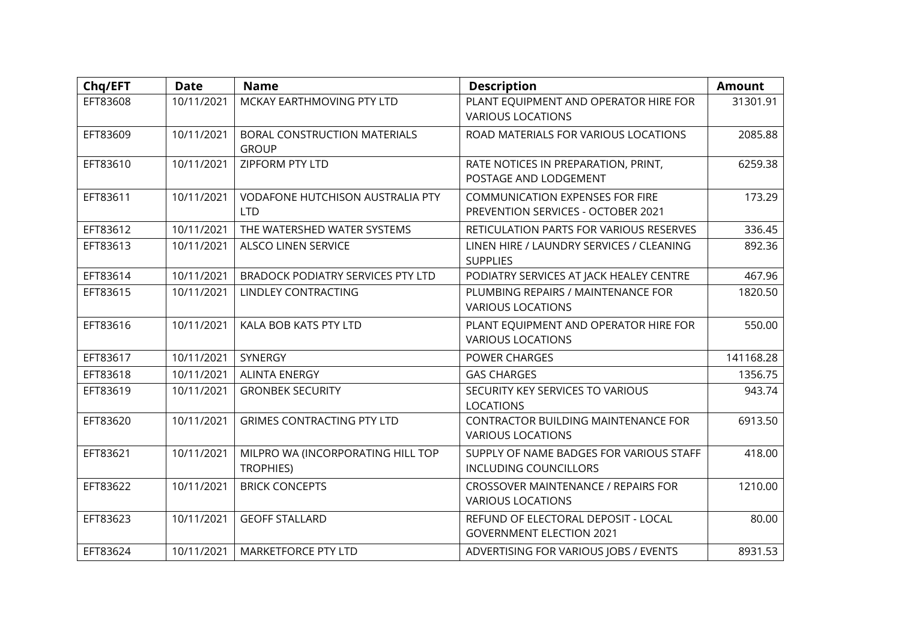| Chq/EFT  | <b>Date</b> | <b>Name</b>                                           | <b>Description</b>                                                           | <b>Amount</b> |
|----------|-------------|-------------------------------------------------------|------------------------------------------------------------------------------|---------------|
| EFT83608 | 10/11/2021  | MCKAY EARTHMOVING PTY LTD                             | PLANT EQUIPMENT AND OPERATOR HIRE FOR<br><b>VARIOUS LOCATIONS</b>            | 31301.91      |
| EFT83609 | 10/11/2021  | <b>BORAL CONSTRUCTION MATERIALS</b><br><b>GROUP</b>   | ROAD MATERIALS FOR VARIOUS LOCATIONS                                         | 2085.88       |
| EFT83610 | 10/11/2021  | ZIPFORM PTY LTD                                       | RATE NOTICES IN PREPARATION, PRINT,<br>POSTAGE AND LODGEMENT                 | 6259.38       |
| EFT83611 | 10/11/2021  | <b>VODAFONE HUTCHISON AUSTRALIA PTY</b><br><b>LTD</b> | <b>COMMUNICATION EXPENSES FOR FIRE</b><br>PREVENTION SERVICES - OCTOBER 2021 | 173.29        |
| EFT83612 | 10/11/2021  | THE WATERSHED WATER SYSTEMS                           | RETICULATION PARTS FOR VARIOUS RESERVES                                      | 336.45        |
| EFT83613 | 10/11/2021  | <b>ALSCO LINEN SERVICE</b>                            | LINEN HIRE / LAUNDRY SERVICES / CLEANING<br><b>SUPPLIES</b>                  | 892.36        |
| EFT83614 | 10/11/2021  | <b>BRADOCK PODIATRY SERVICES PTY LTD</b>              | PODIATRY SERVICES AT JACK HEALEY CENTRE                                      | 467.96        |
| EFT83615 | 10/11/2021  | LINDLEY CONTRACTING                                   | PLUMBING REPAIRS / MAINTENANCE FOR<br><b>VARIOUS LOCATIONS</b>               | 1820.50       |
| EFT83616 | 10/11/2021  | KALA BOB KATS PTY LTD                                 | PLANT EQUIPMENT AND OPERATOR HIRE FOR<br><b>VARIOUS LOCATIONS</b>            | 550.00        |
| EFT83617 | 10/11/2021  | SYNERGY                                               | POWER CHARGES                                                                | 141168.28     |
| EFT83618 | 10/11/2021  | <b>ALINTA ENERGY</b>                                  | <b>GAS CHARGES</b>                                                           | 1356.75       |
| EFT83619 | 10/11/2021  | <b>GRONBEK SECURITY</b>                               | SECURITY KEY SERVICES TO VARIOUS<br><b>LOCATIONS</b>                         | 943.74        |
| EFT83620 | 10/11/2021  | <b>GRIMES CONTRACTING PTY LTD</b>                     | CONTRACTOR BUILDING MAINTENANCE FOR<br><b>VARIOUS LOCATIONS</b>              | 6913.50       |
| EFT83621 | 10/11/2021  | MILPRO WA (INCORPORATING HILL TOP<br><b>TROPHIES)</b> | SUPPLY OF NAME BADGES FOR VARIOUS STAFF<br><b>INCLUDING COUNCILLORS</b>      | 418.00        |
| EFT83622 | 10/11/2021  | <b>BRICK CONCEPTS</b>                                 | <b>CROSSOVER MAINTENANCE / REPAIRS FOR</b><br><b>VARIOUS LOCATIONS</b>       | 1210.00       |
| EFT83623 | 10/11/2021  | <b>GEOFF STALLARD</b>                                 | REFUND OF ELECTORAL DEPOSIT - LOCAL<br><b>GOVERNMENT ELECTION 2021</b>       | 80.00         |
| EFT83624 | 10/11/2021  | <b>MARKETFORCE PTY LTD</b>                            | ADVERTISING FOR VARIOUS JOBS / EVENTS                                        | 8931.53       |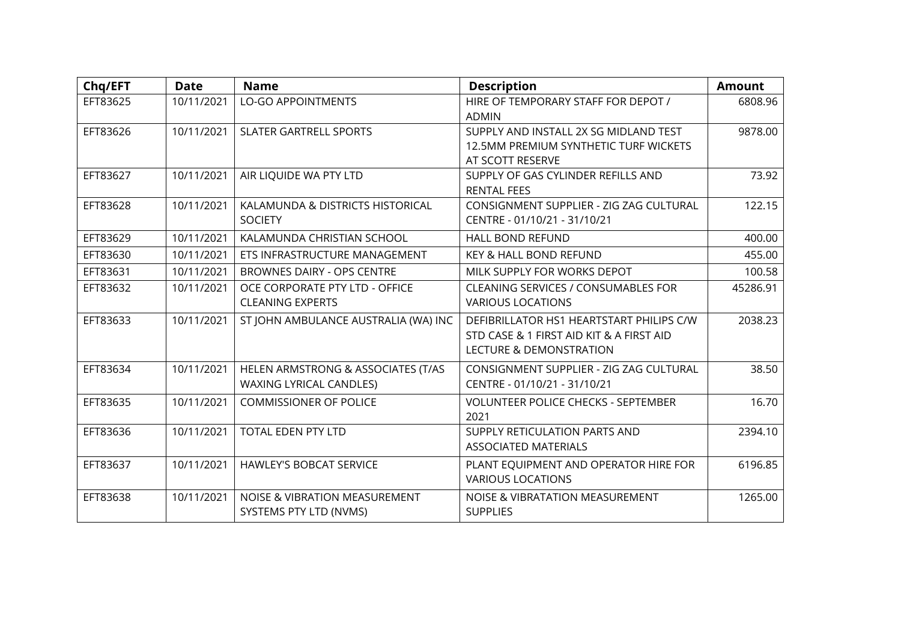| Chq/EFT  | <b>Date</b> | <b>Name</b>                                                   | <b>Description</b>                                                                                                         | <b>Amount</b> |
|----------|-------------|---------------------------------------------------------------|----------------------------------------------------------------------------------------------------------------------------|---------------|
| EFT83625 | 10/11/2021  | <b>LO-GO APPOINTMENTS</b>                                     | HIRE OF TEMPORARY STAFF FOR DEPOT /<br><b>ADMIN</b>                                                                        | 6808.96       |
| EFT83626 | 10/11/2021  | <b>SLATER GARTRELL SPORTS</b>                                 | SUPPLY AND INSTALL 2X SG MIDLAND TEST<br>12.5MM PREMIUM SYNTHETIC TURF WICKETS<br>AT SCOTT RESERVE                         | 9878.00       |
| EFT83627 | 10/11/2021  | AIR LIQUIDE WA PTY LTD                                        | SUPPLY OF GAS CYLINDER REFILLS AND<br><b>RENTAL FEES</b>                                                                   | 73.92         |
| EFT83628 | 10/11/2021  | KALAMUNDA & DISTRICTS HISTORICAL<br><b>SOCIETY</b>            | CONSIGNMENT SUPPLIER - ZIG ZAG CULTURAL<br>CENTRE - 01/10/21 - 31/10/21                                                    | 122.15        |
| EFT83629 | 10/11/2021  | KALAMUNDA CHRISTIAN SCHOOL                                    | <b>HALL BOND REFUND</b>                                                                                                    | 400.00        |
| EFT83630 | 10/11/2021  | ETS INFRASTRUCTURE MANAGEMENT                                 | KEY & HALL BOND REFUND                                                                                                     | 455.00        |
| EFT83631 | 10/11/2021  | BROWNES DAIRY - OPS CENTRE                                    | MILK SUPPLY FOR WORKS DEPOT                                                                                                | 100.58        |
| EFT83632 | 10/11/2021  | OCE CORPORATE PTY LTD - OFFICE<br><b>CLEANING EXPERTS</b>     | CLEANING SERVICES / CONSUMABLES FOR<br><b>VARIOUS LOCATIONS</b>                                                            | 45286.91      |
| EFT83633 | 10/11/2021  | ST JOHN AMBULANCE AUSTRALIA (WA) INC                          | DEFIBRILLATOR HS1 HEARTSTART PHILIPS C/W<br>STD CASE & 1 FIRST AID KIT & A FIRST AID<br><b>LECTURE &amp; DEMONSTRATION</b> | 2038.23       |
| EFT83634 | 10/11/2021  | HELEN ARMSTRONG & ASSOCIATES (T/AS<br>WAXING LYRICAL CANDLES) | CONSIGNMENT SUPPLIER - ZIG ZAG CULTURAL<br>CENTRE - 01/10/21 - 31/10/21                                                    | 38.50         |
| EFT83635 | 10/11/2021  | <b>COMMISSIONER OF POLICE</b>                                 | <b>VOLUNTEER POLICE CHECKS - SEPTEMBER</b><br>2021                                                                         | 16.70         |
| EFT83636 | 10/11/2021  | <b>TOTAL EDEN PTY LTD</b>                                     | SUPPLY RETICULATION PARTS AND<br><b>ASSOCIATED MATERIALS</b>                                                               | 2394.10       |
| EFT83637 | 10/11/2021  | <b>HAWLEY'S BOBCAT SERVICE</b>                                | PLANT EQUIPMENT AND OPERATOR HIRE FOR<br><b>VARIOUS LOCATIONS</b>                                                          | 6196.85       |
| EFT83638 | 10/11/2021  | NOISE & VIBRATION MEASUREMENT<br>SYSTEMS PTY LTD (NVMS)       | NOISE & VIBRATATION MEASUREMENT<br><b>SUPPLIES</b>                                                                         | 1265.00       |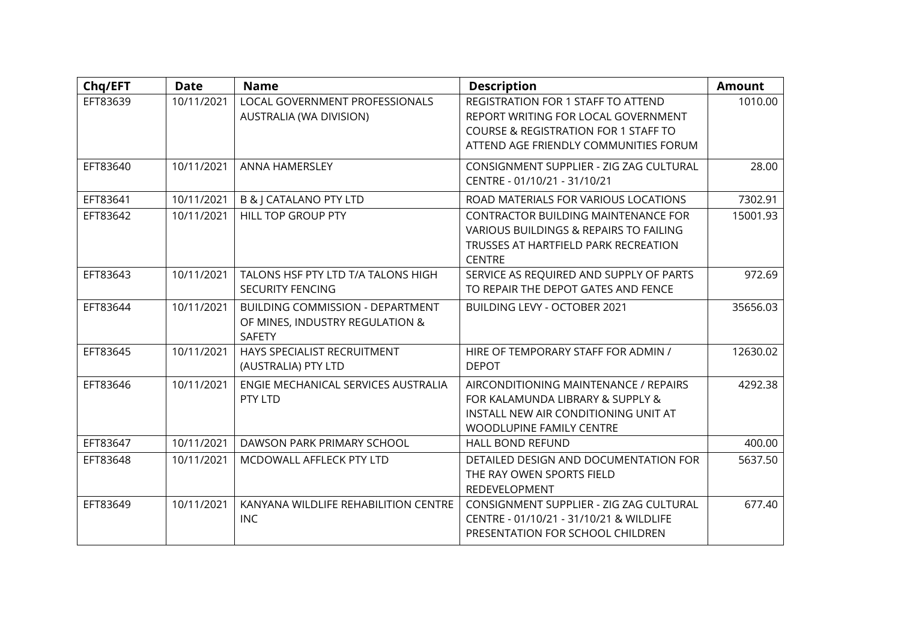| Chq/EFT  | <b>Date</b> | <b>Name</b>                                                                                 | <b>Description</b>                                                                                                                                                    | <b>Amount</b> |
|----------|-------------|---------------------------------------------------------------------------------------------|-----------------------------------------------------------------------------------------------------------------------------------------------------------------------|---------------|
| EFT83639 | 10/11/2021  | <b>LOCAL GOVERNMENT PROFESSIONALS</b><br>AUSTRALIA (WA DIVISION)                            | REGISTRATION FOR 1 STAFF TO ATTEND<br>REPORT WRITING FOR LOCAL GOVERNMENT<br><b>COURSE &amp; REGISTRATION FOR 1 STAFF TO</b><br>ATTEND AGE FRIENDLY COMMUNITIES FORUM | 1010.00       |
| EFT83640 | 10/11/2021  | ANNA HAMERSLEY                                                                              | CONSIGNMENT SUPPLIER - ZIG ZAG CULTURAL<br>CENTRE - 01/10/21 - 31/10/21                                                                                               | 28.00         |
| EFT83641 | 10/11/2021  | <b>B &amp; J CATALANO PTY LTD</b>                                                           | ROAD MATERIALS FOR VARIOUS LOCATIONS                                                                                                                                  | 7302.91       |
| EFT83642 | 10/11/2021  | <b>HILL TOP GROUP PTY</b>                                                                   | CONTRACTOR BUILDING MAINTENANCE FOR<br>VARIOUS BUILDINGS & REPAIRS TO FAILING<br>TRUSSES AT HARTFIELD PARK RECREATION<br><b>CENTRE</b>                                | 15001.93      |
| EFT83643 | 10/11/2021  | TALONS HSF PTY LTD T/A TALONS HIGH<br><b>SECURITY FENCING</b>                               | SERVICE AS REQUIRED AND SUPPLY OF PARTS<br>TO REPAIR THE DEPOT GATES AND FENCE                                                                                        | 972.69        |
| EFT83644 | 10/11/2021  | <b>BUILDING COMMISSION - DEPARTMENT</b><br>OF MINES, INDUSTRY REGULATION &<br><b>SAFETY</b> | BUILDING LEVY - OCTOBER 2021                                                                                                                                          | 35656.03      |
| EFT83645 | 10/11/2021  | HAYS SPECIALIST RECRUITMENT<br>(AUSTRALIA) PTY LTD                                          | HIRE OF TEMPORARY STAFF FOR ADMIN /<br><b>DEPOT</b>                                                                                                                   | 12630.02      |
| EFT83646 | 10/11/2021  | ENGIE MECHANICAL SERVICES AUSTRALIA<br>PTY LTD                                              | AIRCONDITIONING MAINTENANCE / REPAIRS<br>FOR KALAMUNDA LIBRARY & SUPPLY &<br>INSTALL NEW AIR CONDITIONING UNIT AT<br>WOODLUPINE FAMILY CENTRE                         | 4292.38       |
| EFT83647 | 10/11/2021  | DAWSON PARK PRIMARY SCHOOL                                                                  | <b>HALL BOND REFUND</b>                                                                                                                                               | 400.00        |
| EFT83648 | 10/11/2021  | MCDOWALL AFFLECK PTY LTD                                                                    | DETAILED DESIGN AND DOCUMENTATION FOR<br>THE RAY OWEN SPORTS FIELD<br>REDEVELOPMENT                                                                                   | 5637.50       |
| EFT83649 | 10/11/2021  | KANYANA WILDLIFE REHABILITION CENTRE<br><b>INC</b>                                          | CONSIGNMENT SUPPLIER - ZIG ZAG CULTURAL<br>CENTRE - 01/10/21 - 31/10/21 & WILDLIFE<br>PRESENTATION FOR SCHOOL CHILDREN                                                | 677.40        |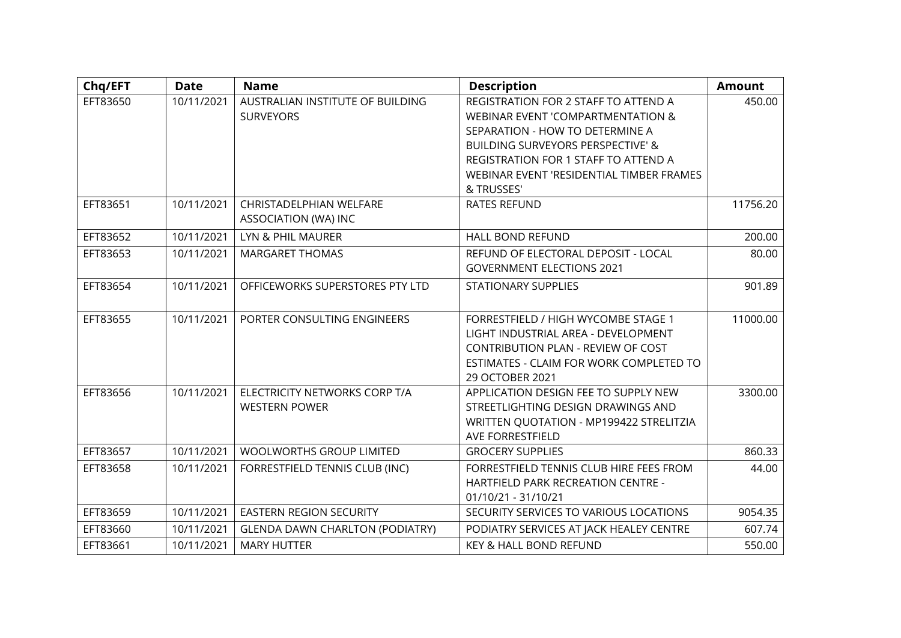| Chq/EFT  | <b>Date</b> | <b>Name</b>                            | <b>Description</b>                           | <b>Amount</b> |
|----------|-------------|----------------------------------------|----------------------------------------------|---------------|
| EFT83650 | 10/11/2021  | AUSTRALIAN INSTITUTE OF BUILDING       | REGISTRATION FOR 2 STAFF TO ATTEND A         | 450.00        |
|          |             | <b>SURVEYORS</b>                       | WEBINAR EVENT 'COMPARTMENTATION &            |               |
|          |             |                                        | SEPARATION - HOW TO DETERMINE A              |               |
|          |             |                                        | <b>BUILDING SURVEYORS PERSPECTIVE' &amp;</b> |               |
|          |             |                                        | REGISTRATION FOR 1 STAFF TO ATTEND A         |               |
|          |             |                                        | WEBINAR EVENT 'RESIDENTIAL TIMBER FRAMES     |               |
|          |             |                                        | & TRUSSES'                                   |               |
| EFT83651 | 10/11/2021  | CHRISTADELPHIAN WELFARE                | <b>RATES REFUND</b>                          | 11756.20      |
|          |             | ASSOCIATION (WA) INC                   |                                              |               |
| EFT83652 | 10/11/2021  | LYN & PHIL MAURER                      | <b>HALL BOND REFUND</b>                      | 200.00        |
| EFT83653 | 10/11/2021  | <b>MARGARET THOMAS</b>                 | REFUND OF ELECTORAL DEPOSIT - LOCAL          | 80.00         |
|          |             |                                        | <b>GOVERNMENT ELECTIONS 2021</b>             |               |
| EFT83654 | 10/11/2021  | OFFICEWORKS SUPERSTORES PTY LTD        | <b>STATIONARY SUPPLIES</b>                   | 901.89        |
|          |             |                                        |                                              |               |
| EFT83655 | 10/11/2021  | PORTER CONSULTING ENGINEERS            | FORRESTFIELD / HIGH WYCOMBE STAGE 1          | 11000.00      |
|          |             |                                        | LIGHT INDUSTRIAL AREA - DEVELOPMENT          |               |
|          |             |                                        | CONTRIBUTION PLAN - REVIEW OF COST           |               |
|          |             |                                        | ESTIMATES - CLAIM FOR WORK COMPLETED TO      |               |
|          |             |                                        | 29 OCTOBER 2021                              |               |
| EFT83656 | 10/11/2021  | ELECTRICITY NETWORKS CORP T/A          | APPLICATION DESIGN FEE TO SUPPLY NEW         | 3300.00       |
|          |             | <b>WESTERN POWER</b>                   | STREETLIGHTING DESIGN DRAWINGS AND           |               |
|          |             |                                        | WRITTEN QUOTATION - MP199422 STRELITZIA      |               |
|          |             |                                        | AVE FORRESTFIELD                             |               |
| EFT83657 | 10/11/2021  | <b>WOOLWORTHS GROUP LIMITED</b>        | <b>GROCERY SUPPLIES</b>                      | 860.33        |
| EFT83658 | 10/11/2021  | FORRESTFIELD TENNIS CLUB (INC)         | FORRESTFIELD TENNIS CLUB HIRE FEES FROM      | 44.00         |
|          |             |                                        | HARTFIELD PARK RECREATION CENTRE -           |               |
|          |             |                                        | 01/10/21 - 31/10/21                          |               |
| EFT83659 | 10/11/2021  | <b>EASTERN REGION SECURITY</b>         | SECURITY SERVICES TO VARIOUS LOCATIONS       | 9054.35       |
| EFT83660 | 10/11/2021  | <b>GLENDA DAWN CHARLTON (PODIATRY)</b> | PODIATRY SERVICES AT JACK HEALEY CENTRE      | 607.74        |
| EFT83661 | 10/11/2021  | <b>MARY HUTTER</b>                     | KEY & HALL BOND REFUND                       | 550.00        |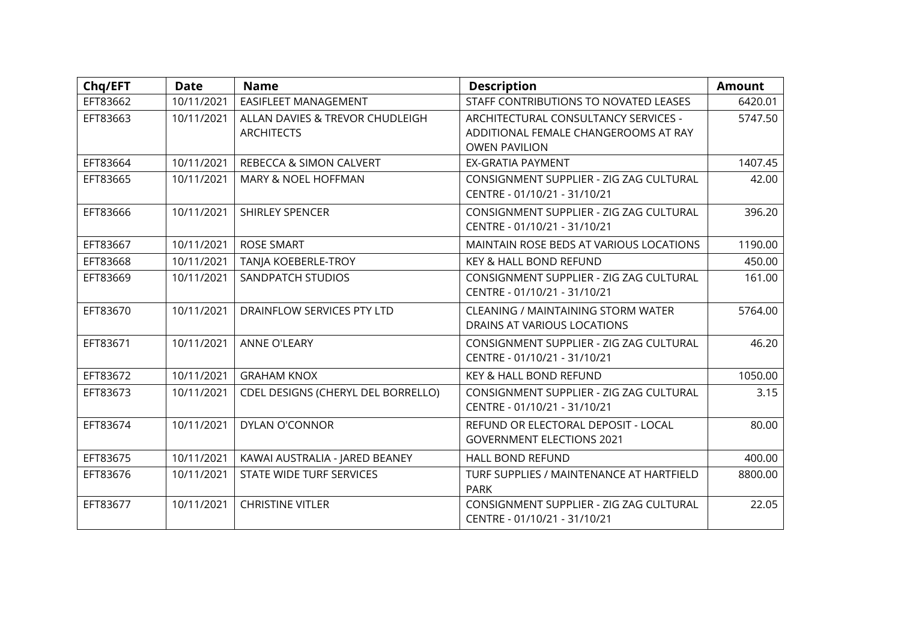| Chq/EFT  | <b>Date</b> | <b>Name</b>                                          | <b>Description</b>                                                                                   | <b>Amount</b> |
|----------|-------------|------------------------------------------------------|------------------------------------------------------------------------------------------------------|---------------|
| EFT83662 | 10/11/2021  | <b>EASIFLEET MANAGEMENT</b>                          | STAFF CONTRIBUTIONS TO NOVATED LEASES                                                                | 6420.01       |
| EFT83663 | 10/11/2021  | ALLAN DAVIES & TREVOR CHUDLEIGH<br><b>ARCHITECTS</b> | ARCHITECTURAL CONSULTANCY SERVICES -<br>ADDITIONAL FEMALE CHANGEROOMS AT RAY<br><b>OWEN PAVILION</b> | 5747.50       |
| EFT83664 | 10/11/2021  | REBECCA & SIMON CALVERT                              | <b>EX-GRATIA PAYMENT</b>                                                                             | 1407.45       |
| EFT83665 | 10/11/2021  | MARY & NOEL HOFFMAN                                  | CONSIGNMENT SUPPLIER - ZIG ZAG CULTURAL<br>CENTRE - 01/10/21 - 31/10/21                              | 42.00         |
| EFT83666 | 10/11/2021  | <b>SHIRLEY SPENCER</b>                               | CONSIGNMENT SUPPLIER - ZIG ZAG CULTURAL<br>CENTRE - 01/10/21 - 31/10/21                              | 396.20        |
| EFT83667 | 10/11/2021  | <b>ROSE SMART</b>                                    | MAINTAIN ROSE BEDS AT VARIOUS LOCATIONS                                                              | 1190.00       |
| EFT83668 | 10/11/2021  | TANJA KOEBERLE-TROY                                  | KEY & HALL BOND REFUND                                                                               | 450.00        |
| EFT83669 | 10/11/2021  | SANDPATCH STUDIOS                                    | CONSIGNMENT SUPPLIER - ZIG ZAG CULTURAL<br>CENTRE - 01/10/21 - 31/10/21                              | 161.00        |
| EFT83670 | 10/11/2021  | DRAINFLOW SERVICES PTY LTD                           | <b>CLEANING / MAINTAINING STORM WATER</b><br>DRAINS AT VARIOUS LOCATIONS                             | 5764.00       |
| EFT83671 | 10/11/2021  | <b>ANNE O'LEARY</b>                                  | CONSIGNMENT SUPPLIER - ZIG ZAG CULTURAL<br>CENTRE - 01/10/21 - 31/10/21                              | 46.20         |
| EFT83672 | 10/11/2021  | <b>GRAHAM KNOX</b>                                   | KEY & HALL BOND REFUND                                                                               | 1050.00       |
| EFT83673 | 10/11/2021  | CDEL DESIGNS (CHERYL DEL BORRELLO)                   | CONSIGNMENT SUPPLIER - ZIG ZAG CULTURAL<br>CENTRE - 01/10/21 - 31/10/21                              | 3.15          |
| EFT83674 | 10/11/2021  | DYLAN O'CONNOR                                       | REFUND OR ELECTORAL DEPOSIT - LOCAL<br><b>GOVERNMENT ELECTIONS 2021</b>                              | 80.00         |
| EFT83675 | 10/11/2021  | KAWAI AUSTRALIA - JARED BEANEY                       | <b>HALL BOND REFUND</b>                                                                              | 400.00        |
| EFT83676 | 10/11/2021  | STATE WIDE TURF SERVICES                             | TURF SUPPLIES / MAINTENANCE AT HARTFIELD<br><b>PARK</b>                                              | 8800.00       |
| EFT83677 | 10/11/2021  | <b>CHRISTINE VITLER</b>                              | CONSIGNMENT SUPPLIER - ZIG ZAG CULTURAL<br>CENTRE - 01/10/21 - 31/10/21                              | 22.05         |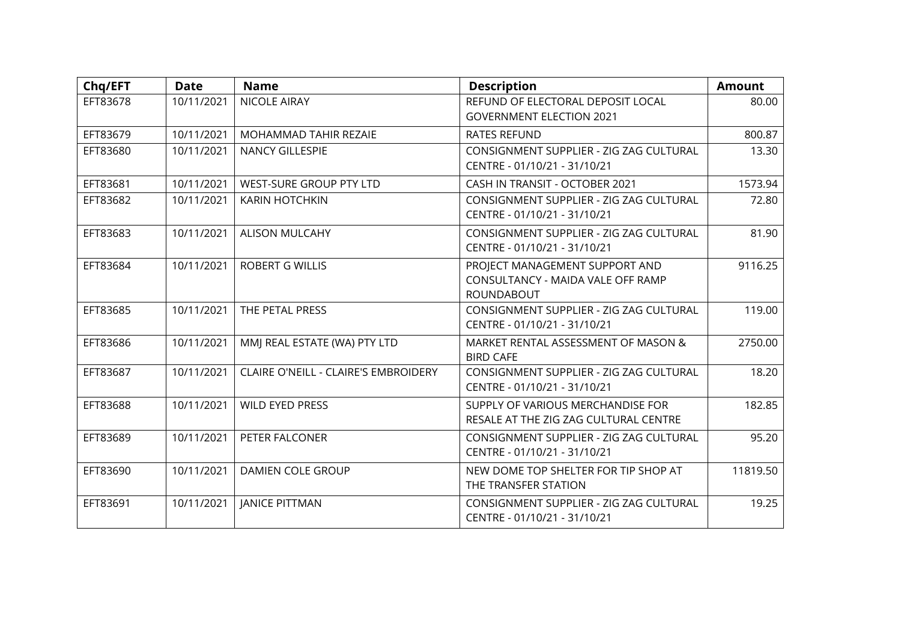| Chq/EFT  | <b>Date</b> | <b>Name</b>                          | <b>Description</b>                                                                | <b>Amount</b> |
|----------|-------------|--------------------------------------|-----------------------------------------------------------------------------------|---------------|
| EFT83678 | 10/11/2021  | <b>NICOLE AIRAY</b>                  | REFUND OF ELECTORAL DEPOSIT LOCAL                                                 | 80.00         |
|          |             |                                      | <b>GOVERNMENT ELECTION 2021</b>                                                   |               |
| EFT83679 | 10/11/2021  | MOHAMMAD TAHIR REZAIE                | <b>RATES REFUND</b>                                                               | 800.87        |
| EFT83680 | 10/11/2021  | <b>NANCY GILLESPIE</b>               | CONSIGNMENT SUPPLIER - ZIG ZAG CULTURAL<br>CENTRE - 01/10/21 - 31/10/21           | 13.30         |
| EFT83681 | 10/11/2021  | WEST-SURE GROUP PTY LTD              | CASH IN TRANSIT - OCTOBER 2021                                                    | 1573.94       |
| EFT83682 | 10/11/2021  | <b>KARIN HOTCHKIN</b>                | CONSIGNMENT SUPPLIER - ZIG ZAG CULTURAL<br>CENTRE - 01/10/21 - 31/10/21           | 72.80         |
| EFT83683 | 10/11/2021  | <b>ALISON MULCAHY</b>                | CONSIGNMENT SUPPLIER - ZIG ZAG CULTURAL<br>CENTRE - 01/10/21 - 31/10/21           | 81.90         |
| EFT83684 | 10/11/2021  | <b>ROBERT G WILLIS</b>               | PROJECT MANAGEMENT SUPPORT AND<br>CONSULTANCY - MAIDA VALE OFF RAMP<br>ROUNDABOUT | 9116.25       |
| EFT83685 | 10/11/2021  | THE PETAL PRESS                      | CONSIGNMENT SUPPLIER - ZIG ZAG CULTURAL<br>CENTRE - 01/10/21 - 31/10/21           | 119.00        |
| EFT83686 | 10/11/2021  | MMJ REAL ESTATE (WA) PTY LTD         | MARKET RENTAL ASSESSMENT OF MASON &<br><b>BIRD CAFE</b>                           | 2750.00       |
| EFT83687 | 10/11/2021  | CLAIRE O'NEILL - CLAIRE'S EMBROIDERY | CONSIGNMENT SUPPLIER - ZIG ZAG CULTURAL<br>CENTRE - 01/10/21 - 31/10/21           | 18.20         |
| EFT83688 | 10/11/2021  | <b>WILD EYED PRESS</b>               | SUPPLY OF VARIOUS MERCHANDISE FOR<br>RESALE AT THE ZIG ZAG CULTURAL CENTRE        | 182.85        |
| EFT83689 | 10/11/2021  | PETER FALCONER                       | CONSIGNMENT SUPPLIER - ZIG ZAG CULTURAL<br>CENTRE - 01/10/21 - 31/10/21           | 95.20         |
| EFT83690 | 10/11/2021  | DAMIEN COLE GROUP                    | NEW DOME TOP SHELTER FOR TIP SHOP AT<br>THE TRANSFER STATION                      | 11819.50      |
| EFT83691 | 10/11/2021  | <b>JANICE PITTMAN</b>                | CONSIGNMENT SUPPLIER - ZIG ZAG CULTURAL<br>CENTRE - 01/10/21 - 31/10/21           | 19.25         |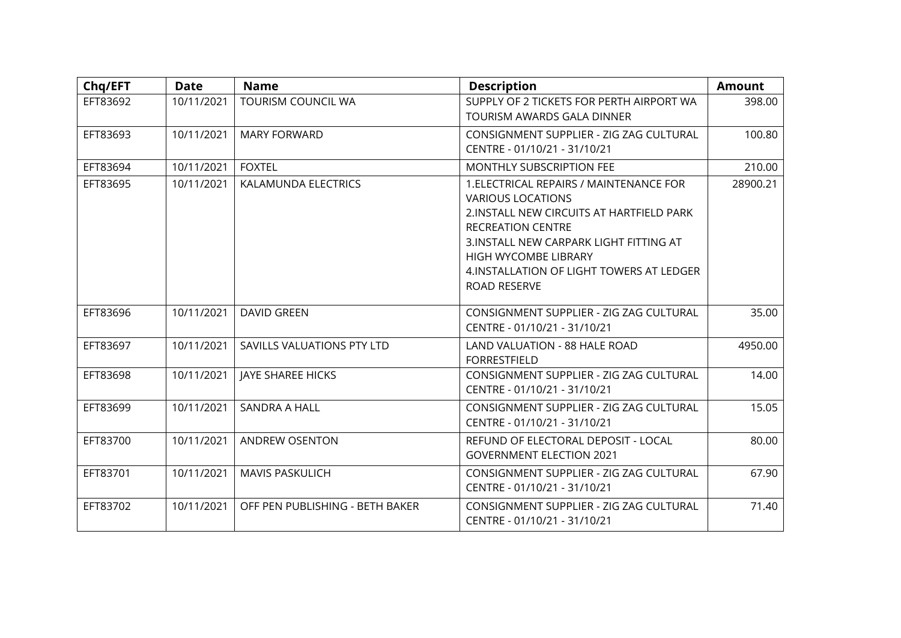| Chq/EFT  | <b>Date</b> | <b>Name</b>                     | <b>Description</b>                                                                                                                                                                                                                                                                  | <b>Amount</b> |
|----------|-------------|---------------------------------|-------------------------------------------------------------------------------------------------------------------------------------------------------------------------------------------------------------------------------------------------------------------------------------|---------------|
| EFT83692 | 10/11/2021  | <b>TOURISM COUNCIL WA</b>       | SUPPLY OF 2 TICKETS FOR PERTH AIRPORT WA<br>TOURISM AWARDS GALA DINNER                                                                                                                                                                                                              | 398.00        |
| EFT83693 | 10/11/2021  | <b>MARY FORWARD</b>             | CONSIGNMENT SUPPLIER - ZIG ZAG CULTURAL<br>CENTRE - 01/10/21 - 31/10/21                                                                                                                                                                                                             | 100.80        |
| EFT83694 | 10/11/2021  | <b>FOXTEL</b>                   | <b>MONTHLY SUBSCRIPTION FEE</b>                                                                                                                                                                                                                                                     | 210.00        |
| EFT83695 | 10/11/2021  | KALAMUNDA ELECTRICS             | 1. ELECTRICAL REPAIRS / MAINTENANCE FOR<br><b>VARIOUS LOCATIONS</b><br>2. INSTALL NEW CIRCUITS AT HARTFIELD PARK<br><b>RECREATION CENTRE</b><br>3. INSTALL NEW CARPARK LIGHT FITTING AT<br><b>HIGH WYCOMBE LIBRARY</b><br>4. INSTALLATION OF LIGHT TOWERS AT LEDGER<br>ROAD RESERVE | 28900.21      |
| EFT83696 | 10/11/2021  | <b>DAVID GREEN</b>              | CONSIGNMENT SUPPLIER - ZIG ZAG CULTURAL<br>CENTRE - 01/10/21 - 31/10/21                                                                                                                                                                                                             | 35.00         |
| EFT83697 | 10/11/2021  | SAVILLS VALUATIONS PTY LTD      | LAND VALUATION - 88 HALE ROAD<br><b>FORRESTFIELD</b>                                                                                                                                                                                                                                | 4950.00       |
| EFT83698 | 10/11/2021  | <b>JAYE SHAREE HICKS</b>        | CONSIGNMENT SUPPLIER - ZIG ZAG CULTURAL<br>CENTRE - 01/10/21 - 31/10/21                                                                                                                                                                                                             | 14.00         |
| EFT83699 | 10/11/2021  | <b>SANDRA A HALL</b>            | CONSIGNMENT SUPPLIER - ZIG ZAG CULTURAL<br>CENTRE - 01/10/21 - 31/10/21                                                                                                                                                                                                             | 15.05         |
| EFT83700 | 10/11/2021  | <b>ANDREW OSENTON</b>           | REFUND OF ELECTORAL DEPOSIT - LOCAL<br><b>GOVERNMENT ELECTION 2021</b>                                                                                                                                                                                                              | 80.00         |
| EFT83701 | 10/11/2021  | <b>MAVIS PASKULICH</b>          | CONSIGNMENT SUPPLIER - ZIG ZAG CULTURAL<br>CENTRE - 01/10/21 - 31/10/21                                                                                                                                                                                                             | 67.90         |
| EFT83702 | 10/11/2021  | OFF PEN PUBLISHING - BETH BAKER | CONSIGNMENT SUPPLIER - ZIG ZAG CULTURAL<br>CENTRE - 01/10/21 - 31/10/21                                                                                                                                                                                                             | 71.40         |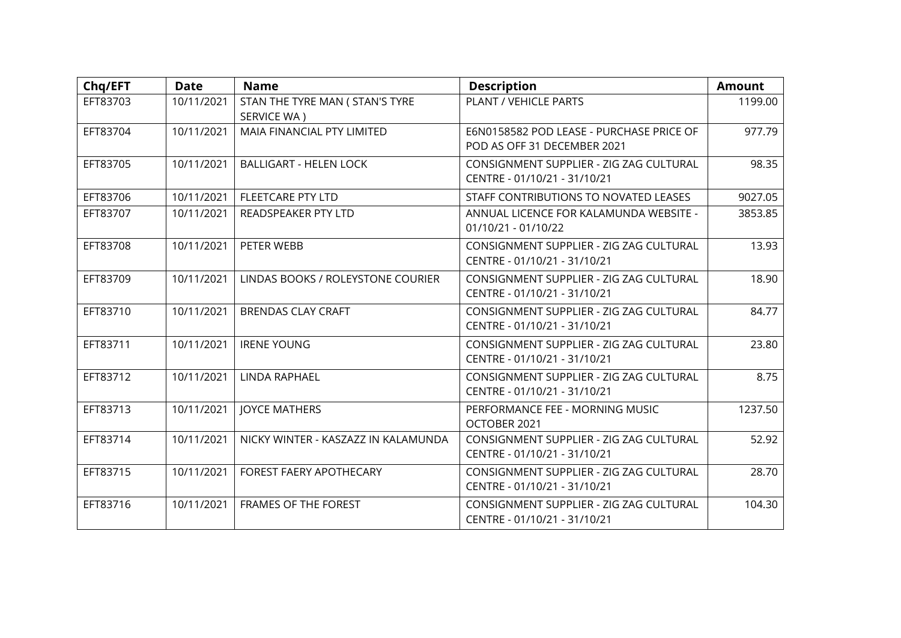| Chq/EFT  | <b>Date</b> | <b>Name</b>                                    | <b>Description</b>                                                      | <b>Amount</b> |
|----------|-------------|------------------------------------------------|-------------------------------------------------------------------------|---------------|
| EFT83703 | 10/11/2021  | STAN THE TYRE MAN ( STAN'S TYRE<br>SERVICE WA) | PLANT / VEHICLE PARTS                                                   | 1199.00       |
| EFT83704 | 10/11/2021  | MAIA FINANCIAL PTY LIMITED                     | E6N0158582 POD LEASE - PURCHASE PRICE OF<br>POD AS OFF 31 DECEMBER 2021 | 977.79        |
| EFT83705 | 10/11/2021  | <b>BALLIGART - HELEN LOCK</b>                  | CONSIGNMENT SUPPLIER - ZIG ZAG CULTURAL<br>CENTRE - 01/10/21 - 31/10/21 | 98.35         |
| EFT83706 | 10/11/2021  | <b>FLEETCARE PTY LTD</b>                       | STAFF CONTRIBUTIONS TO NOVATED LEASES                                   | 9027.05       |
| EFT83707 | 10/11/2021  | READSPEAKER PTY LTD                            | ANNUAL LICENCE FOR KALAMUNDA WEBSITE -<br>01/10/21 - 01/10/22           | 3853.85       |
| EFT83708 | 10/11/2021  | PETER WEBB                                     | CONSIGNMENT SUPPLIER - ZIG ZAG CULTURAL<br>CENTRE - 01/10/21 - 31/10/21 | 13.93         |
| EFT83709 | 10/11/2021  | LINDAS BOOKS / ROLEYSTONE COURIER              | CONSIGNMENT SUPPLIER - ZIG ZAG CULTURAL<br>CENTRE - 01/10/21 - 31/10/21 | 18.90         |
| EFT83710 | 10/11/2021  | <b>BRENDAS CLAY CRAFT</b>                      | CONSIGNMENT SUPPLIER - ZIG ZAG CULTURAL<br>CENTRE - 01/10/21 - 31/10/21 | 84.77         |
| EFT83711 | 10/11/2021  | <b>IRENE YOUNG</b>                             | CONSIGNMENT SUPPLIER - ZIG ZAG CULTURAL<br>CENTRE - 01/10/21 - 31/10/21 | 23.80         |
| EFT83712 | 10/11/2021  | LINDA RAPHAEL                                  | CONSIGNMENT SUPPLIER - ZIG ZAG CULTURAL<br>CENTRE - 01/10/21 - 31/10/21 | 8.75          |
| EFT83713 | 10/11/2021  | <b>JOYCE MATHERS</b>                           | PERFORMANCE FEE - MORNING MUSIC<br>OCTOBER 2021                         | 1237.50       |
| EFT83714 | 10/11/2021  | NICKY WINTER - KASZAZZ IN KALAMUNDA            | CONSIGNMENT SUPPLIER - ZIG ZAG CULTURAL<br>CENTRE - 01/10/21 - 31/10/21 | 52.92         |
| EFT83715 | 10/11/2021  | FOREST FAERY APOTHECARY                        | CONSIGNMENT SUPPLIER - ZIG ZAG CULTURAL<br>CENTRE - 01/10/21 - 31/10/21 | 28.70         |
| EFT83716 | 10/11/2021  | <b>FRAMES OF THE FOREST</b>                    | CONSIGNMENT SUPPLIER - ZIG ZAG CULTURAL<br>CENTRE - 01/10/21 - 31/10/21 | 104.30        |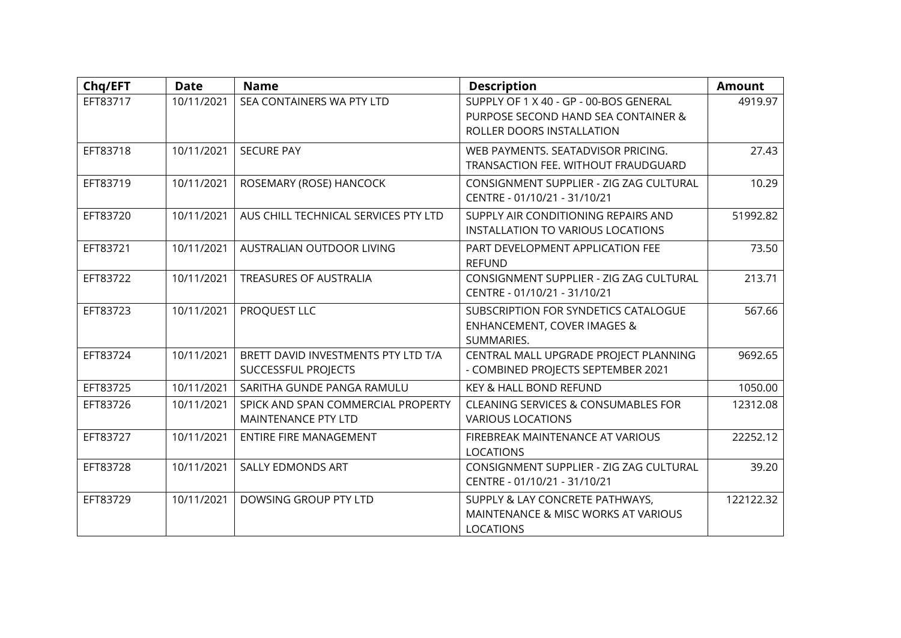| Chq/EFT  | <b>Date</b> | <b>Name</b>                                                | <b>Description</b>                                                                                         | <b>Amount</b> |
|----------|-------------|------------------------------------------------------------|------------------------------------------------------------------------------------------------------------|---------------|
| EFT83717 | 10/11/2021  | SEA CONTAINERS WA PTY LTD                                  | SUPPLY OF 1 X 40 - GP - 00-BOS GENERAL<br>PURPOSE SECOND HAND SEA CONTAINER &<br>ROLLER DOORS INSTALLATION | 4919.97       |
| EFT83718 | 10/11/2021  | <b>SECURE PAY</b>                                          | WEB PAYMENTS. SEATADVISOR PRICING.<br>TRANSACTION FEE. WITHOUT FRAUDGUARD                                  | 27.43         |
| EFT83719 | 10/11/2021  | ROSEMARY (ROSE) HANCOCK                                    | CONSIGNMENT SUPPLIER - ZIG ZAG CULTURAL<br>CENTRE - 01/10/21 - 31/10/21                                    | 10.29         |
| EFT83720 | 10/11/2021  | AUS CHILL TECHNICAL SERVICES PTY LTD                       | SUPPLY AIR CONDITIONING REPAIRS AND<br>INSTALLATION TO VARIOUS LOCATIONS                                   | 51992.82      |
| EFT83721 | 10/11/2021  | AUSTRALIAN OUTDOOR LIVING                                  | PART DEVELOPMENT APPLICATION FEE<br><b>REFUND</b>                                                          | 73.50         |
| EFT83722 | 10/11/2021  | TREASURES OF AUSTRALIA                                     | CONSIGNMENT SUPPLIER - ZIG ZAG CULTURAL<br>CENTRE - 01/10/21 - 31/10/21                                    | 213.71        |
| EFT83723 | 10/11/2021  | PROQUEST LLC                                               | SUBSCRIPTION FOR SYNDETICS CATALOGUE<br><b>ENHANCEMENT, COVER IMAGES &amp;</b><br>SUMMARIES.               | 567.66        |
| EFT83724 | 10/11/2021  | BRETT DAVID INVESTMENTS PTY LTD T/A<br>SUCCESSFUL PROJECTS | CENTRAL MALL UPGRADE PROJECT PLANNING<br>- COMBINED PROJECTS SEPTEMBER 2021                                | 9692.65       |
| EFT83725 | 10/11/2021  | SARITHA GUNDE PANGA RAMULU                                 | KEY & HALL BOND REFUND                                                                                     | 1050.00       |
| EFT83726 | 10/11/2021  | SPICK AND SPAN COMMERCIAL PROPERTY<br>MAINTENANCE PTY LTD  | <b>CLEANING SERVICES &amp; CONSUMABLES FOR</b><br><b>VARIOUS LOCATIONS</b>                                 | 12312.08      |
| EFT83727 | 10/11/2021  | ENTIRE FIRE MANAGEMENT                                     | FIREBREAK MAINTENANCE AT VARIOUS<br><b>LOCATIONS</b>                                                       | 22252.12      |
| EFT83728 | 10/11/2021  | SALLY EDMONDS ART                                          | CONSIGNMENT SUPPLIER - ZIG ZAG CULTURAL<br>CENTRE - 01/10/21 - 31/10/21                                    | 39.20         |
| EFT83729 | 10/11/2021  | DOWSING GROUP PTY LTD                                      | SUPPLY & LAY CONCRETE PATHWAYS,<br>MAINTENANCE & MISC WORKS AT VARIOUS<br><b>LOCATIONS</b>                 | 122122.32     |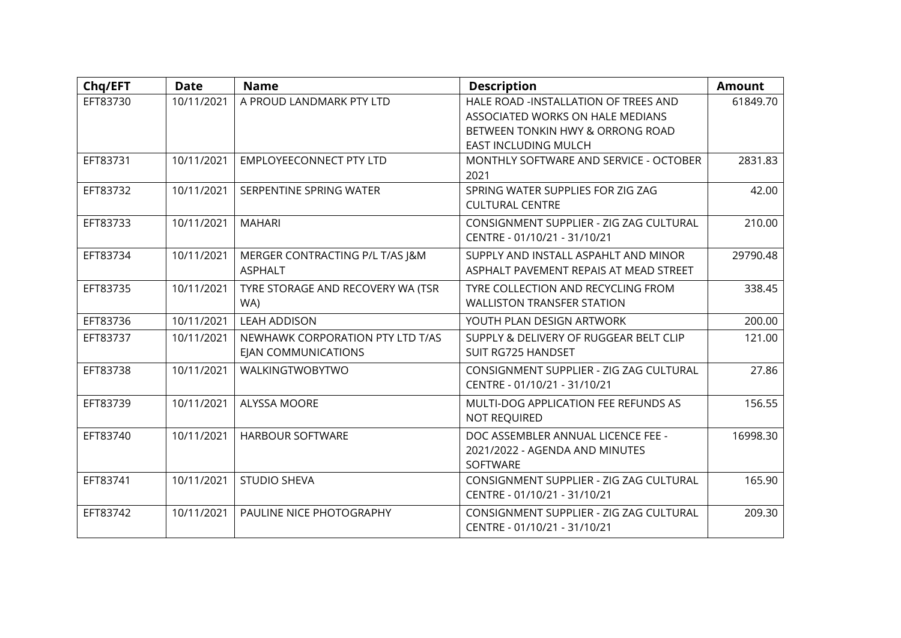| Chq/EFT  | <b>Date</b> | <b>Name</b>                       | <b>Description</b>                                          | <b>Amount</b> |
|----------|-------------|-----------------------------------|-------------------------------------------------------------|---------------|
| EFT83730 | 10/11/2021  | A PROUD LANDMARK PTY LTD          | HALE ROAD -INSTALLATION OF TREES AND                        | 61849.70      |
|          |             |                                   | ASSOCIATED WORKS ON HALE MEDIANS                            |               |
|          |             |                                   | BETWEEN TONKIN HWY & ORRONG ROAD                            |               |
|          |             |                                   | <b>EAST INCLUDING MULCH</b>                                 |               |
| EFT83731 | 10/11/2021  | <b>EMPLOYEECONNECT PTY LTD</b>    | MONTHLY SOFTWARE AND SERVICE - OCTOBER<br>2021              | 2831.83       |
| EFT83732 | 10/11/2021  | SERPENTINE SPRING WATER           | SPRING WATER SUPPLIES FOR ZIG ZAG<br><b>CULTURAL CENTRE</b> | 42.00         |
| EFT83733 | 10/11/2021  | <b>MAHARI</b>                     | CONSIGNMENT SUPPLIER - ZIG ZAG CULTURAL                     | 210.00        |
|          |             |                                   | CENTRE - 01/10/21 - 31/10/21                                |               |
| EFT83734 | 10/11/2021  | MERGER CONTRACTING P/L T/AS I&M   | SUPPLY AND INSTALL ASPAHLT AND MINOR                        | 29790.48      |
|          |             | <b>ASPHALT</b>                    | ASPHALT PAVEMENT REPAIS AT MEAD STREET                      |               |
| EFT83735 | 10/11/2021  | TYRE STORAGE AND RECOVERY WA (TSR | TYRE COLLECTION AND RECYCLING FROM                          | 338.45        |
|          |             | WA)                               | <b>WALLISTON TRANSFER STATION</b>                           |               |
| EFT83736 | 10/11/2021  | <b>LEAH ADDISON</b>               | YOUTH PLAN DESIGN ARTWORK                                   | 200.00        |
| EFT83737 | 10/11/2021  | NEWHAWK CORPORATION PTY LTD T/AS  | SUPPLY & DELIVERY OF RUGGEAR BELT CLIP                      | 121.00        |
|          |             | EJAN COMMUNICATIONS               | SUIT RG725 HANDSET                                          |               |
| EFT83738 | 10/11/2021  | WALKINGTWOBYTWO                   | CONSIGNMENT SUPPLIER - ZIG ZAG CULTURAL                     | 27.86         |
|          |             |                                   | CENTRE - 01/10/21 - 31/10/21                                |               |
| EFT83739 | 10/11/2021  | ALYSSA MOORE                      | MULTI-DOG APPLICATION FEE REFUNDS AS                        | 156.55        |
|          |             |                                   | NOT REQUIRED                                                |               |
| EFT83740 | 10/11/2021  | <b>HARBOUR SOFTWARE</b>           | DOC ASSEMBLER ANNUAL LICENCE FEE -                          | 16998.30      |
|          |             |                                   | 2021/2022 - AGENDA AND MINUTES                              |               |
|          |             |                                   | SOFTWARE                                                    |               |
| EFT83741 | 10/11/2021  | <b>STUDIO SHEVA</b>               | CONSIGNMENT SUPPLIER - ZIG ZAG CULTURAL                     | 165.90        |
|          |             |                                   | CENTRE - 01/10/21 - 31/10/21                                |               |
| EFT83742 | 10/11/2021  | PAULINE NICE PHOTOGRAPHY          | CONSIGNMENT SUPPLIER - ZIG ZAG CULTURAL                     | 209.30        |
|          |             |                                   | CENTRE - 01/10/21 - 31/10/21                                |               |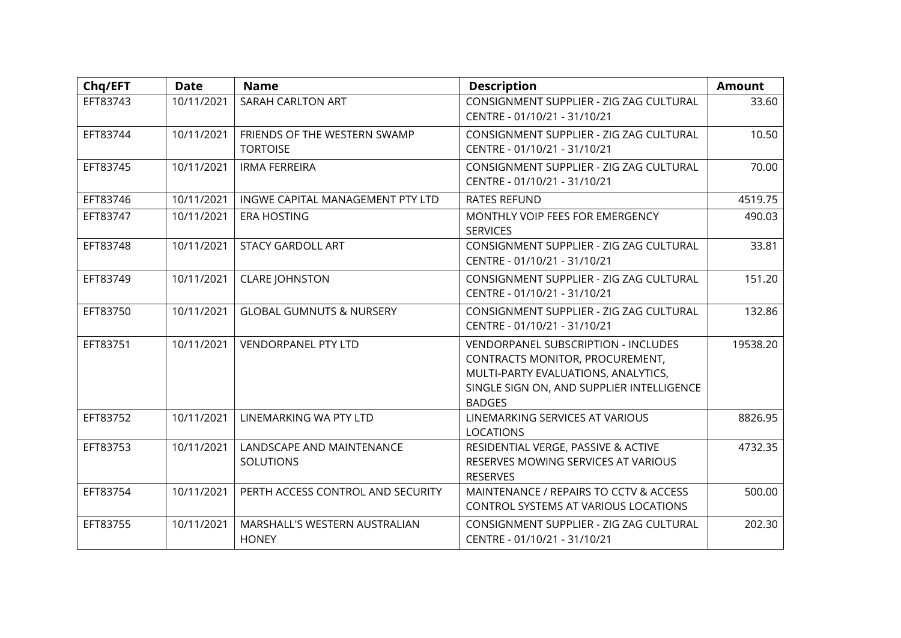| Chq/EFT  | <b>Date</b> | <b>Name</b>                                     | <b>Description</b>                                                                                                                                                          | <b>Amount</b> |
|----------|-------------|-------------------------------------------------|-----------------------------------------------------------------------------------------------------------------------------------------------------------------------------|---------------|
| EFT83743 | 10/11/2021  | SARAH CARLTON ART                               | CONSIGNMENT SUPPLIER - ZIG ZAG CULTURAL<br>CENTRE - 01/10/21 - 31/10/21                                                                                                     | 33.60         |
| EFT83744 | 10/11/2021  | FRIENDS OF THE WESTERN SWAMP<br><b>TORTOISE</b> | CONSIGNMENT SUPPLIER - ZIG ZAG CULTURAL<br>CENTRE - 01/10/21 - 31/10/21                                                                                                     | 10.50         |
| EFT83745 | 10/11/2021  | <b>IRMA FERREIRA</b>                            | CONSIGNMENT SUPPLIER - ZIG ZAG CULTURAL<br>CENTRE - 01/10/21 - 31/10/21                                                                                                     | 70.00         |
| EFT83746 | 10/11/2021  | INGWE CAPITAL MANAGEMENT PTY LTD                | <b>RATES REFUND</b>                                                                                                                                                         | 4519.75       |
| EFT83747 | 10/11/2021  | <b>ERA HOSTING</b>                              | MONTHLY VOIP FEES FOR EMERGENCY<br><b>SERVICES</b>                                                                                                                          | 490.03        |
| EFT83748 | 10/11/2021  | <b>STACY GARDOLL ART</b>                        | CONSIGNMENT SUPPLIER - ZIG ZAG CULTURAL<br>CENTRE - 01/10/21 - 31/10/21                                                                                                     | 33.81         |
| EFT83749 | 10/11/2021  | <b>CLARE JOHNSTON</b>                           | CONSIGNMENT SUPPLIER - ZIG ZAG CULTURAL<br>CENTRE - 01/10/21 - 31/10/21                                                                                                     | 151.20        |
| EFT83750 | 10/11/2021  | <b>GLOBAL GUMNUTS &amp; NURSERY</b>             | CONSIGNMENT SUPPLIER - ZIG ZAG CULTURAL<br>CENTRE - 01/10/21 - 31/10/21                                                                                                     | 132.86        |
| EFT83751 | 10/11/2021  | <b>VENDORPANEL PTY LTD</b>                      | VENDORPANEL SUBSCRIPTION - INCLUDES<br>CONTRACTS MONITOR, PROCUREMENT,<br>MULTI-PARTY EVALUATIONS, ANALYTICS,<br>SINGLE SIGN ON, AND SUPPLIER INTELLIGENCE<br><b>BADGES</b> | 19538.20      |
| EFT83752 | 10/11/2021  | LINEMARKING WA PTY LTD                          | LINEMARKING SERVICES AT VARIOUS<br><b>LOCATIONS</b>                                                                                                                         | 8826.95       |
| EFT83753 | 10/11/2021  | LANDSCAPE AND MAINTENANCE<br><b>SOLUTIONS</b>   | RESIDENTIAL VERGE, PASSIVE & ACTIVE<br>RESERVES MOWING SERVICES AT VARIOUS<br><b>RESERVES</b>                                                                               | 4732.35       |
| EFT83754 | 10/11/2021  | PERTH ACCESS CONTROL AND SECURITY               | MAINTENANCE / REPAIRS TO CCTV & ACCESS<br>CONTROL SYSTEMS AT VARIOUS LOCATIONS                                                                                              | 500.00        |
| EFT83755 | 10/11/2021  | MARSHALL'S WESTERN AUSTRALIAN<br><b>HONEY</b>   | CONSIGNMENT SUPPLIER - ZIG ZAG CULTURAL<br>CENTRE - 01/10/21 - 31/10/21                                                                                                     | 202.30        |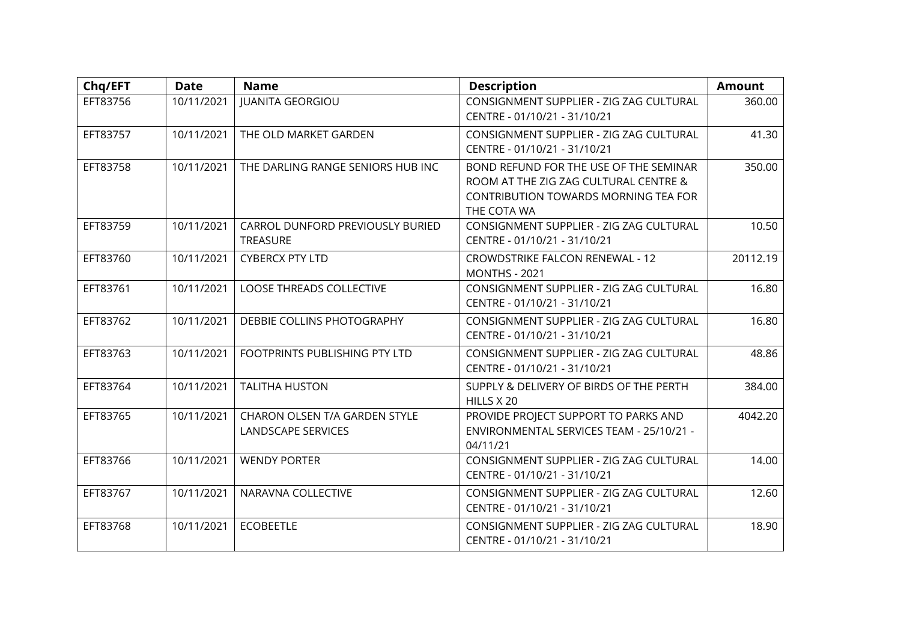| Chq/EFT  | <b>Date</b> | <b>Name</b>                                         | <b>Description</b>                                                                                                                     | <b>Amount</b> |
|----------|-------------|-----------------------------------------------------|----------------------------------------------------------------------------------------------------------------------------------------|---------------|
| EFT83756 | 10/11/2021  | <b>JUANITA GEORGIOU</b>                             | CONSIGNMENT SUPPLIER - ZIG ZAG CULTURAL<br>CENTRE - 01/10/21 - 31/10/21                                                                | 360.00        |
| EFT83757 | 10/11/2021  | THE OLD MARKET GARDEN                               | CONSIGNMENT SUPPLIER - ZIG ZAG CULTURAL<br>CENTRE - 01/10/21 - 31/10/21                                                                | 41.30         |
| EFT83758 | 10/11/2021  | THE DARLING RANGE SENIORS HUB INC                   | BOND REFUND FOR THE USE OF THE SEMINAR<br>ROOM AT THE ZIG ZAG CULTURAL CENTRE &<br>CONTRIBUTION TOWARDS MORNING TEA FOR<br>THE COTA WA | 350.00        |
| EFT83759 | 10/11/2021  | CARROL DUNFORD PREVIOUSLY BURIED<br><b>TREASURE</b> | CONSIGNMENT SUPPLIER - ZIG ZAG CULTURAL<br>CENTRE - 01/10/21 - 31/10/21                                                                | 10.50         |
| EFT83760 | 10/11/2021  | <b>CYBERCX PTY LTD</b>                              | <b>CROWDSTRIKE FALCON RENEWAL - 12</b><br><b>MONTHS - 2021</b>                                                                         | 20112.19      |
| EFT83761 | 10/11/2021  | <b>LOOSE THREADS COLLECTIVE</b>                     | CONSIGNMENT SUPPLIER - ZIG ZAG CULTURAL<br>CENTRE - 01/10/21 - 31/10/21                                                                | 16.80         |
| EFT83762 | 10/11/2021  | DEBBIE COLLINS PHOTOGRAPHY                          | CONSIGNMENT SUPPLIER - ZIG ZAG CULTURAL<br>CENTRE - 01/10/21 - 31/10/21                                                                | 16.80         |
| EFT83763 | 10/11/2021  | FOOTPRINTS PUBLISHING PTY LTD                       | CONSIGNMENT SUPPLIER - ZIG ZAG CULTURAL<br>CENTRE - 01/10/21 - 31/10/21                                                                | 48.86         |
| EFT83764 | 10/11/2021  | <b>TALITHA HUSTON</b>                               | SUPPLY & DELIVERY OF BIRDS OF THE PERTH<br>HILLS X 20                                                                                  | 384.00        |
| EFT83765 | 10/11/2021  | CHARON OLSEN T/A GARDEN STYLE<br>LANDSCAPE SERVICES | PROVIDE PROJECT SUPPORT TO PARKS AND<br>ENVIRONMENTAL SERVICES TEAM - 25/10/21 -<br>04/11/21                                           | 4042.20       |
| EFT83766 | 10/11/2021  | <b>WENDY PORTER</b>                                 | CONSIGNMENT SUPPLIER - ZIG ZAG CULTURAL<br>CENTRE - 01/10/21 - 31/10/21                                                                | 14.00         |
| EFT83767 | 10/11/2021  | NARAVNA COLLECTIVE                                  | CONSIGNMENT SUPPLIER - ZIG ZAG CULTURAL<br>CENTRE - 01/10/21 - 31/10/21                                                                | 12.60         |
| EFT83768 | 10/11/2021  | <b>ECOBEETLE</b>                                    | CONSIGNMENT SUPPLIER - ZIG ZAG CULTURAL<br>CENTRE - 01/10/21 - 31/10/21                                                                | 18.90         |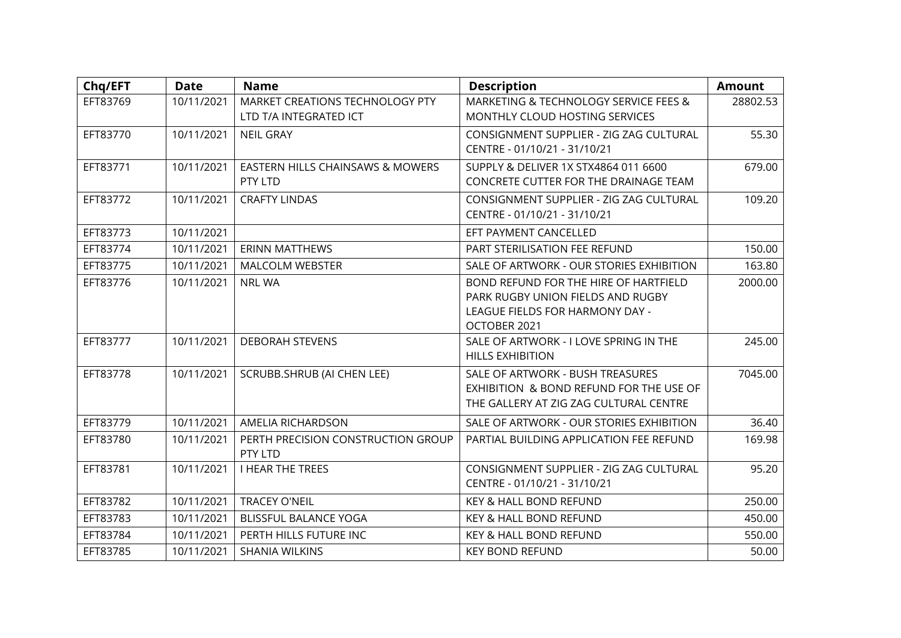| Chq/EFT  | <b>Date</b> | <b>Name</b>                                               | <b>Description</b>                                                                                                            | <b>Amount</b> |
|----------|-------------|-----------------------------------------------------------|-------------------------------------------------------------------------------------------------------------------------------|---------------|
| EFT83769 | 10/11/2021  | MARKET CREATIONS TECHNOLOGY PTY<br>LTD T/A INTEGRATED ICT | MARKETING & TECHNOLOGY SERVICE FEES &<br>MONTHLY CLOUD HOSTING SERVICES                                                       | 28802.53      |
| EFT83770 | 10/11/2021  | <b>NEIL GRAY</b>                                          | CONSIGNMENT SUPPLIER - ZIG ZAG CULTURAL<br>CENTRE - 01/10/21 - 31/10/21                                                       | 55.30         |
| EFT83771 | 10/11/2021  | EASTERN HILLS CHAINSAWS & MOWERS<br>PTY LTD               | SUPPLY & DELIVER 1X STX4864 011 6600<br>CONCRETE CUTTER FOR THE DRAINAGE TEAM                                                 | 679.00        |
| EFT83772 | 10/11/2021  | <b>CRAFTY LINDAS</b>                                      | CONSIGNMENT SUPPLIER - ZIG ZAG CULTURAL<br>CENTRE - 01/10/21 - 31/10/21                                                       | 109.20        |
| EFT83773 | 10/11/2021  |                                                           | EFT PAYMENT CANCELLED                                                                                                         |               |
| EFT83774 | 10/11/2021  | <b>ERINN MATTHEWS</b>                                     | PART STERILISATION FEE REFUND                                                                                                 | 150.00        |
| EFT83775 | 10/11/2021  | <b>MALCOLM WEBSTER</b>                                    | SALE OF ARTWORK - OUR STORIES EXHIBITION                                                                                      | 163.80        |
| EFT83776 | 10/11/2021  | <b>NRL WA</b>                                             | BOND REFUND FOR THE HIRE OF HARTFIELD<br>PARK RUGBY UNION FIELDS AND RUGBY<br>LEAGUE FIELDS FOR HARMONY DAY -<br>OCTOBER 2021 | 2000.00       |
| EFT83777 | 10/11/2021  | <b>DEBORAH STEVENS</b>                                    | SALE OF ARTWORK - I LOVE SPRING IN THE<br><b>HILLS EXHIBITION</b>                                                             | 245.00        |
| EFT83778 | 10/11/2021  | SCRUBB.SHRUB (AI CHEN LEE)                                | SALE OF ARTWORK - BUSH TREASURES<br>EXHIBITION & BOND REFUND FOR THE USE OF<br>THE GALLERY AT ZIG ZAG CULTURAL CENTRE         | 7045.00       |
| EFT83779 | 10/11/2021  | AMELIA RICHARDSON                                         | SALE OF ARTWORK - OUR STORIES EXHIBITION                                                                                      | 36.40         |
| EFT83780 | 10/11/2021  | PERTH PRECISION CONSTRUCTION GROUP<br>PTY LTD             | PARTIAL BUILDING APPLICATION FEE REFUND                                                                                       | 169.98        |
| EFT83781 | 10/11/2021  | <b>I HEAR THE TREES</b>                                   | CONSIGNMENT SUPPLIER - ZIG ZAG CULTURAL<br>CENTRE - 01/10/21 - 31/10/21                                                       | 95.20         |
| EFT83782 | 10/11/2021  | <b>TRACEY O'NEIL</b>                                      | KEY & HALL BOND REFUND                                                                                                        | 250.00        |
| EFT83783 | 10/11/2021  | <b>BLISSFUL BALANCE YOGA</b>                              | KEY & HALL BOND REFUND                                                                                                        | 450.00        |
| EFT83784 | 10/11/2021  | PERTH HILLS FUTURE INC                                    | KEY & HALL BOND REFUND                                                                                                        | 550.00        |
| EFT83785 | 10/11/2021  | <b>SHANIA WILKINS</b>                                     | <b>KEY BOND REFUND</b>                                                                                                        | 50.00         |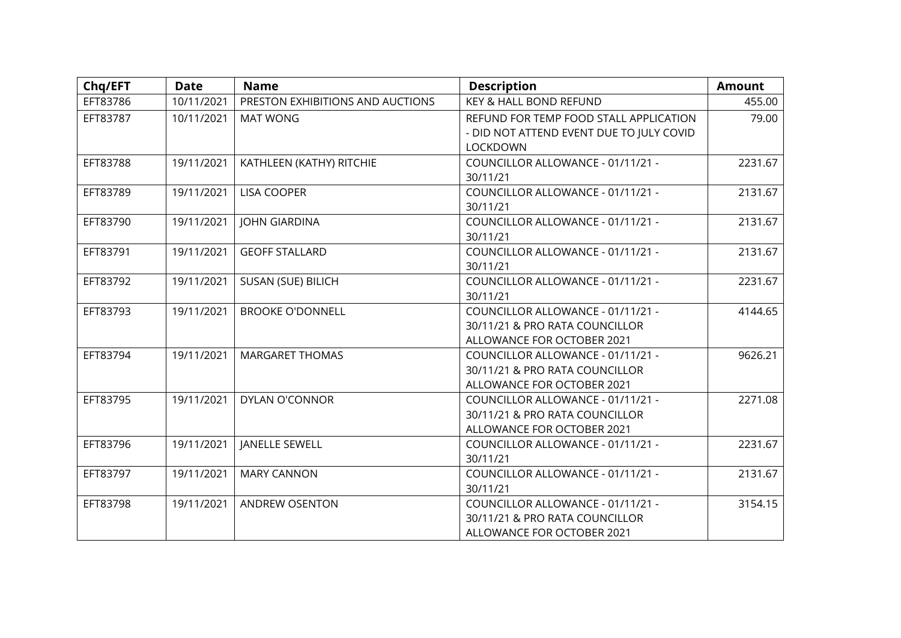| Chq/EFT  | <b>Date</b> | <b>Name</b>                      | <b>Description</b>                                                                                | <b>Amount</b> |
|----------|-------------|----------------------------------|---------------------------------------------------------------------------------------------------|---------------|
| EFT83786 | 10/11/2021  | PRESTON EXHIBITIONS AND AUCTIONS | KEY & HALL BOND REFUND                                                                            | 455.00        |
| EFT83787 | 10/11/2021  | <b>MAT WONG</b>                  | REFUND FOR TEMP FOOD STALL APPLICATION<br>- DID NOT ATTEND EVENT DUE TO JULY COVID<br>LOCKDOWN    | 79.00         |
| EFT83788 | 19/11/2021  | KATHLEEN (KATHY) RITCHIE         | COUNCILLOR ALLOWANCE - 01/11/21 -<br>30/11/21                                                     | 2231.67       |
| EFT83789 | 19/11/2021  | <b>LISA COOPER</b>               | COUNCILLOR ALLOWANCE - 01/11/21 -<br>30/11/21                                                     | 2131.67       |
| EFT83790 | 19/11/2021  | <b>JOHN GIARDINA</b>             | COUNCILLOR ALLOWANCE - 01/11/21 -<br>30/11/21                                                     | 2131.67       |
| EFT83791 | 19/11/2021  | <b>GEOFF STALLARD</b>            | COUNCILLOR ALLOWANCE - 01/11/21 -<br>30/11/21                                                     | 2131.67       |
| EFT83792 | 19/11/2021  | <b>SUSAN (SUE) BILICH</b>        | COUNCILLOR ALLOWANCE - 01/11/21 -<br>30/11/21                                                     | 2231.67       |
| EFT83793 | 19/11/2021  | <b>BROOKE O'DONNELL</b>          | COUNCILLOR ALLOWANCE - 01/11/21 -<br>30/11/21 & PRO RATA COUNCILLOR<br>ALLOWANCE FOR OCTOBER 2021 | 4144.65       |
| EFT83794 | 19/11/2021  | <b>MARGARET THOMAS</b>           | COUNCILLOR ALLOWANCE - 01/11/21 -<br>30/11/21 & PRO RATA COUNCILLOR<br>ALLOWANCE FOR OCTOBER 2021 | 9626.21       |
| EFT83795 | 19/11/2021  | DYLAN O'CONNOR                   | COUNCILLOR ALLOWANCE - 01/11/21 -<br>30/11/21 & PRO RATA COUNCILLOR<br>ALLOWANCE FOR OCTOBER 2021 | 2271.08       |
| EFT83796 | 19/11/2021  | <b>JANELLE SEWELL</b>            | COUNCILLOR ALLOWANCE - 01/11/21 -<br>30/11/21                                                     | 2231.67       |
| EFT83797 | 19/11/2021  | <b>MARY CANNON</b>               | COUNCILLOR ALLOWANCE - 01/11/21 -<br>30/11/21                                                     | 2131.67       |
| EFT83798 | 19/11/2021  | ANDREW OSENTON                   | COUNCILLOR ALLOWANCE - 01/11/21 -<br>30/11/21 & PRO RATA COUNCILLOR<br>ALLOWANCE FOR OCTOBER 2021 | 3154.15       |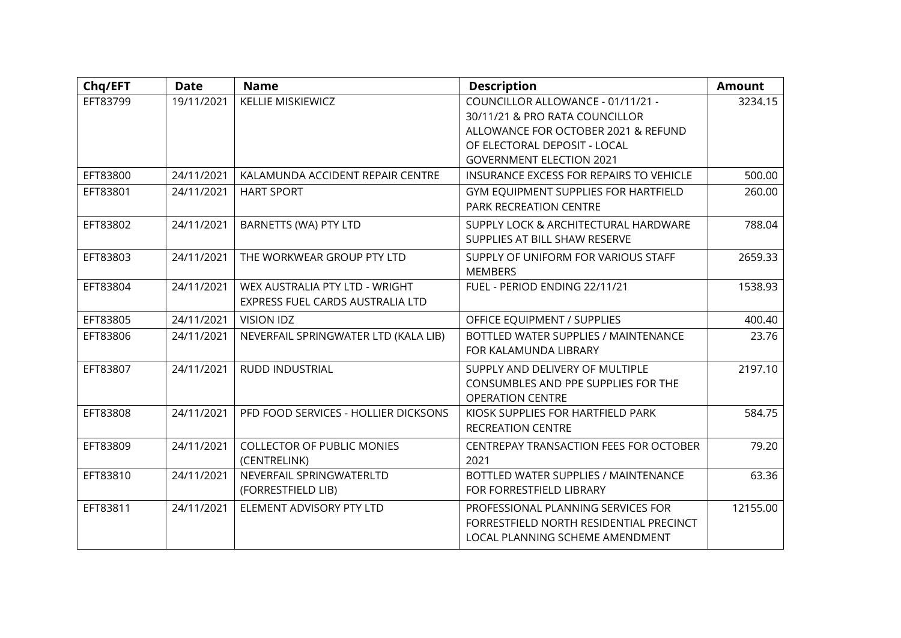| Chq/EFT  | <b>Date</b> | <b>Name</b>                          | <b>Description</b>                      | <b>Amount</b> |
|----------|-------------|--------------------------------------|-----------------------------------------|---------------|
| EFT83799 | 19/11/2021  | <b>KELLIE MISKIEWICZ</b>             | COUNCILLOR ALLOWANCE - 01/11/21 -       | 3234.15       |
|          |             |                                      | 30/11/21 & PRO RATA COUNCILLOR          |               |
|          |             |                                      | ALLOWANCE FOR OCTOBER 2021 & REFUND     |               |
|          |             |                                      | OF ELECTORAL DEPOSIT - LOCAL            |               |
|          |             |                                      | <b>GOVERNMENT ELECTION 2021</b>         |               |
| EFT83800 | 24/11/2021  | KALAMUNDA ACCIDENT REPAIR CENTRE     | INSURANCE EXCESS FOR REPAIRS TO VEHICLE | 500.00        |
| EFT83801 | 24/11/2021  | <b>HART SPORT</b>                    | GYM EQUIPMENT SUPPLIES FOR HARTFIELD    | 260.00        |
|          |             |                                      | PARK RECREATION CENTRE                  |               |
| EFT83802 | 24/11/2021  | BARNETTS (WA) PTY LTD                | SUPPLY LOCK & ARCHITECTURAL HARDWARE    | 788.04        |
|          |             |                                      | SUPPLIES AT BILL SHAW RESERVE           |               |
| EFT83803 | 24/11/2021  | THE WORKWEAR GROUP PTY LTD           | SUPPLY OF UNIFORM FOR VARIOUS STAFF     | 2659.33       |
|          |             |                                      | <b>MEMBERS</b>                          |               |
| EFT83804 | 24/11/2021  | WEX AUSTRALIA PTY LTD - WRIGHT       | FUEL - PERIOD ENDING 22/11/21           | 1538.93       |
|          |             | EXPRESS FUEL CARDS AUSTRALIA LTD     |                                         |               |
| EFT83805 | 24/11/2021  | <b>VISION IDZ</b>                    | OFFICE EQUIPMENT / SUPPLIES             | 400.40        |
| EFT83806 | 24/11/2021  | NEVERFAIL SPRINGWATER LTD (KALA LIB) | BOTTLED WATER SUPPLIES / MAINTENANCE    | 23.76         |
|          |             |                                      | FOR KALAMUNDA LIBRARY                   |               |
| EFT83807 | 24/11/2021  | <b>RUDD INDUSTRIAL</b>               | SUPPLY AND DELIVERY OF MULTIPLE         | 2197.10       |
|          |             |                                      | CONSUMBLES AND PPE SUPPLIES FOR THE     |               |
|          |             |                                      | <b>OPERATION CENTRE</b>                 |               |
| EFT83808 | 24/11/2021  | PFD FOOD SERVICES - HOLLIER DICKSONS | KIOSK SUPPLIES FOR HARTFIELD PARK       | 584.75        |
|          |             |                                      | <b>RECREATION CENTRE</b>                |               |
| EFT83809 | 24/11/2021  | <b>COLLECTOR OF PUBLIC MONIES</b>    | CENTREPAY TRANSACTION FEES FOR OCTOBER  | 79.20         |
|          |             | (CENTRELINK)                         | 2021                                    |               |
| EFT83810 | 24/11/2021  | NEVERFAIL SPRINGWATERLTD             | BOTTLED WATER SUPPLIES / MAINTENANCE    | 63.36         |
|          |             | (FORRESTFIELD LIB)                   | FOR FORRESTFIELD LIBRARY                |               |
| EFT83811 | 24/11/2021  | ELEMENT ADVISORY PTY LTD             | PROFESSIONAL PLANNING SERVICES FOR      | 12155.00      |
|          |             |                                      | FORRESTFIELD NORTH RESIDENTIAL PRECINCT |               |
|          |             |                                      | LOCAL PLANNING SCHEME AMENDMENT         |               |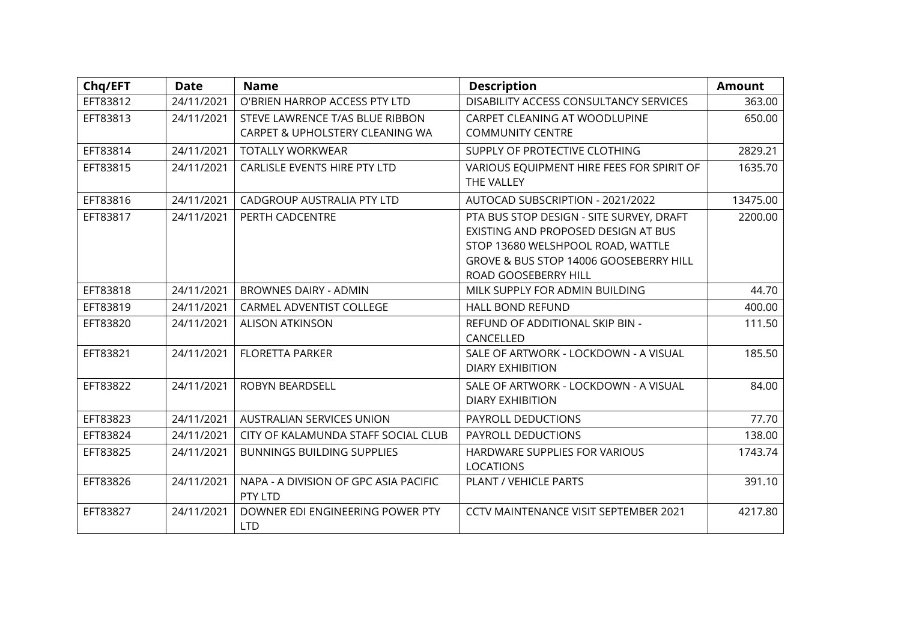| Chq/EFT  | <b>Date</b> | <b>Name</b>                           | <b>Description</b>                        | <b>Amount</b> |
|----------|-------------|---------------------------------------|-------------------------------------------|---------------|
| EFT83812 | 24/11/2021  | O'BRIEN HARROP ACCESS PTY LTD         | DISABILITY ACCESS CONSULTANCY SERVICES    | 363.00        |
| EFT83813 | 24/11/2021  | STEVE LAWRENCE T/AS BLUE RIBBON       | CARPET CLEANING AT WOODLUPINE             | 650.00        |
|          |             | CARPET & UPHOLSTERY CLEANING WA       | <b>COMMUNITY CENTRE</b>                   |               |
| EFT83814 | 24/11/2021  | <b>TOTALLY WORKWEAR</b>               | SUPPLY OF PROTECTIVE CLOTHING             | 2829.21       |
| EFT83815 | 24/11/2021  | CARLISLE EVENTS HIRE PTY LTD          | VARIOUS EQUIPMENT HIRE FEES FOR SPIRIT OF | 1635.70       |
|          |             |                                       | THE VALLEY                                |               |
| EFT83816 | 24/11/2021  | CADGROUP AUSTRALIA PTY LTD            | AUTOCAD SUBSCRIPTION - 2021/2022          | 13475.00      |
| EFT83817 | 24/11/2021  | PERTH CADCENTRE                       | PTA BUS STOP DESIGN - SITE SURVEY, DRAFT  | 2200.00       |
|          |             |                                       | EXISTING AND PROPOSED DESIGN AT BUS       |               |
|          |             |                                       | STOP 13680 WELSHPOOL ROAD, WATTLE         |               |
|          |             |                                       | GROVE & BUS STOP 14006 GOOSEBERRY HILL    |               |
|          |             |                                       | ROAD GOOSEBERRY HILL                      |               |
| EFT83818 | 24/11/2021  | <b>BROWNES DAIRY - ADMIN</b>          | MILK SUPPLY FOR ADMIN BUILDING            | 44.70         |
| EFT83819 | 24/11/2021  | CARMEL ADVENTIST COLLEGE              | <b>HALL BOND REFUND</b>                   | 400.00        |
| EFT83820 | 24/11/2021  | <b>ALISON ATKINSON</b>                | REFUND OF ADDITIONAL SKIP BIN -           | 111.50        |
|          |             |                                       | CANCELLED                                 |               |
| EFT83821 | 24/11/2021  | <b>FLORETTA PARKER</b>                | SALE OF ARTWORK - LOCKDOWN - A VISUAL     | 185.50        |
|          |             |                                       | <b>DIARY EXHIBITION</b>                   |               |
| EFT83822 | 24/11/2021  | ROBYN BEARDSELL                       | SALE OF ARTWORK - LOCKDOWN - A VISUAL     | 84.00         |
|          |             |                                       | <b>DIARY EXHIBITION</b>                   |               |
| EFT83823 | 24/11/2021  | <b>AUSTRALIAN SERVICES UNION</b>      | PAYROLL DEDUCTIONS                        | 77.70         |
| EFT83824 | 24/11/2021  | CITY OF KALAMUNDA STAFF SOCIAL CLUB   | PAYROLL DEDUCTIONS                        | 138.00        |
| EFT83825 | 24/11/2021  | <b>BUNNINGS BUILDING SUPPLIES</b>     | HARDWARE SUPPLIES FOR VARIOUS             | 1743.74       |
|          |             |                                       | <b>LOCATIONS</b>                          |               |
| EFT83826 | 24/11/2021  | NAPA - A DIVISION OF GPC ASIA PACIFIC | PLANT / VEHICLE PARTS                     | 391.10        |
|          |             | PTY LTD                               |                                           |               |
| EFT83827 | 24/11/2021  | DOWNER EDI ENGINEERING POWER PTY      | CCTV MAINTENANCE VISIT SEPTEMBER 2021     | 4217.80       |
|          |             | <b>LTD</b>                            |                                           |               |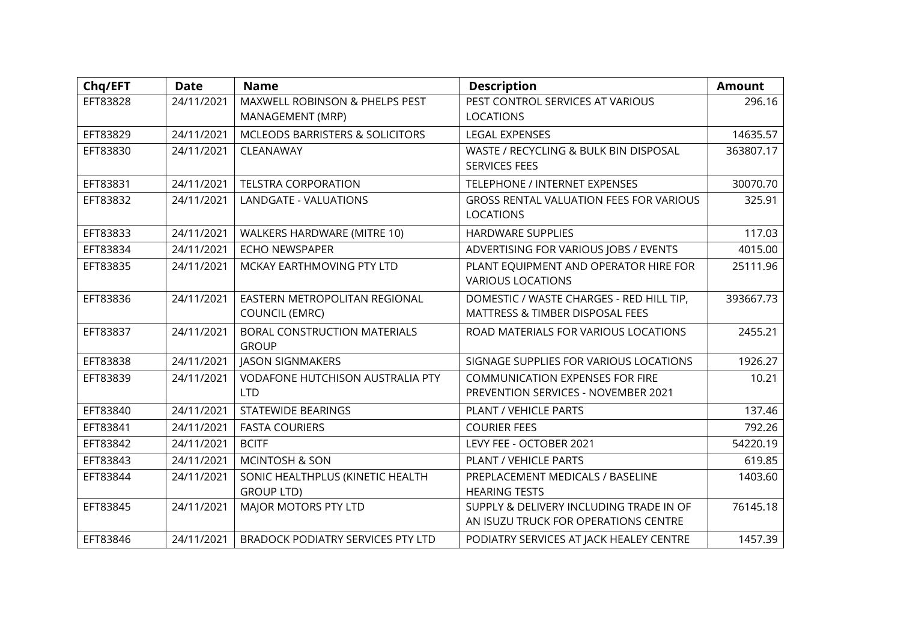| Chq/EFT  | <b>Date</b> | <b>Name</b>                              | <b>Description</b>                             | <b>Amount</b> |
|----------|-------------|------------------------------------------|------------------------------------------------|---------------|
| EFT83828 | 24/11/2021  | MAXWELL ROBINSON & PHELPS PEST           | PEST CONTROL SERVICES AT VARIOUS               | 296.16        |
|          |             | MANAGEMENT (MRP)                         | <b>LOCATIONS</b>                               |               |
| EFT83829 | 24/11/2021  | MCLEODS BARRISTERS & SOLICITORS          | <b>LEGAL EXPENSES</b>                          | 14635.57      |
| EFT83830 | 24/11/2021  | CLEANAWAY                                | WASTE / RECYCLING & BULK BIN DISPOSAL          | 363807.17     |
|          |             |                                          | <b>SERVICES FEES</b>                           |               |
| EFT83831 | 24/11/2021  | <b>TELSTRA CORPORATION</b>               | TELEPHONE / INTERNET EXPENSES                  | 30070.70      |
| EFT83832 | 24/11/2021  | LANDGATE - VALUATIONS                    | <b>GROSS RENTAL VALUATION FEES FOR VARIOUS</b> | 325.91        |
|          |             |                                          | <b>LOCATIONS</b>                               |               |
| EFT83833 | 24/11/2021  | WALKERS HARDWARE (MITRE 10)              | <b>HARDWARE SUPPLIES</b>                       | 117.03        |
| EFT83834 | 24/11/2021  | <b>ECHO NEWSPAPER</b>                    | ADVERTISING FOR VARIOUS JOBS / EVENTS          | 4015.00       |
| EFT83835 | 24/11/2021  | MCKAY EARTHMOVING PTY LTD                | PLANT EQUIPMENT AND OPERATOR HIRE FOR          | 25111.96      |
|          |             |                                          | <b>VARIOUS LOCATIONS</b>                       |               |
| EFT83836 | 24/11/2021  | EASTERN METROPOLITAN REGIONAL            | DOMESTIC / WASTE CHARGES - RED HILL TIP,       | 393667.73     |
|          |             | <b>COUNCIL (EMRC)</b>                    | MATTRESS & TIMBER DISPOSAL FEES                |               |
| EFT83837 | 24/11/2021  | BORAL CONSTRUCTION MATERIALS             | ROAD MATERIALS FOR VARIOUS LOCATIONS           | 2455.21       |
|          |             | <b>GROUP</b>                             |                                                |               |
| EFT83838 | 24/11/2021  | <b>JASON SIGNMAKERS</b>                  | SIGNAGE SUPPLIES FOR VARIOUS LOCATIONS         | 1926.27       |
| EFT83839 | 24/11/2021  | <b>VODAFONE HUTCHISON AUSTRALIA PTY</b>  | <b>COMMUNICATION EXPENSES FOR FIRE</b>         | 10.21         |
|          |             | <b>LTD</b>                               | PREVENTION SERVICES - NOVEMBER 2021            |               |
| EFT83840 | 24/11/2021  | <b>STATEWIDE BEARINGS</b>                | PLANT / VEHICLE PARTS                          | 137.46        |
| EFT83841 | 24/11/2021  | <b>FASTA COURIERS</b>                    | <b>COURIER FEES</b>                            | 792.26        |
| EFT83842 | 24/11/2021  | <b>BCITF</b>                             | LEVY FEE - OCTOBER 2021                        | 54220.19      |
| EFT83843 | 24/11/2021  | <b>MCINTOSH &amp; SON</b>                | PLANT / VEHICLE PARTS                          | 619.85        |
| EFT83844 | 24/11/2021  | SONIC HEALTHPLUS (KINETIC HEALTH         | PREPLACEMENT MEDICALS / BASELINE               | 1403.60       |
|          |             | <b>GROUP LTD)</b>                        | <b>HEARING TESTS</b>                           |               |
| EFT83845 | 24/11/2021  | MAJOR MOTORS PTY LTD                     | SUPPLY & DELIVERY INCLUDING TRADE IN OF        | 76145.18      |
|          |             |                                          | AN ISUZU TRUCK FOR OPERATIONS CENTRE           |               |
| EFT83846 | 24/11/2021  | <b>BRADOCK PODIATRY SERVICES PTY LTD</b> | PODIATRY SERVICES AT JACK HEALEY CENTRE        | 1457.39       |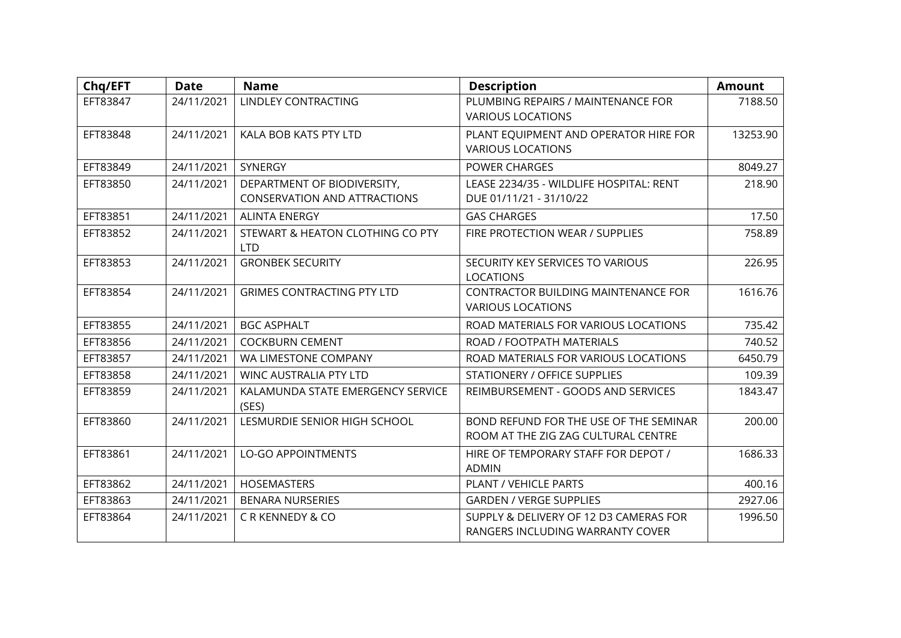| Chq/EFT  | <b>Date</b> | <b>Name</b>                                                        | <b>Description</b>                                                            | <b>Amount</b> |
|----------|-------------|--------------------------------------------------------------------|-------------------------------------------------------------------------------|---------------|
| EFT83847 | 24/11/2021  | LINDLEY CONTRACTING                                                | PLUMBING REPAIRS / MAINTENANCE FOR<br><b>VARIOUS LOCATIONS</b>                | 7188.50       |
| EFT83848 | 24/11/2021  | KALA BOB KATS PTY LTD                                              | PLANT EQUIPMENT AND OPERATOR HIRE FOR<br><b>VARIOUS LOCATIONS</b>             | 13253.90      |
| EFT83849 | 24/11/2021  | SYNERGY                                                            | <b>POWER CHARGES</b>                                                          | 8049.27       |
| EFT83850 | 24/11/2021  | DEPARTMENT OF BIODIVERSITY,<br><b>CONSERVATION AND ATTRACTIONS</b> | LEASE 2234/35 - WILDLIFE HOSPITAL: RENT<br>DUE 01/11/21 - 31/10/22            | 218.90        |
| EFT83851 | 24/11/2021  | <b>ALINTA ENERGY</b>                                               | <b>GAS CHARGES</b>                                                            | 17.50         |
| EFT83852 | 24/11/2021  | STEWART & HEATON CLOTHING CO PTY<br><b>LTD</b>                     | FIRE PROTECTION WEAR / SUPPLIES                                               | 758.89        |
| EFT83853 | 24/11/2021  | <b>GRONBEK SECURITY</b>                                            | SECURITY KEY SERVICES TO VARIOUS<br>LOCATIONS                                 | 226.95        |
| EFT83854 | 24/11/2021  | <b>GRIMES CONTRACTING PTY LTD</b>                                  | CONTRACTOR BUILDING MAINTENANCE FOR<br><b>VARIOUS LOCATIONS</b>               | 1616.76       |
| EFT83855 | 24/11/2021  | <b>BGC ASPHALT</b>                                                 | ROAD MATERIALS FOR VARIOUS LOCATIONS                                          | 735.42        |
| EFT83856 | 24/11/2021  | <b>COCKBURN CEMENT</b>                                             | ROAD / FOOTPATH MATERIALS                                                     | 740.52        |
| EFT83857 | 24/11/2021  | WA LIMESTONE COMPANY                                               | ROAD MATERIALS FOR VARIOUS LOCATIONS                                          | 6450.79       |
| EFT83858 | 24/11/2021  | WINC AUSTRALIA PTY LTD                                             | <b>STATIONERY / OFFICE SUPPLIES</b>                                           | 109.39        |
| EFT83859 | 24/11/2021  | KALAMUNDA STATE EMERGENCY SERVICE<br>(SES)                         | REIMBURSEMENT - GOODS AND SERVICES                                            | 1843.47       |
| EFT83860 | 24/11/2021  | LESMURDIE SENIOR HIGH SCHOOL                                       | BOND REFUND FOR THE USE OF THE SEMINAR<br>ROOM AT THE ZIG ZAG CULTURAL CENTRE | 200.00        |
| EFT83861 | 24/11/2021  | <b>LO-GO APPOINTMENTS</b>                                          | HIRE OF TEMPORARY STAFF FOR DEPOT /<br><b>ADMIN</b>                           | 1686.33       |
| EFT83862 | 24/11/2021  | <b>HOSEMASTERS</b>                                                 | PLANT / VEHICLE PARTS                                                         | 400.16        |
| EFT83863 | 24/11/2021  | <b>BENARA NURSERIES</b>                                            | <b>GARDEN / VERGE SUPPLIES</b>                                                | 2927.06       |
| EFT83864 | 24/11/2021  | CRKENNEDY&CO                                                       | SUPPLY & DELIVERY OF 12 D3 CAMERAS FOR<br>RANGERS INCLUDING WARRANTY COVER    | 1996.50       |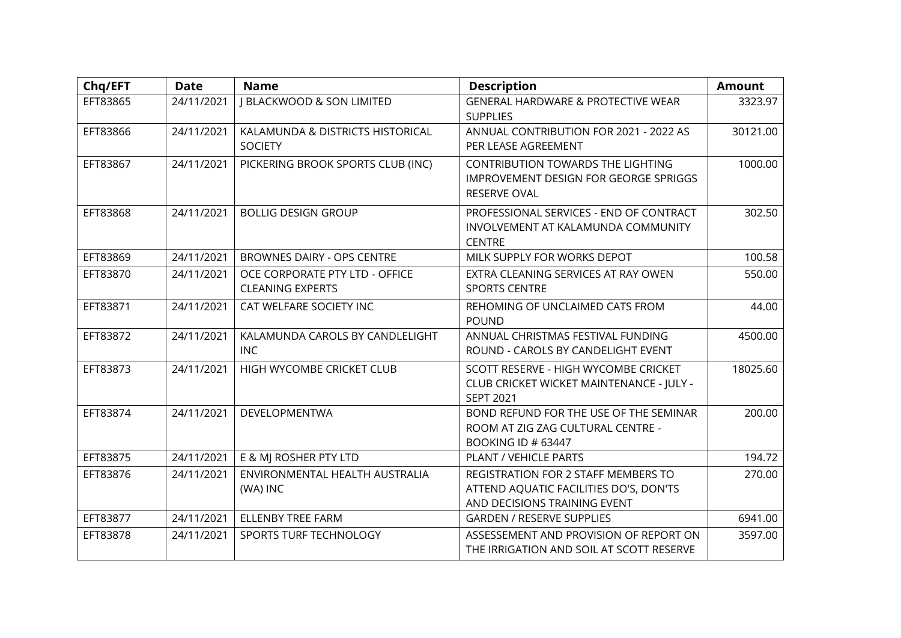| Chq/EFT  | <b>Date</b> | <b>Name</b>                                               | <b>Description</b>                                                                                            | <b>Amount</b> |
|----------|-------------|-----------------------------------------------------------|---------------------------------------------------------------------------------------------------------------|---------------|
| EFT83865 | 24/11/2021  | <b>J BLACKWOOD &amp; SON LIMITED</b>                      | <b>GENERAL HARDWARE &amp; PROTECTIVE WEAR</b><br><b>SUPPLIES</b>                                              | 3323.97       |
| EFT83866 | 24/11/2021  | KALAMUNDA & DISTRICTS HISTORICAL<br><b>SOCIETY</b>        | ANNUAL CONTRIBUTION FOR 2021 - 2022 AS<br>PER LEASE AGREEMENT                                                 | 30121.00      |
| EFT83867 | 24/11/2021  | PICKERING BROOK SPORTS CLUB (INC)                         | CONTRIBUTION TOWARDS THE LIGHTING<br>IMPROVEMENT DESIGN FOR GEORGE SPRIGGS<br><b>RESERVE OVAL</b>             | 1000.00       |
| EFT83868 | 24/11/2021  | <b>BOLLIG DESIGN GROUP</b>                                | PROFESSIONAL SERVICES - END OF CONTRACT<br>INVOLVEMENT AT KALAMUNDA COMMUNITY<br><b>CENTRE</b>                | 302.50        |
| EFT83869 | 24/11/2021  | <b>BROWNES DAIRY - OPS CENTRE</b>                         | MILK SUPPLY FOR WORKS DEPOT                                                                                   | 100.58        |
| EFT83870 | 24/11/2021  | OCE CORPORATE PTY LTD - OFFICE<br><b>CLEANING EXPERTS</b> | EXTRA CLEANING SERVICES AT RAY OWEN<br><b>SPORTS CENTRE</b>                                                   | 550.00        |
| EFT83871 | 24/11/2021  | CAT WELFARE SOCIETY INC                                   | REHOMING OF UNCLAIMED CATS FROM<br><b>POUND</b>                                                               | 44.00         |
| EFT83872 | 24/11/2021  | KALAMUNDA CAROLS BY CANDLELIGHT<br><b>INC</b>             | ANNUAL CHRISTMAS FESTIVAL FUNDING<br>ROUND - CAROLS BY CANDELIGHT EVENT                                       | 4500.00       |
| EFT83873 | 24/11/2021  | HIGH WYCOMBE CRICKET CLUB                                 | SCOTT RESERVE - HIGH WYCOMBE CRICKET<br>CLUB CRICKET WICKET MAINTENANCE - JULY -<br><b>SEPT 2021</b>          | 18025.60      |
| EFT83874 | 24/11/2021  | <b>DEVELOPMENTWA</b>                                      | BOND REFUND FOR THE USE OF THE SEMINAR<br>ROOM AT ZIG ZAG CULTURAL CENTRE -<br><b>BOOKING ID # 63447</b>      | 200.00        |
| EFT83875 | 24/11/2021  | E & MI ROSHER PTY LTD                                     | <b>PLANT / VEHICLE PARTS</b>                                                                                  | 194.72        |
| EFT83876 | 24/11/2021  | ENVIRONMENTAL HEALTH AUSTRALIA<br>(WA) INC                | REGISTRATION FOR 2 STAFF MEMBERS TO<br>ATTEND AQUATIC FACILITIES DO'S, DON'TS<br>AND DECISIONS TRAINING EVENT | 270.00        |
| EFT83877 | 24/11/2021  | <b>ELLENBY TREE FARM</b>                                  | <b>GARDEN / RESERVE SUPPLIES</b>                                                                              | 6941.00       |
| EFT83878 | 24/11/2021  | SPORTS TURF TECHNOLOGY                                    | ASSESSEMENT AND PROVISION OF REPORT ON<br>THE IRRIGATION AND SOIL AT SCOTT RESERVE                            | 3597.00       |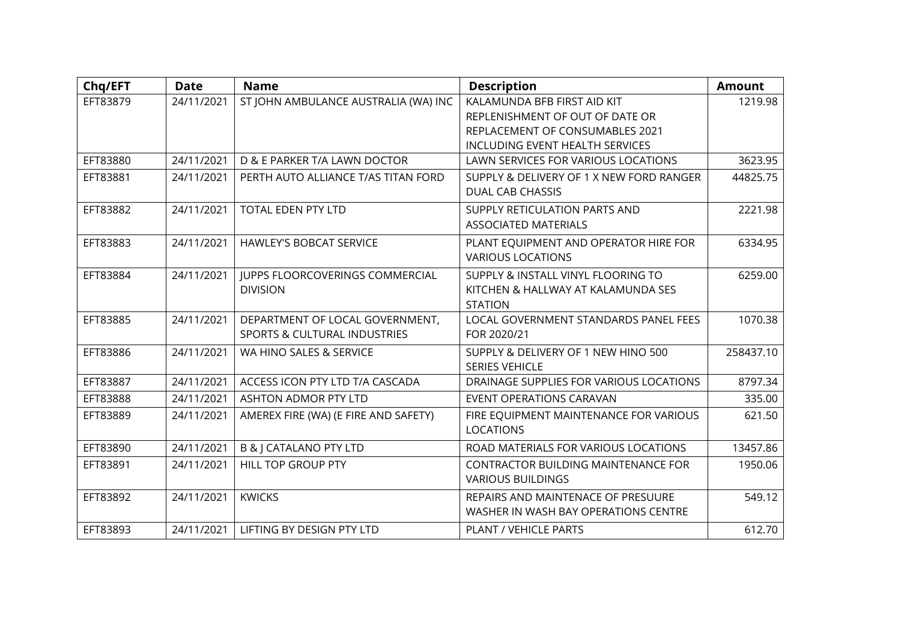| Chq/EFT  | <b>Date</b> | <b>Name</b>                             | <b>Description</b>                       | <b>Amount</b> |
|----------|-------------|-----------------------------------------|------------------------------------------|---------------|
| EFT83879 | 24/11/2021  | ST JOHN AMBULANCE AUSTRALIA (WA) INC    | KALAMUNDA BFB FIRST AID KIT              | 1219.98       |
|          |             |                                         | REPLENISHMENT OF OUT OF DATE OR          |               |
|          |             |                                         | REPLACEMENT OF CONSUMABLES 2021          |               |
|          |             |                                         | INCLUDING EVENT HEALTH SERVICES          |               |
| EFT83880 | 24/11/2021  | D & E PARKER T/A LAWN DOCTOR            | LAWN SERVICES FOR VARIOUS LOCATIONS      | 3623.95       |
| EFT83881 | 24/11/2021  | PERTH AUTO ALLIANCE T/AS TITAN FORD     | SUPPLY & DELIVERY OF 1 X NEW FORD RANGER | 44825.75      |
|          |             |                                         | <b>DUAL CAB CHASSIS</b>                  |               |
| EFT83882 | 24/11/2021  | TOTAL EDEN PTY LTD                      | SUPPLY RETICULATION PARTS AND            | 2221.98       |
|          |             |                                         | <b>ASSOCIATED MATERIALS</b>              |               |
| EFT83883 | 24/11/2021  | <b>HAWLEY'S BOBCAT SERVICE</b>          | PLANT EQUIPMENT AND OPERATOR HIRE FOR    | 6334.95       |
|          |             |                                         | <b>VARIOUS LOCATIONS</b>                 |               |
| EFT83884 | 24/11/2021  | JUPPS FLOORCOVERINGS COMMERCIAL         | SUPPLY & INSTALL VINYL FLOORING TO       | 6259.00       |
|          |             | <b>DIVISION</b>                         | KITCHEN & HALLWAY AT KALAMUNDA SES       |               |
|          |             |                                         | <b>STATION</b>                           |               |
| EFT83885 | 24/11/2021  | DEPARTMENT OF LOCAL GOVERNMENT,         | LOCAL GOVERNMENT STANDARDS PANEL FEES    | 1070.38       |
|          |             | <b>SPORTS &amp; CULTURAL INDUSTRIES</b> | FOR 2020/21                              |               |
| EFT83886 | 24/11/2021  | WA HINO SALES & SERVICE                 | SUPPLY & DELIVERY OF 1 NEW HINO 500      | 258437.10     |
|          |             |                                         | <b>SERIES VEHICLE</b>                    |               |
| EFT83887 | 24/11/2021  | ACCESS ICON PTY LTD T/A CASCADA         | DRAINAGE SUPPLIES FOR VARIOUS LOCATIONS  | 8797.34       |
| EFT83888 | 24/11/2021  | <b>ASHTON ADMOR PTY LTD</b>             | EVENT OPERATIONS CARAVAN                 | 335.00        |
| EFT83889 | 24/11/2021  | AMEREX FIRE (WA) (E FIRE AND SAFETY)    | FIRE EQUIPMENT MAINTENANCE FOR VARIOUS   | 621.50        |
|          |             |                                         | <b>LOCATIONS</b>                         |               |
| EFT83890 | 24/11/2021  | <b>B &amp;   CATALANO PTY LTD</b>       | ROAD MATERIALS FOR VARIOUS LOCATIONS     | 13457.86      |
| EFT83891 | 24/11/2021  | HILL TOP GROUP PTY                      | CONTRACTOR BUILDING MAINTENANCE FOR      | 1950.06       |
|          |             |                                         | <b>VARIOUS BUILDINGS</b>                 |               |
| EFT83892 | 24/11/2021  | <b>KWICKS</b>                           | REPAIRS AND MAINTENACE OF PRESUURE       | 549.12        |
|          |             |                                         | WASHER IN WASH BAY OPERATIONS CENTRE     |               |
| EFT83893 | 24/11/2021  | LIFTING BY DESIGN PTY LTD               | PLANT / VEHICLE PARTS                    | 612.70        |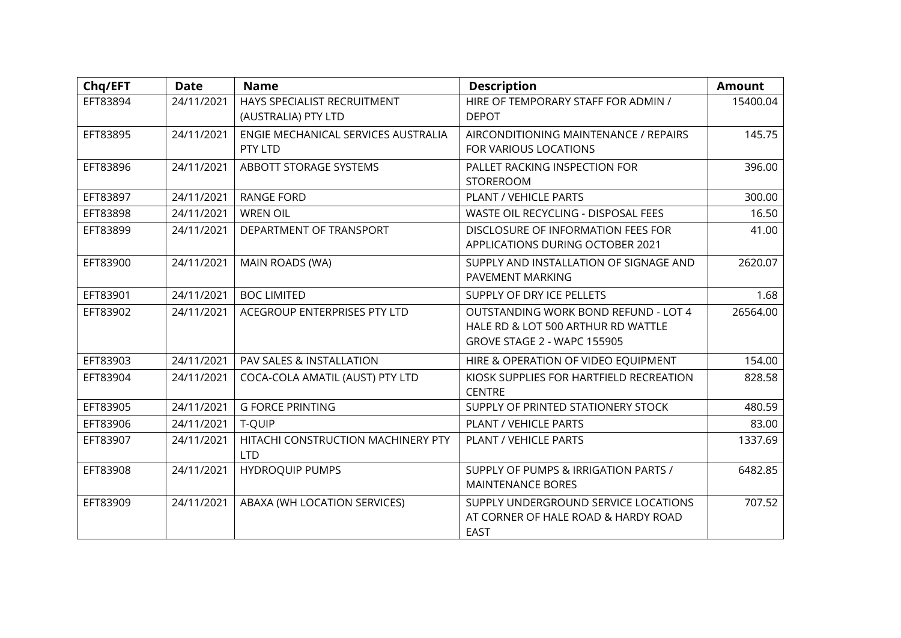| Chq/EFT  | <b>Date</b> | <b>Name</b>                         | <b>Description</b>                         | <b>Amount</b> |
|----------|-------------|-------------------------------------|--------------------------------------------|---------------|
| EFT83894 | 24/11/2021  | HAYS SPECIALIST RECRUITMENT         | HIRE OF TEMPORARY STAFF FOR ADMIN /        | 15400.04      |
|          |             | (AUSTRALIA) PTY LTD                 | <b>DEPOT</b>                               |               |
| EFT83895 | 24/11/2021  | ENGIE MECHANICAL SERVICES AUSTRALIA | AIRCONDITIONING MAINTENANCE / REPAIRS      | 145.75        |
|          |             | PTY LTD                             | FOR VARIOUS LOCATIONS                      |               |
| EFT83896 | 24/11/2021  | ABBOTT STORAGE SYSTEMS              | PALLET RACKING INSPECTION FOR              | 396.00        |
|          |             |                                     | <b>STOREROOM</b>                           |               |
| EFT83897 | 24/11/2021  | <b>RANGE FORD</b>                   | PLANT / VEHICLE PARTS                      | 300.00        |
| EFT83898 | 24/11/2021  | <b>WREN OIL</b>                     | <b>WASTE OIL RECYCLING - DISPOSAL FEES</b> | 16.50         |
| EFT83899 | 24/11/2021  | DEPARTMENT OF TRANSPORT             | DISCLOSURE OF INFORMATION FEES FOR         | 41.00         |
|          |             |                                     | APPLICATIONS DURING OCTOBER 2021           |               |
| EFT83900 | 24/11/2021  | MAIN ROADS (WA)                     | SUPPLY AND INSTALLATION OF SIGNAGE AND     | 2620.07       |
|          |             |                                     | PAVEMENT MARKING                           |               |
| EFT83901 | 24/11/2021  | <b>BOC LIMITED</b>                  | SUPPLY OF DRY ICE PELLETS                  | 1.68          |
| EFT83902 | 24/11/2021  | ACEGROUP ENTERPRISES PTY LTD        | OUTSTANDING WORK BOND REFUND - LOT 4       | 26564.00      |
|          |             |                                     | HALE RD & LOT 500 ARTHUR RD WATTLE         |               |
|          |             |                                     | GROVE STAGE 2 - WAPC 155905                |               |
| EFT83903 | 24/11/2021  | PAV SALES & INSTALLATION            | HIRE & OPERATION OF VIDEO EQUIPMENT        | 154.00        |
| EFT83904 | 24/11/2021  | COCA-COLA AMATIL (AUST) PTY LTD     | KIOSK SUPPLIES FOR HARTFIELD RECREATION    | 828.58        |
|          |             |                                     | <b>CENTRE</b>                              |               |
| EFT83905 | 24/11/2021  | <b>G FORCE PRINTING</b>             | SUPPLY OF PRINTED STATIONERY STOCK         | 480.59        |
| EFT83906 | 24/11/2021  | T-QUIP                              | PLANT / VEHICLE PARTS                      | 83.00         |
| EFT83907 | 24/11/2021  | HITACHI CONSTRUCTION MACHINERY PTY  | PLANT / VEHICLE PARTS                      | 1337.69       |
|          |             | <b>LTD</b>                          |                                            |               |
| EFT83908 | 24/11/2021  | <b>HYDROQUIP PUMPS</b>              | SUPPLY OF PUMPS & IRRIGATION PARTS /       | 6482.85       |
|          |             |                                     | <b>MAINTENANCE BORES</b>                   |               |
| EFT83909 | 24/11/2021  | ABAXA (WH LOCATION SERVICES)        | SUPPLY UNDERGROUND SERVICE LOCATIONS       | 707.52        |
|          |             |                                     | AT CORNER OF HALE ROAD & HARDY ROAD        |               |
|          |             |                                     | <b>EAST</b>                                |               |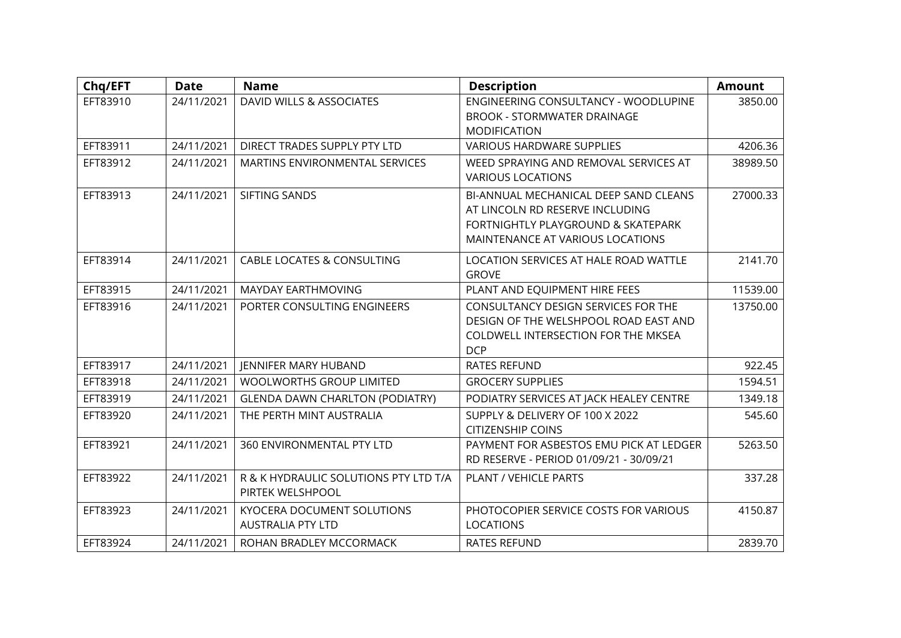| Chq/EFT  | <b>Date</b> | <b>Name</b>                                               | <b>Description</b>                                                                                                                                 | <b>Amount</b> |
|----------|-------------|-----------------------------------------------------------|----------------------------------------------------------------------------------------------------------------------------------------------------|---------------|
| EFT83910 | 24/11/2021  | DAVID WILLS & ASSOCIATES                                  | ENGINEERING CONSULTANCY - WOODLUPINE<br><b>BROOK - STORMWATER DRAINAGE</b><br><b>MODIFICATION</b>                                                  | 3850.00       |
| EFT83911 | 24/11/2021  | DIRECT TRADES SUPPLY PTY LTD                              | <b>VARIOUS HARDWARE SUPPLIES</b>                                                                                                                   | 4206.36       |
| EFT83912 | 24/11/2021  | MARTINS ENVIRONMENTAL SERVICES                            | WEED SPRAYING AND REMOVAL SERVICES AT<br><b>VARIOUS LOCATIONS</b>                                                                                  | 38989.50      |
| EFT83913 | 24/11/2021  | SIFTING SANDS                                             | BI-ANNUAL MECHANICAL DEEP SAND CLEANS<br>AT LINCOLN RD RESERVE INCLUDING<br>FORTNIGHTLY PLAYGROUND & SKATEPARK<br>MAINTENANCE AT VARIOUS LOCATIONS | 27000.33      |
| EFT83914 | 24/11/2021  | <b>CABLE LOCATES &amp; CONSULTING</b>                     | LOCATION SERVICES AT HALE ROAD WATTLE<br><b>GROVE</b>                                                                                              | 2141.70       |
| EFT83915 | 24/11/2021  | MAYDAY EARTHMOVING                                        | PLANT AND EQUIPMENT HIRE FEES                                                                                                                      | 11539.00      |
| EFT83916 | 24/11/2021  | PORTER CONSULTING ENGINEERS                               | CONSULTANCY DESIGN SERVICES FOR THE<br>DESIGN OF THE WELSHPOOL ROAD EAST AND<br>COLDWELL INTERSECTION FOR THE MKSEA<br><b>DCP</b>                  | 13750.00      |
| EFT83917 | 24/11/2021  | <b>JENNIFER MARY HUBAND</b>                               | <b>RATES REFUND</b>                                                                                                                                | 922.45        |
| EFT83918 | 24/11/2021  | <b>WOOLWORTHS GROUP LIMITED</b>                           | <b>GROCERY SUPPLIES</b>                                                                                                                            | 1594.51       |
| EFT83919 | 24/11/2021  | <b>GLENDA DAWN CHARLTON (PODIATRY)</b>                    | PODIATRY SERVICES AT JACK HEALEY CENTRE                                                                                                            | 1349.18       |
| EFT83920 | 24/11/2021  | THE PERTH MINT AUSTRALIA                                  | SUPPLY & DELIVERY OF 100 X 2022<br><b>CITIZENSHIP COINS</b>                                                                                        | 545.60        |
| EFT83921 | 24/11/2021  | 360 ENVIRONMENTAL PTY LTD                                 | PAYMENT FOR ASBESTOS EMU PICK AT LEDGER<br>RD RESERVE - PERIOD 01/09/21 - 30/09/21                                                                 | 5263.50       |
| EFT83922 | 24/11/2021  | R & K HYDRAULIC SOLUTIONS PTY LTD T/A<br>PIRTEK WELSHPOOL | PLANT / VEHICLE PARTS                                                                                                                              | 337.28        |
| EFT83923 | 24/11/2021  | KYOCERA DOCUMENT SOLUTIONS<br><b>AUSTRALIA PTY LTD</b>    | PHOTOCOPIER SERVICE COSTS FOR VARIOUS<br><b>LOCATIONS</b>                                                                                          | 4150.87       |
| EFT83924 | 24/11/2021  | ROHAN BRADLEY MCCORMACK                                   | <b>RATES REFUND</b>                                                                                                                                | 2839.70       |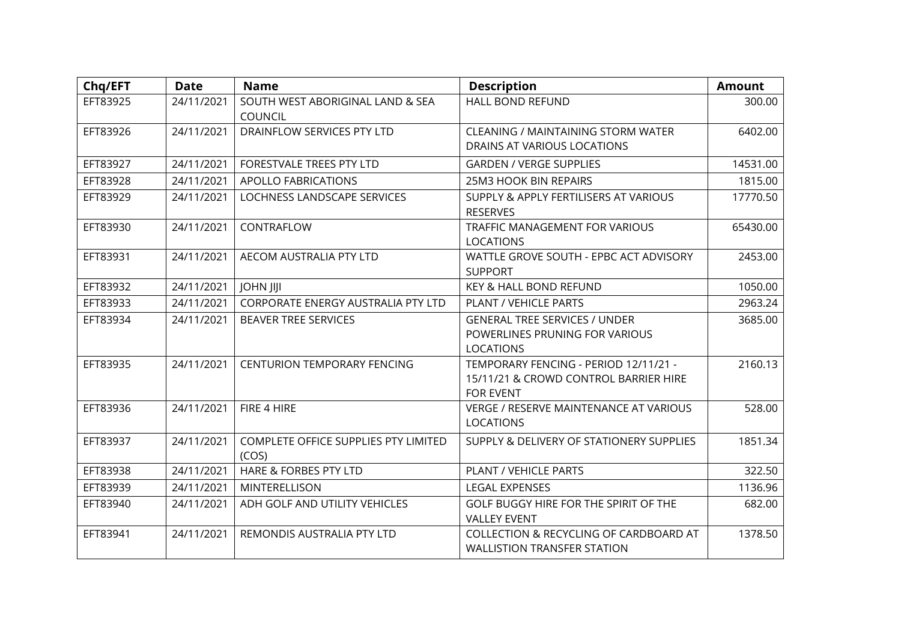| Chq/EFT  | <b>Date</b> | <b>Name</b>                                   | <b>Description</b>                                                                                 | <b>Amount</b> |
|----------|-------------|-----------------------------------------------|----------------------------------------------------------------------------------------------------|---------------|
| EFT83925 | 24/11/2021  | SOUTH WEST ABORIGINAL LAND & SEA<br>COUNCIL   | <b>HALL BOND REFUND</b>                                                                            | 300.00        |
| EFT83926 | 24/11/2021  | DRAINFLOW SERVICES PTY LTD                    | <b>CLEANING / MAINTAINING STORM WATER</b><br>DRAINS AT VARIOUS LOCATIONS                           | 6402.00       |
| EFT83927 | 24/11/2021  | FORESTVALE TREES PTY LTD                      | <b>GARDEN / VERGE SUPPLIES</b>                                                                     | 14531.00      |
| EFT83928 | 24/11/2021  | <b>APOLLO FABRICATIONS</b>                    | <b>25M3 HOOK BIN REPAIRS</b>                                                                       | 1815.00       |
| EFT83929 | 24/11/2021  | LOCHNESS LANDSCAPE SERVICES                   | SUPPLY & APPLY FERTILISERS AT VARIOUS<br><b>RESERVES</b>                                           | 17770.50      |
| EFT83930 | 24/11/2021  | CONTRAFLOW                                    | <b>TRAFFIC MANAGEMENT FOR VARIOUS</b><br><b>LOCATIONS</b>                                          | 65430.00      |
| EFT83931 | 24/11/2021  | AECOM AUSTRALIA PTY LTD                       | WATTLE GROVE SOUTH - EPBC ACT ADVISORY<br><b>SUPPORT</b>                                           | 2453.00       |
| EFT83932 | 24/11/2021  | <b>JOHN JIJI</b>                              | KEY & HALL BOND REFUND                                                                             | 1050.00       |
| EFT83933 | 24/11/2021  | CORPORATE ENERGY AUSTRALIA PTY LTD            | PLANT / VEHICLE PARTS                                                                              | 2963.24       |
| EFT83934 | 24/11/2021  | <b>BEAVER TREE SERVICES</b>                   | <b>GENERAL TREE SERVICES / UNDER</b><br>POWERLINES PRUNING FOR VARIOUS<br><b>LOCATIONS</b>         | 3685.00       |
| EFT83935 | 24/11/2021  | <b>CENTURION TEMPORARY FENCING</b>            | TEMPORARY FENCING - PERIOD 12/11/21 -<br>15/11/21 & CROWD CONTROL BARRIER HIRE<br><b>FOR EVENT</b> | 2160.13       |
| EFT83936 | 24/11/2021  | FIRE 4 HIRE                                   | VERGE / RESERVE MAINTENANCE AT VARIOUS<br><b>LOCATIONS</b>                                         | 528.00        |
| EFT83937 | 24/11/2021  | COMPLETE OFFICE SUPPLIES PTY LIMITED<br>(COS) | SUPPLY & DELIVERY OF STATIONERY SUPPLIES                                                           | 1851.34       |
| EFT83938 | 24/11/2021  | HARE & FORBES PTY LTD                         | PLANT / VEHICLE PARTS                                                                              | 322.50        |
| EFT83939 | 24/11/2021  | MINTERELLISON                                 | <b>LEGAL EXPENSES</b>                                                                              | 1136.96       |
| EFT83940 | 24/11/2021  | ADH GOLF AND UTILITY VEHICLES                 | GOLF BUGGY HIRE FOR THE SPIRIT OF THE<br><b>VALLEY EVENT</b>                                       | 682.00        |
| EFT83941 | 24/11/2021  | REMONDIS AUSTRALIA PTY LTD                    | COLLECTION & RECYCLING OF CARDBOARD AT<br><b>WALLISTION TRANSFER STATION</b>                       | 1378.50       |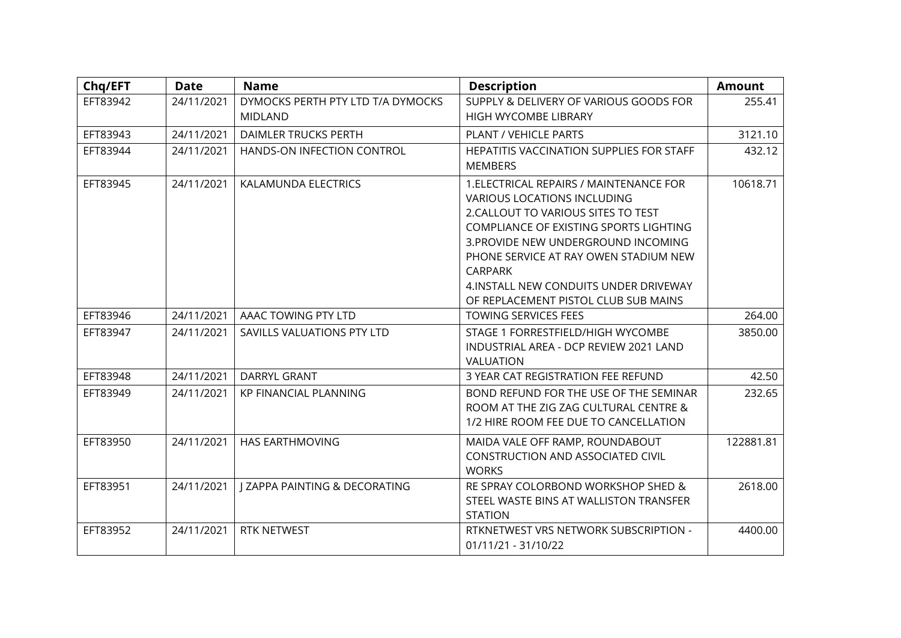| Chq/EFT  | <b>Date</b> | <b>Name</b>                              | <b>Description</b>                       | <b>Amount</b> |
|----------|-------------|------------------------------------------|------------------------------------------|---------------|
| EFT83942 | 24/11/2021  | DYMOCKS PERTH PTY LTD T/A DYMOCKS        | SUPPLY & DELIVERY OF VARIOUS GOODS FOR   | 255.41        |
|          |             | <b>MIDLAND</b>                           | HIGH WYCOMBE LIBRARY                     |               |
| EFT83943 | 24/11/2021  | <b>DAIMLER TRUCKS PERTH</b>              | PLANT / VEHICLE PARTS                    | 3121.10       |
| EFT83944 | 24/11/2021  | HANDS-ON INFECTION CONTROL               | HEPATITIS VACCINATION SUPPLIES FOR STAFF | 432.12        |
|          |             |                                          | <b>MEMBERS</b>                           |               |
| EFT83945 | 24/11/2021  | KALAMUNDA ELECTRICS                      | 1. ELECTRICAL REPAIRS / MAINTENANCE FOR  | 10618.71      |
|          |             |                                          | <b>VARIOUS LOCATIONS INCLUDING</b>       |               |
|          |             |                                          | 2. CALLOUT TO VARIOUS SITES TO TEST      |               |
|          |             |                                          | COMPLIANCE OF EXISTING SPORTS LIGHTING   |               |
|          |             |                                          | 3. PROVIDE NEW UNDERGROUND INCOMING      |               |
|          |             |                                          | PHONE SERVICE AT RAY OWEN STADIUM NEW    |               |
|          |             |                                          | <b>CARPARK</b>                           |               |
|          |             |                                          | 4.INSTALL NEW CONDUITS UNDER DRIVEWAY    |               |
|          |             |                                          | OF REPLACEMENT PISTOL CLUB SUB MAINS     |               |
| EFT83946 | 24/11/2021  | AAAC TOWING PTY LTD                      | <b>TOWING SERVICES FEES</b>              | 264.00        |
| EFT83947 | 24/11/2021  | SAVILLS VALUATIONS PTY LTD               | STAGE 1 FORRESTFIELD/HIGH WYCOMBE        | 3850.00       |
|          |             |                                          | INDUSTRIAL AREA - DCP REVIEW 2021 LAND   |               |
|          |             |                                          | <b>VALUATION</b>                         |               |
| EFT83948 | 24/11/2021  | DARRYL GRANT                             | 3 YEAR CAT REGISTRATION FEE REFUND       | 42.50         |
| EFT83949 | 24/11/2021  | <b>KP FINANCIAL PLANNING</b>             | BOND REFUND FOR THE USE OF THE SEMINAR   | 232.65        |
|          |             |                                          | ROOM AT THE ZIG ZAG CULTURAL CENTRE &    |               |
|          |             |                                          | 1/2 HIRE ROOM FEE DUE TO CANCELLATION    |               |
| EFT83950 | 24/11/2021  | <b>HAS EARTHMOVING</b>                   | MAIDA VALE OFF RAMP, ROUNDABOUT          | 122881.81     |
|          |             |                                          | CONSTRUCTION AND ASSOCIATED CIVIL        |               |
|          |             |                                          | <b>WORKS</b>                             |               |
| EFT83951 | 24/11/2021  | <b>J ZAPPA PAINTING &amp; DECORATING</b> | RE SPRAY COLORBOND WORKSHOP SHED &       | 2618.00       |
|          |             |                                          | STEEL WASTE BINS AT WALLISTON TRANSFER   |               |
|          |             |                                          | <b>STATION</b>                           |               |
| EFT83952 | 24/11/2021  | RTK NETWEST                              | RTKNETWEST VRS NETWORK SUBSCRIPTION -    | 4400.00       |
|          |             |                                          | 01/11/21 - 31/10/22                      |               |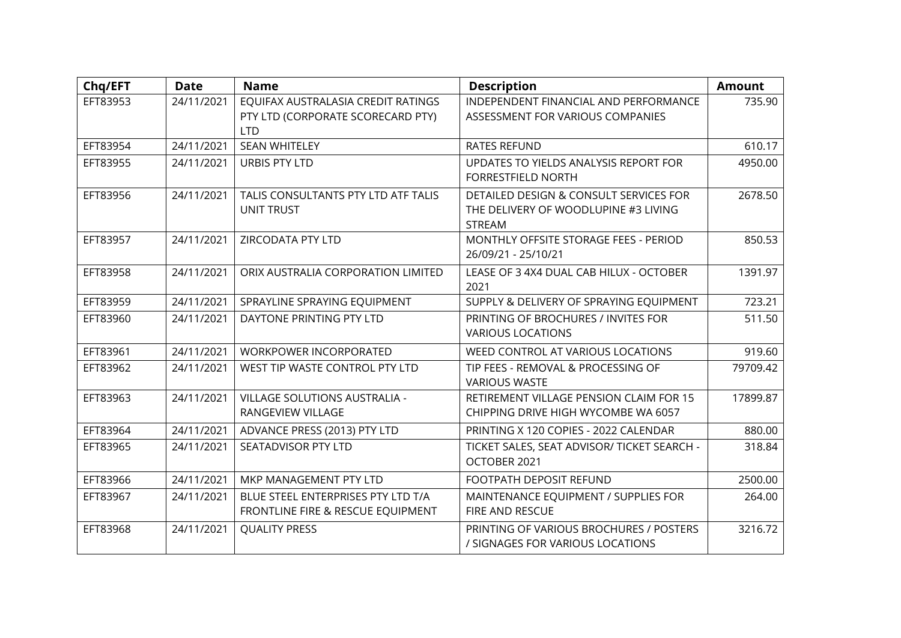| Chq/EFT  | <b>Date</b> | <b>Name</b>                                                                           | <b>Description</b>                                                                              | <b>Amount</b> |
|----------|-------------|---------------------------------------------------------------------------------------|-------------------------------------------------------------------------------------------------|---------------|
| EFT83953 | 24/11/2021  | EQUIFAX AUSTRALASIA CREDIT RATINGS<br>PTY LTD (CORPORATE SCORECARD PTY)<br><b>LTD</b> | INDEPENDENT FINANCIAL AND PERFORMANCE<br>ASSESSMENT FOR VARIOUS COMPANIES                       | 735.90        |
| EFT83954 | 24/11/2021  | <b>SEAN WHITELEY</b>                                                                  | <b>RATES REFUND</b>                                                                             | 610.17        |
| EFT83955 | 24/11/2021  | <b>URBIS PTY LTD</b>                                                                  | UPDATES TO YIELDS ANALYSIS REPORT FOR<br><b>FORRESTFIELD NORTH</b>                              | 4950.00       |
| EFT83956 | 24/11/2021  | TALIS CONSULTANTS PTY LTD ATF TALIS<br><b>UNIT TRUST</b>                              | DETAILED DESIGN & CONSULT SERVICES FOR<br>THE DELIVERY OF WOODLUPINE #3 LIVING<br><b>STREAM</b> | 2678.50       |
| EFT83957 | 24/11/2021  | ZIRCODATA PTY LTD                                                                     | MONTHLY OFFSITE STORAGE FEES - PERIOD<br>26/09/21 - 25/10/21                                    | 850.53        |
| EFT83958 | 24/11/2021  | ORIX AUSTRALIA CORPORATION LIMITED                                                    | LEASE OF 3 4X4 DUAL CAB HILUX - OCTOBER<br>2021                                                 | 1391.97       |
| EFT83959 | 24/11/2021  | SPRAYLINE SPRAYING EQUIPMENT                                                          | SUPPLY & DELIVERY OF SPRAYING EQUIPMENT                                                         | 723.21        |
| EFT83960 | 24/11/2021  | DAYTONE PRINTING PTY LTD                                                              | PRINTING OF BROCHURES / INVITES FOR<br><b>VARIOUS LOCATIONS</b>                                 | 511.50        |
| EFT83961 | 24/11/2021  | <b>WORKPOWER INCORPORATED</b>                                                         | WEED CONTROL AT VARIOUS LOCATIONS                                                               | 919.60        |
| EFT83962 | 24/11/2021  | WEST TIP WASTE CONTROL PTY LTD                                                        | TIP FEES - REMOVAL & PROCESSING OF<br><b>VARIOUS WASTE</b>                                      | 79709.42      |
| EFT83963 | 24/11/2021  | VILLAGE SOLUTIONS AUSTRALIA -<br>RANGEVIEW VILLAGE                                    | RETIREMENT VILLAGE PENSION CLAIM FOR 15<br>CHIPPING DRIVE HIGH WYCOMBE WA 6057                  | 17899.87      |
| EFT83964 | 24/11/2021  | ADVANCE PRESS (2013) PTY LTD                                                          | PRINTING X 120 COPIES - 2022 CALENDAR                                                           | 880.00        |
| EFT83965 | 24/11/2021  | <b>SEATADVISOR PTY LTD</b>                                                            | TICKET SALES, SEAT ADVISOR/ TICKET SEARCH -<br>OCTOBER 2021                                     | 318.84        |
| EFT83966 | 24/11/2021  | MKP MANAGEMENT PTY LTD                                                                | FOOTPATH DEPOSIT REFUND                                                                         | 2500.00       |
| EFT83967 | 24/11/2021  | BLUE STEEL ENTERPRISES PTY LTD T/A<br>FRONTLINE FIRE & RESCUE EQUIPMENT               | MAINTENANCE EQUIPMENT / SUPPLIES FOR<br>FIRE AND RESCUE                                         | 264.00        |
| EFT83968 | 24/11/2021  | <b>QUALITY PRESS</b>                                                                  | PRINTING OF VARIOUS BROCHURES / POSTERS<br>/ SIGNAGES FOR VARIOUS LOCATIONS                     | 3216.72       |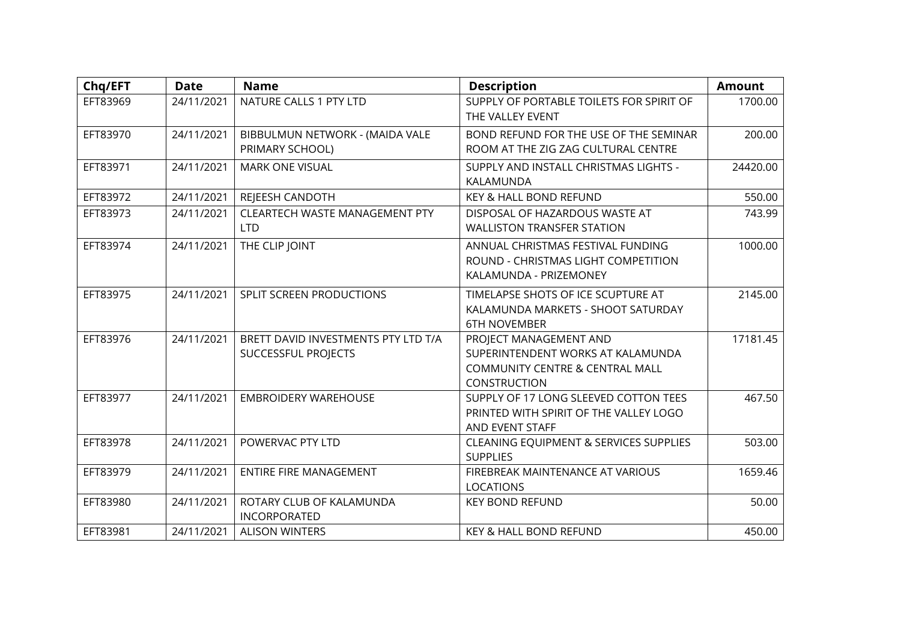| Chq/EFT  | <b>Date</b> | <b>Name</b>                                                | <b>Description</b>                                                                                                        | <b>Amount</b> |
|----------|-------------|------------------------------------------------------------|---------------------------------------------------------------------------------------------------------------------------|---------------|
| EFT83969 | 24/11/2021  | NATURE CALLS 1 PTY LTD                                     | SUPPLY OF PORTABLE TOILETS FOR SPIRIT OF<br>THE VALLEY EVENT                                                              | 1700.00       |
| EFT83970 | 24/11/2021  | BIBBULMUN NETWORK - (MAIDA VALE<br>PRIMARY SCHOOL)         | BOND REFUND FOR THE USE OF THE SEMINAR<br>ROOM AT THE ZIG ZAG CULTURAL CENTRE                                             | 200.00        |
| EFT83971 | 24/11/2021  | <b>MARK ONE VISUAL</b>                                     | SUPPLY AND INSTALL CHRISTMAS LIGHTS -<br>KALAMUNDA                                                                        | 24420.00      |
| EFT83972 | 24/11/2021  | REJEESH CANDOTH                                            | KEY & HALL BOND REFUND                                                                                                    | 550.00        |
| EFT83973 | 24/11/2021  | <b>CLEARTECH WASTE MANAGEMENT PTY</b><br><b>LTD</b>        | DISPOSAL OF HAZARDOUS WASTE AT<br><b>WALLISTON TRANSFER STATION</b>                                                       | 743.99        |
| EFT83974 | 24/11/2021  | THE CLIP JOINT                                             | ANNUAL CHRISTMAS FESTIVAL FUNDING<br>ROUND - CHRISTMAS LIGHT COMPETITION<br>KALAMUNDA - PRIZEMONEY                        | 1000.00       |
| EFT83975 | 24/11/2021  | SPLIT SCREEN PRODUCTIONS                                   | TIMELAPSE SHOTS OF ICE SCUPTURE AT<br>KALAMUNDA MARKETS - SHOOT SATURDAY<br><b>6TH NOVEMBER</b>                           | 2145.00       |
| EFT83976 | 24/11/2021  | BRETT DAVID INVESTMENTS PTY LTD T/A<br>SUCCESSFUL PROJECTS | PROJECT MANAGEMENT AND<br>SUPERINTENDENT WORKS AT KALAMUNDA<br><b>COMMUNITY CENTRE &amp; CENTRAL MALL</b><br>CONSTRUCTION | 17181.45      |
| EFT83977 | 24/11/2021  | <b>EMBROIDERY WAREHOUSE</b>                                | SUPPLY OF 17 LONG SLEEVED COTTON TEES<br>PRINTED WITH SPIRIT OF THE VALLEY LOGO<br>AND EVENT STAFF                        | 467.50        |
| EFT83978 | 24/11/2021  | POWERVAC PTY LTD                                           | CLEANING EQUIPMENT & SERVICES SUPPLIES<br><b>SUPPLIES</b>                                                                 | 503.00        |
| EFT83979 | 24/11/2021  | <b>ENTIRE FIRE MANAGEMENT</b>                              | FIREBREAK MAINTENANCE AT VARIOUS<br><b>LOCATIONS</b>                                                                      | 1659.46       |
| EFT83980 | 24/11/2021  | ROTARY CLUB OF KALAMUNDA<br><b>INCORPORATED</b>            | <b>KEY BOND REFUND</b>                                                                                                    | 50.00         |
| EFT83981 | 24/11/2021  | <b>ALISON WINTERS</b>                                      | <b>KEY &amp; HALL BOND REFUND</b>                                                                                         | 450.00        |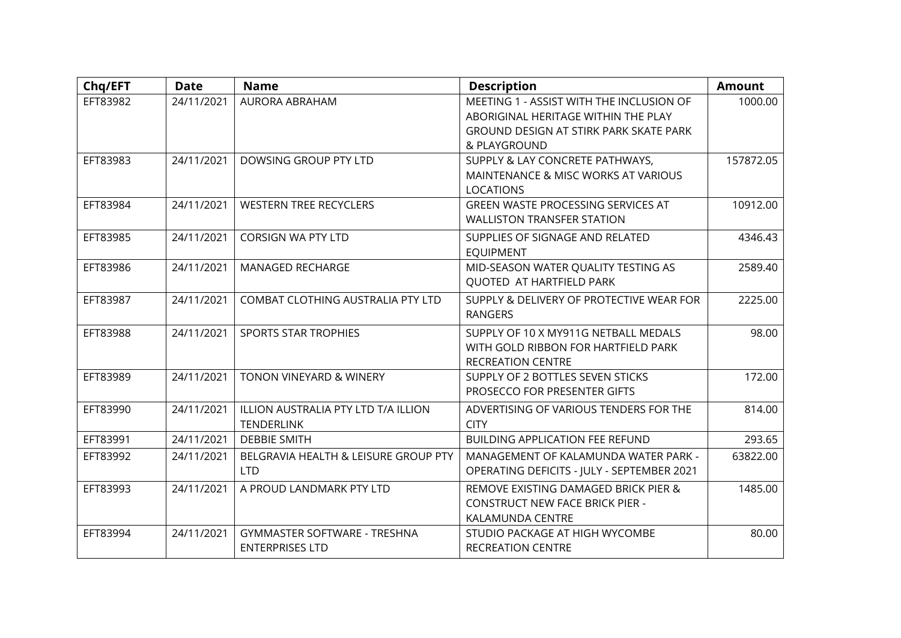| Chq/EFT  | <b>Date</b> | <b>Name</b>                                              | <b>Description</b>                                                                                                                        | <b>Amount</b> |
|----------|-------------|----------------------------------------------------------|-------------------------------------------------------------------------------------------------------------------------------------------|---------------|
| EFT83982 | 24/11/2021  | <b>AURORA ABRAHAM</b>                                    | MEETING 1 - ASSIST WITH THE INCLUSION OF<br>ABORIGINAL HERITAGE WITHIN THE PLAY<br>GROUND DESIGN AT STIRK PARK SKATE PARK<br>& PLAYGROUND | 1000.00       |
| EFT83983 | 24/11/2021  | DOWSING GROUP PTY LTD                                    | SUPPLY & LAY CONCRETE PATHWAYS,<br>MAINTENANCE & MISC WORKS AT VARIOUS<br><b>LOCATIONS</b>                                                | 157872.05     |
| EFT83984 | 24/11/2021  | <b>WESTERN TREE RECYCLERS</b>                            | <b>GREEN WASTE PROCESSING SERVICES AT</b><br><b>WALLISTON TRANSFER STATION</b>                                                            | 10912.00      |
| EFT83985 | 24/11/2021  | <b>CORSIGN WA PTY LTD</b>                                | SUPPLIES OF SIGNAGE AND RELATED<br><b>EQUIPMENT</b>                                                                                       | 4346.43       |
| EFT83986 | 24/11/2021  | MANAGED RECHARGE                                         | MID-SEASON WATER QUALITY TESTING AS<br>QUOTED AT HARTFIELD PARK                                                                           | 2589.40       |
| EFT83987 | 24/11/2021  | COMBAT CLOTHING AUSTRALIA PTY LTD                        | SUPPLY & DELIVERY OF PROTECTIVE WEAR FOR<br><b>RANGERS</b>                                                                                | 2225.00       |
| EFT83988 | 24/11/2021  | <b>SPORTS STAR TROPHIES</b>                              | SUPPLY OF 10 X MY911G NETBALL MEDALS<br>WITH GOLD RIBBON FOR HARTFIELD PARK<br><b>RECREATION CENTRE</b>                                   | 98.00         |
| EFT83989 | 24/11/2021  | TONON VINEYARD & WINERY                                  | SUPPLY OF 2 BOTTLES SEVEN STICKS<br>PROSECCO FOR PRESENTER GIFTS                                                                          | 172.00        |
| EFT83990 | 24/11/2021  | ILLION AUSTRALIA PTY LTD T/A ILLION<br><b>TENDERLINK</b> | ADVERTISING OF VARIOUS TENDERS FOR THE<br><b>CITY</b>                                                                                     | 814.00        |
| EFT83991 | 24/11/2021  | <b>DEBBIE SMITH</b>                                      | <b>BUILDING APPLICATION FEE REFUND</b>                                                                                                    | 293.65        |
| EFT83992 | 24/11/2021  | BELGRAVIA HEALTH & LEISURE GROUP PTY<br><b>LTD</b>       | MANAGEMENT OF KALAMUNDA WATER PARK -<br>OPERATING DEFICITS - JULY - SEPTEMBER 2021                                                        | 63822.00      |
| EFT83993 | 24/11/2021  | A PROUD LANDMARK PTY LTD                                 | REMOVE EXISTING DAMAGED BRICK PIER &<br><b>CONSTRUCT NEW FACE BRICK PIER -</b><br>KALAMUNDA CENTRE                                        | 1485.00       |
| EFT83994 | 24/11/2021  | GYMMASTER SOFTWARE - TRESHNA<br><b>ENTERPRISES LTD</b>   | STUDIO PACKAGE AT HIGH WYCOMBE<br><b>RECREATION CENTRE</b>                                                                                | 80.00         |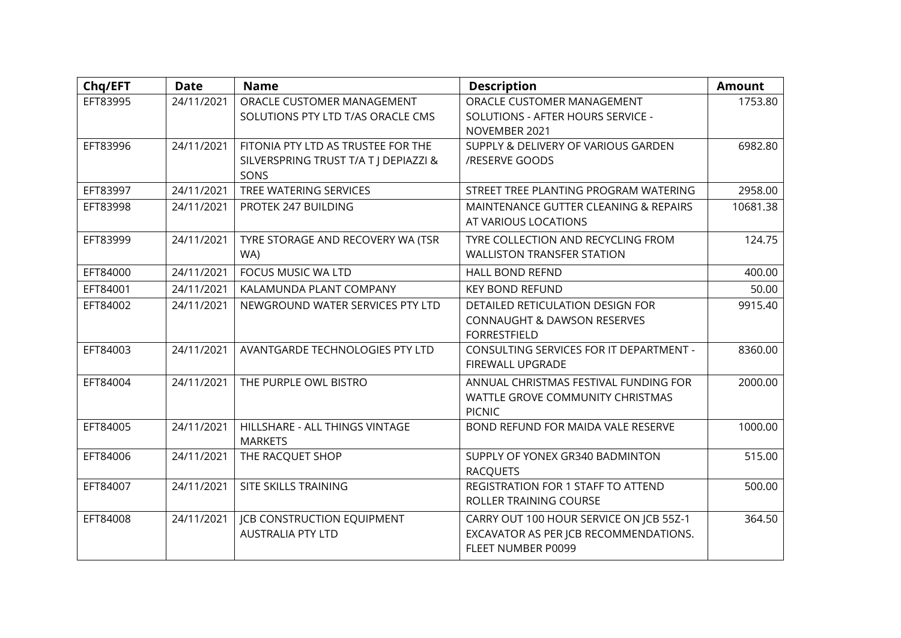| Chq/EFT  | <b>Date</b> | <b>Name</b>                                                                         | <b>Description</b>                                                                                     | <b>Amount</b> |
|----------|-------------|-------------------------------------------------------------------------------------|--------------------------------------------------------------------------------------------------------|---------------|
| EFT83995 | 24/11/2021  | ORACLE CUSTOMER MANAGEMENT<br>SOLUTIONS PTY LTD T/AS ORACLE CMS                     | ORACLE CUSTOMER MANAGEMENT<br>SOLUTIONS - AFTER HOURS SERVICE -<br>NOVEMBER 2021                       | 1753.80       |
| EFT83996 | 24/11/2021  | FITONIA PTY LTD AS TRUSTEE FOR THE<br>SILVERSPRING TRUST T/A T J DEPIAZZI &<br>SONS | SUPPLY & DELIVERY OF VARIOUS GARDEN<br>/RESERVE GOODS                                                  | 6982.80       |
| EFT83997 | 24/11/2021  | TREE WATERING SERVICES                                                              | STREET TREE PLANTING PROGRAM WATERING                                                                  | 2958.00       |
| EFT83998 | 24/11/2021  | PROTEK 247 BUILDING                                                                 | MAINTENANCE GUTTER CLEANING & REPAIRS<br>AT VARIOUS LOCATIONS                                          | 10681.38      |
| EFT83999 | 24/11/2021  | TYRE STORAGE AND RECOVERY WA (TSR<br>WA)                                            | TYRE COLLECTION AND RECYCLING FROM<br><b>WALLISTON TRANSFER STATION</b>                                | 124.75        |
| EFT84000 | 24/11/2021  | <b>FOCUS MUSIC WA LTD</b>                                                           | <b>HALL BOND REFND</b>                                                                                 | 400.00        |
| EFT84001 | 24/11/2021  | KALAMUNDA PLANT COMPANY                                                             | <b>KEY BOND REFUND</b>                                                                                 | 50.00         |
| EFT84002 | 24/11/2021  | NEWGROUND WATER SERVICES PTY LTD                                                    | DETAILED RETICULATION DESIGN FOR<br><b>CONNAUGHT &amp; DAWSON RESERVES</b><br><b>FORRESTFIELD</b>      | 9915.40       |
| EFT84003 | 24/11/2021  | AVANTGARDE TECHNOLOGIES PTY LTD                                                     | CONSULTING SERVICES FOR IT DEPARTMENT -<br>FIREWALL UPGRADE                                            | 8360.00       |
| EFT84004 | 24/11/2021  | THE PURPLE OWL BISTRO                                                               | ANNUAL CHRISTMAS FESTIVAL FUNDING FOR<br>WATTLE GROVE COMMUNITY CHRISTMAS<br><b>PICNIC</b>             | 2000.00       |
| EFT84005 | 24/11/2021  | HILLSHARE - ALL THINGS VINTAGE<br><b>MARKETS</b>                                    | BOND REFUND FOR MAIDA VALE RESERVE                                                                     | 1000.00       |
| EFT84006 | 24/11/2021  | THE RACQUET SHOP                                                                    | SUPPLY OF YONEX GR340 BADMINTON<br><b>RACQUETS</b>                                                     | 515.00        |
| EFT84007 | 24/11/2021  | SITE SKILLS TRAINING                                                                | REGISTRATION FOR 1 STAFF TO ATTEND<br>ROLLER TRAINING COURSE                                           | 500.00        |
| EFT84008 | 24/11/2021  | <b>JCB CONSTRUCTION EQUIPMENT</b><br><b>AUSTRALIA PTY LTD</b>                       | CARRY OUT 100 HOUR SERVICE ON JCB 55Z-1<br>EXCAVATOR AS PER JCB RECOMMENDATIONS.<br>FLEET NUMBER P0099 | 364.50        |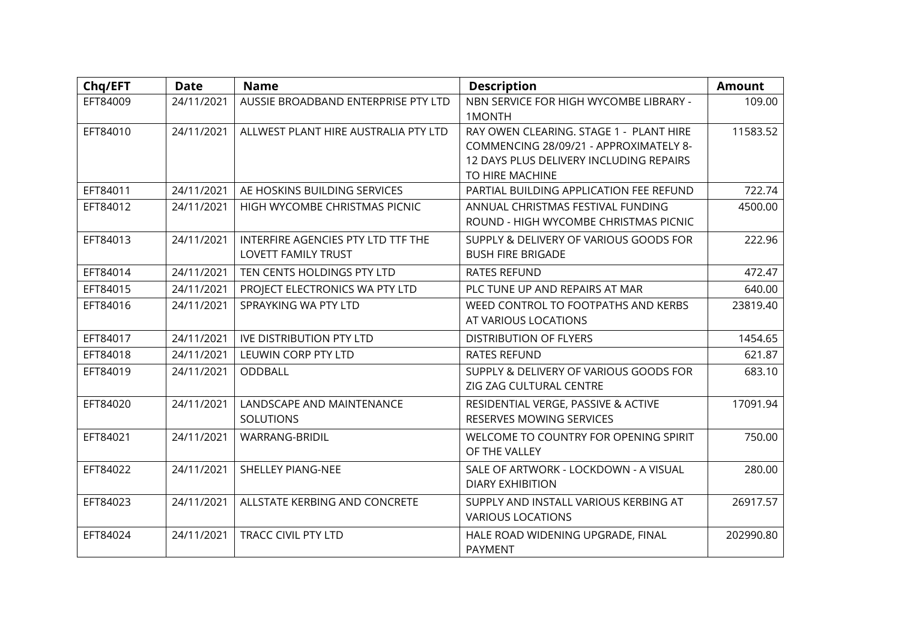| Chq/EFT  | <b>Date</b> | <b>Name</b>                                               | <b>Description</b>                                                                                                                              | <b>Amount</b> |
|----------|-------------|-----------------------------------------------------------|-------------------------------------------------------------------------------------------------------------------------------------------------|---------------|
| EFT84009 | 24/11/2021  | AUSSIE BROADBAND ENTERPRISE PTY LTD                       | NBN SERVICE FOR HIGH WYCOMBE LIBRARY -<br>1MONTH                                                                                                | 109.00        |
| EFT84010 | 24/11/2021  | ALLWEST PLANT HIRE AUSTRALIA PTY LTD                      | RAY OWEN CLEARING. STAGE 1 - PLANT HIRE<br>COMMENCING 28/09/21 - APPROXIMATELY 8-<br>12 DAYS PLUS DELIVERY INCLUDING REPAIRS<br>TO HIRE MACHINE | 11583.52      |
| EFT84011 | 24/11/2021  | AE HOSKINS BUILDING SERVICES                              | PARTIAL BUILDING APPLICATION FEE REFUND                                                                                                         | 722.74        |
| EFT84012 | 24/11/2021  | HIGH WYCOMBE CHRISTMAS PICNIC                             | ANNUAL CHRISTMAS FESTIVAL FUNDING<br>ROUND - HIGH WYCOMBE CHRISTMAS PICNIC                                                                      | 4500.00       |
| EFT84013 | 24/11/2021  | INTERFIRE AGENCIES PTY LTD TTF THE<br>LOVETT FAMILY TRUST | SUPPLY & DELIVERY OF VARIOUS GOODS FOR<br><b>BUSH FIRE BRIGADE</b>                                                                              | 222.96        |
| EFT84014 | 24/11/2021  | TEN CENTS HOLDINGS PTY LTD                                | <b>RATES REFUND</b>                                                                                                                             | 472.47        |
| EFT84015 | 24/11/2021  | PROJECT ELECTRONICS WA PTY LTD                            | PLC TUNE UP AND REPAIRS AT MAR                                                                                                                  | 640.00        |
| EFT84016 | 24/11/2021  | SPRAYKING WA PTY LTD                                      | WEED CONTROL TO FOOTPATHS AND KERBS<br>AT VARIOUS LOCATIONS                                                                                     | 23819.40      |
| EFT84017 | 24/11/2021  | <b>IVE DISTRIBUTION PTY LTD</b>                           | <b>DISTRIBUTION OF FLYERS</b>                                                                                                                   | 1454.65       |
| EFT84018 | 24/11/2021  | LEUWIN CORP PTY LTD                                       | <b>RATES REFUND</b>                                                                                                                             | 621.87        |
| EFT84019 | 24/11/2021  | ODDBALL                                                   | SUPPLY & DELIVERY OF VARIOUS GOODS FOR<br>ZIG ZAG CULTURAL CENTRE                                                                               | 683.10        |
| EFT84020 | 24/11/2021  | LANDSCAPE AND MAINTENANCE<br><b>SOLUTIONS</b>             | RESIDENTIAL VERGE, PASSIVE & ACTIVE<br>RESERVES MOWING SERVICES                                                                                 | 17091.94      |
| EFT84021 | 24/11/2021  | <b>WARRANG-BRIDIL</b>                                     | WELCOME TO COUNTRY FOR OPENING SPIRIT<br>OF THE VALLEY                                                                                          | 750.00        |
| EFT84022 | 24/11/2021  | <b>SHELLEY PIANG-NEE</b>                                  | SALE OF ARTWORK - LOCKDOWN - A VISUAL<br><b>DIARY EXHIBITION</b>                                                                                | 280.00        |
| EFT84023 | 24/11/2021  | ALLSTATE KERBING AND CONCRETE                             | SUPPLY AND INSTALL VARIOUS KERBING AT<br><b>VARIOUS LOCATIONS</b>                                                                               | 26917.57      |
| EFT84024 | 24/11/2021  | <b>TRACC CIVIL PTY LTD</b>                                | HALE ROAD WIDENING UPGRADE, FINAL<br><b>PAYMENT</b>                                                                                             | 202990.80     |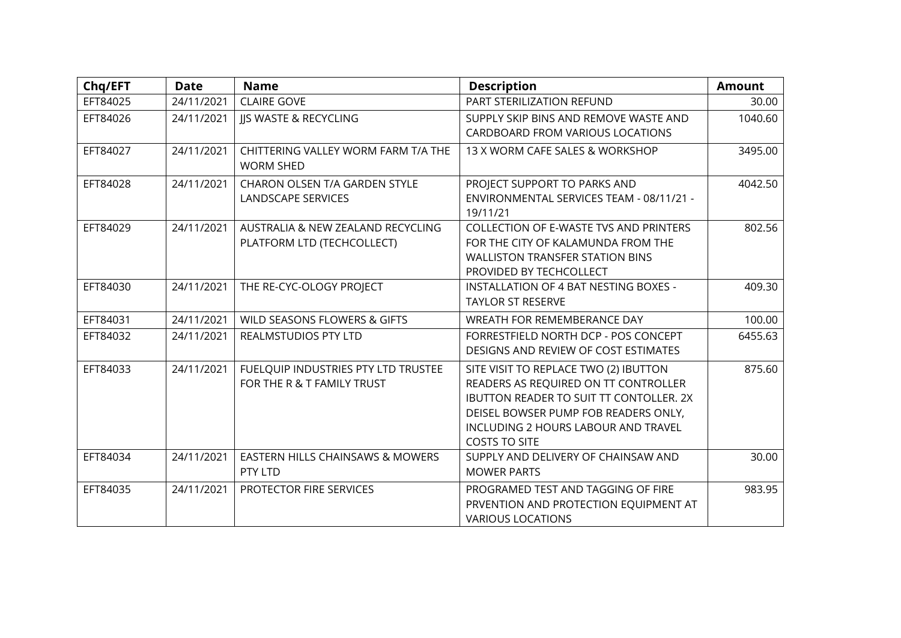| Chq/EFT  | <b>Date</b> | <b>Name</b>                                             | <b>Description</b>                                          | <b>Amount</b> |
|----------|-------------|---------------------------------------------------------|-------------------------------------------------------------|---------------|
| EFT84025 | 24/11/2021  | <b>CLAIRE GOVE</b>                                      | PART STERILIZATION REFUND                                   | 30.00         |
| EFT84026 | 24/11/2021  | <b>JIS WASTE &amp; RECYCLING</b>                        | SUPPLY SKIP BINS AND REMOVE WASTE AND                       | 1040.60       |
|          |             |                                                         | CARDBOARD FROM VARIOUS LOCATIONS                            |               |
| EFT84027 | 24/11/2021  | CHITTERING VALLEY WORM FARM T/A THE<br><b>WORM SHED</b> | 13 X WORM CAFE SALES & WORKSHOP                             | 3495.00       |
| EFT84028 | 24/11/2021  | CHARON OLSEN T/A GARDEN STYLE                           | PROJECT SUPPORT TO PARKS AND                                | 4042.50       |
|          |             | LANDSCAPE SERVICES                                      | ENVIRONMENTAL SERVICES TEAM - 08/11/21 -<br>19/11/21        |               |
| EFT84029 | 24/11/2021  | AUSTRALIA & NEW ZEALAND RECYCLING                       | <b>COLLECTION OF E-WASTE TVS AND PRINTERS</b>               | 802.56        |
|          |             | PLATFORM LTD (TECHCOLLECT)                              | FOR THE CITY OF KALAMUNDA FROM THE                          |               |
|          |             |                                                         | <b>WALLISTON TRANSFER STATION BINS</b>                      |               |
|          |             |                                                         | PROVIDED BY TECHCOLLECT                                     |               |
| EFT84030 | 24/11/2021  | THE RE-CYC-OLOGY PROJECT                                | INSTALLATION OF 4 BAT NESTING BOXES -                       | 409.30        |
|          |             |                                                         | <b>TAYLOR ST RESERVE</b>                                    |               |
| EFT84031 | 24/11/2021  | WILD SEASONS FLOWERS & GIFTS                            | WREATH FOR REMEMBERANCE DAY                                 | 100.00        |
| EFT84032 | 24/11/2021  | REALMSTUDIOS PTY LTD                                    | FORRESTFIELD NORTH DCP - POS CONCEPT                        | 6455.63       |
|          |             |                                                         | DESIGNS AND REVIEW OF COST ESTIMATES                        |               |
| EFT84033 | 24/11/2021  | FUELQUIP INDUSTRIES PTY LTD TRUSTEE                     | SITE VISIT TO REPLACE TWO (2) IBUTTON                       | 875.60        |
|          |             | FOR THE R & T FAMILY TRUST                              | READERS AS REQUIRED ON TT CONTROLLER                        |               |
|          |             |                                                         | IBUTTON READER TO SUIT TT CONTOLLER, 2X                     |               |
|          |             |                                                         | DEISEL BOWSER PUMP FOB READERS ONLY,                        |               |
|          |             |                                                         | INCLUDING 2 HOURS LABOUR AND TRAVEL<br><b>COSTS TO SITE</b> |               |
| EFT84034 | 24/11/2021  | EASTERN HILLS CHAINSAWS & MOWERS                        | SUPPLY AND DELIVERY OF CHAINSAW AND                         | 30.00         |
|          |             | PTY LTD                                                 | <b>MOWER PARTS</b>                                          |               |
| EFT84035 | 24/11/2021  | PROTECTOR FIRE SERVICES                                 | PROGRAMED TEST AND TAGGING OF FIRE                          | 983.95        |
|          |             |                                                         | PRVENTION AND PROTECTION EQUIPMENT AT                       |               |
|          |             |                                                         | <b>VARIOUS LOCATIONS</b>                                    |               |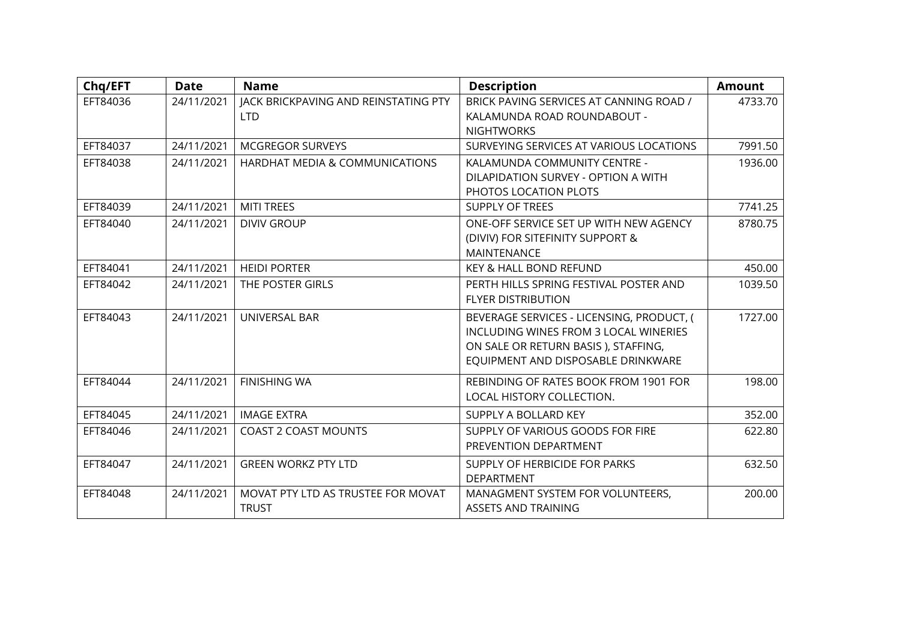| Chq/EFT  | <b>Date</b> | <b>Name</b>                               | <b>Description</b>                        | <b>Amount</b> |
|----------|-------------|-------------------------------------------|-------------------------------------------|---------------|
| EFT84036 | 24/11/2021  | JACK BRICKPAVING AND REINSTATING PTY      | BRICK PAVING SERVICES AT CANNING ROAD /   | 4733.70       |
|          |             | <b>LTD</b>                                | KALAMUNDA ROAD ROUNDABOUT -               |               |
|          |             |                                           | <b>NIGHTWORKS</b>                         |               |
| EFT84037 | 24/11/2021  | <b>MCGREGOR SURVEYS</b>                   | SURVEYING SERVICES AT VARIOUS LOCATIONS   | 7991.50       |
| EFT84038 | 24/11/2021  | <b>HARDHAT MEDIA &amp; COMMUNICATIONS</b> | KALAMUNDA COMMUNITY CENTRE -              | 1936.00       |
|          |             |                                           | DILAPIDATION SURVEY - OPTION A WITH       |               |
|          |             |                                           | PHOTOS LOCATION PLOTS                     |               |
| EFT84039 | 24/11/2021  | <b>MITI TREES</b>                         | <b>SUPPLY OF TREES</b>                    | 7741.25       |
| EFT84040 | 24/11/2021  | <b>DIVIV GROUP</b>                        | ONE-OFF SERVICE SET UP WITH NEW AGENCY    | 8780.75       |
|          |             |                                           | (DIVIV) FOR SITEFINITY SUPPORT &          |               |
|          |             |                                           | MAINTENANCE                               |               |
| EFT84041 | 24/11/2021  | <b>HEIDI PORTER</b>                       | KEY & HALL BOND REFUND                    | 450.00        |
| EFT84042 | 24/11/2021  | THE POSTER GIRLS                          | PERTH HILLS SPRING FESTIVAL POSTER AND    | 1039.50       |
|          |             |                                           | <b>FLYER DISTRIBUTION</b>                 |               |
| EFT84043 | 24/11/2021  | UNIVERSAL BAR                             | BEVERAGE SERVICES - LICENSING, PRODUCT, ( | 1727.00       |
|          |             |                                           | INCLUDING WINES FROM 3 LOCAL WINERIES     |               |
|          |             |                                           | ON SALE OR RETURN BASIS ), STAFFING,      |               |
|          |             |                                           | EQUIPMENT AND DISPOSABLE DRINKWARE        |               |
| EFT84044 | 24/11/2021  | <b>FINISHING WA</b>                       | REBINDING OF RATES BOOK FROM 1901 FOR     | 198.00        |
|          |             |                                           | LOCAL HISTORY COLLECTION.                 |               |
| EFT84045 | 24/11/2021  | <b>IMAGE EXTRA</b>                        | SUPPLY A BOLLARD KEY                      | 352.00        |
| EFT84046 | 24/11/2021  | <b>COAST 2 COAST MOUNTS</b>               | SUPPLY OF VARIOUS GOODS FOR FIRE          | 622.80        |
|          |             |                                           | PREVENTION DEPARTMENT                     |               |
| EFT84047 | 24/11/2021  | <b>GREEN WORKZ PTY LTD</b>                | SUPPLY OF HERBICIDE FOR PARKS             | 632.50        |
|          |             |                                           | <b>DEPARTMENT</b>                         |               |
| EFT84048 | 24/11/2021  | MOVAT PTY LTD AS TRUSTEE FOR MOVAT        | MANAGMENT SYSTEM FOR VOLUNTEERS,          | 200.00        |
|          |             | <b>TRUST</b>                              | <b>ASSETS AND TRAINING</b>                |               |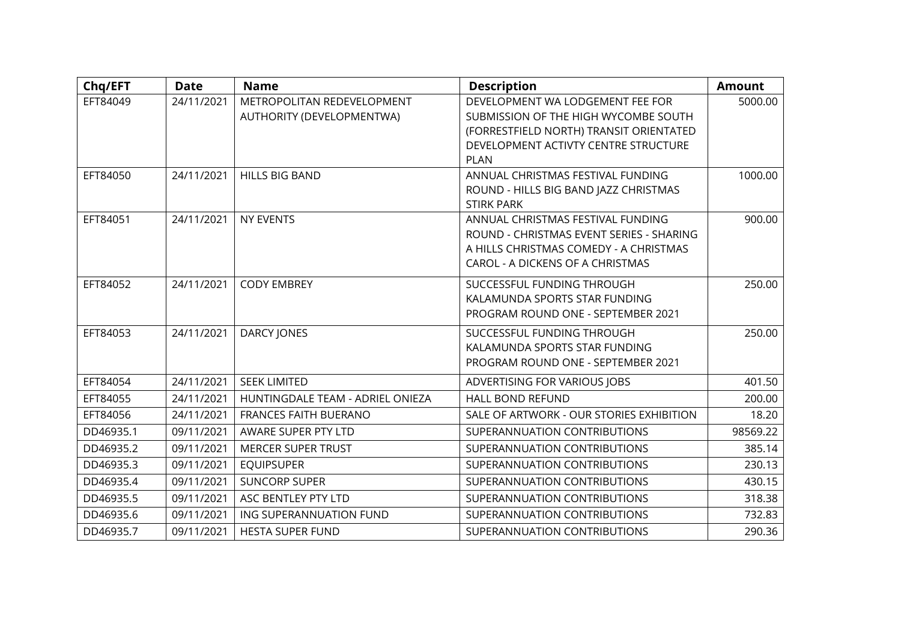| Chq/EFT   | <b>Date</b> | <b>Name</b>                      | <b>Description</b>                                                            | <b>Amount</b> |
|-----------|-------------|----------------------------------|-------------------------------------------------------------------------------|---------------|
| EFT84049  | 24/11/2021  | METROPOLITAN REDEVELOPMENT       | DEVELOPMENT WA LODGEMENT FEE FOR                                              | 5000.00       |
|           |             | AUTHORITY (DEVELOPMENTWA)        | SUBMISSION OF THE HIGH WYCOMBE SOUTH                                          |               |
|           |             |                                  | (FORRESTFIELD NORTH) TRANSIT ORIENTATED                                       |               |
|           |             |                                  | DEVELOPMENT ACTIVTY CENTRE STRUCTURE                                          |               |
|           |             |                                  | <b>PLAN</b>                                                                   |               |
| EFT84050  | 24/11/2021  | <b>HILLS BIG BAND</b>            | ANNUAL CHRISTMAS FESTIVAL FUNDING                                             | 1000.00       |
|           |             |                                  | ROUND - HILLS BIG BAND JAZZ CHRISTMAS                                         |               |
|           |             |                                  | <b>STIRK PARK</b>                                                             |               |
| EFT84051  | 24/11/2021  | <b>NY EVENTS</b>                 | ANNUAL CHRISTMAS FESTIVAL FUNDING<br>ROUND - CHRISTMAS EVENT SERIES - SHARING | 900.00        |
|           |             |                                  | A HILLS CHRISTMAS COMEDY - A CHRISTMAS                                        |               |
|           |             |                                  | CAROL - A DICKENS OF A CHRISTMAS                                              |               |
|           |             |                                  |                                                                               |               |
| EFT84052  | 24/11/2021  | <b>CODY EMBREY</b>               | SUCCESSFUL FUNDING THROUGH                                                    | 250.00        |
|           |             |                                  | KALAMUNDA SPORTS STAR FUNDING                                                 |               |
|           |             |                                  | PROGRAM ROUND ONE - SEPTEMBER 2021                                            |               |
| EFT84053  | 24/11/2021  | <b>DARCY JONES</b>               | SUCCESSFUL FUNDING THROUGH                                                    | 250.00        |
|           |             |                                  | KALAMUNDA SPORTS STAR FUNDING                                                 |               |
|           |             |                                  | PROGRAM ROUND ONE - SEPTEMBER 2021                                            |               |
| EFT84054  | 24/11/2021  | <b>SEEK LIMITED</b>              | ADVERTISING FOR VARIOUS JOBS                                                  | 401.50        |
| EFT84055  | 24/11/2021  | HUNTINGDALE TEAM - ADRIEL ONIEZA | <b>HALL BOND REFUND</b>                                                       | 200.00        |
| EFT84056  | 24/11/2021  | <b>FRANCES FAITH BUERANO</b>     | SALE OF ARTWORK - OUR STORIES EXHIBITION                                      | 18.20         |
| DD46935.1 | 09/11/2021  | AWARE SUPER PTY LTD              | SUPERANNUATION CONTRIBUTIONS                                                  | 98569.22      |
| DD46935.2 | 09/11/2021  | <b>MERCER SUPER TRUST</b>        | SUPERANNUATION CONTRIBUTIONS                                                  | 385.14        |
| DD46935.3 | 09/11/2021  | <b>EQUIPSUPER</b>                | SUPERANNUATION CONTRIBUTIONS                                                  | 230.13        |
| DD46935.4 | 09/11/2021  | <b>SUNCORP SUPER</b>             | SUPERANNUATION CONTRIBUTIONS                                                  | 430.15        |
| DD46935.5 | 09/11/2021  | ASC BENTLEY PTY LTD              | SUPERANNUATION CONTRIBUTIONS                                                  | 318.38        |
| DD46935.6 | 09/11/2021  | ING SUPERANNUATION FUND          | SUPERANNUATION CONTRIBUTIONS                                                  | 732.83        |
| DD46935.7 | 09/11/2021  | <b>HESTA SUPER FUND</b>          | SUPERANNUATION CONTRIBUTIONS                                                  | 290.36        |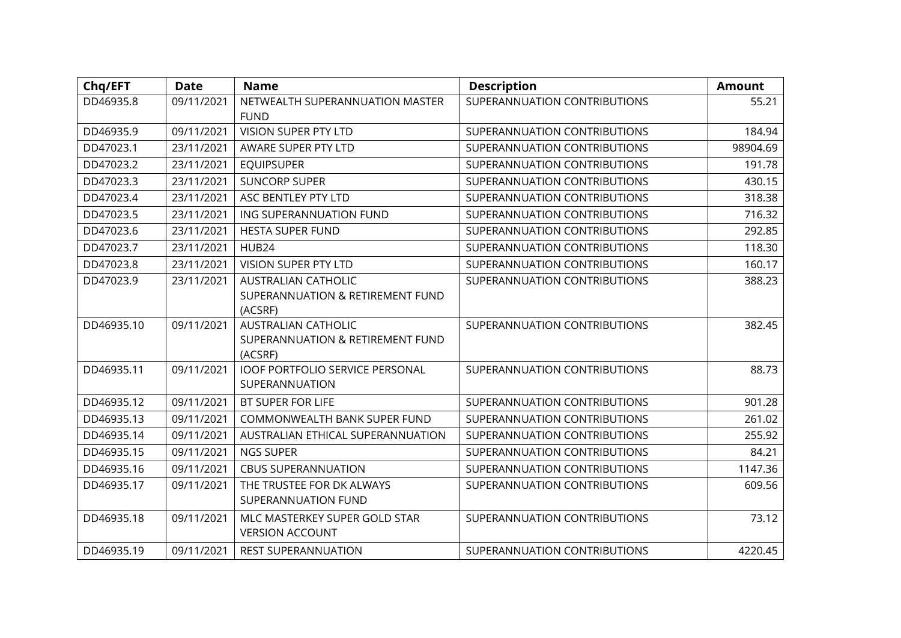| Chq/EFT    | <b>Date</b> | <b>Name</b>                                                               | <b>Description</b>           | <b>Amount</b> |
|------------|-------------|---------------------------------------------------------------------------|------------------------------|---------------|
| DD46935.8  | 09/11/2021  | NETWEALTH SUPERANNUATION MASTER<br><b>FUND</b>                            | SUPERANNUATION CONTRIBUTIONS | 55.21         |
| DD46935.9  | 09/11/2021  | VISION SUPER PTY LTD                                                      | SUPERANNUATION CONTRIBUTIONS | 184.94        |
| DD47023.1  | 23/11/2021  | AWARE SUPER PTY LTD                                                       | SUPERANNUATION CONTRIBUTIONS | 98904.69      |
| DD47023.2  | 23/11/2021  | <b>EQUIPSUPER</b>                                                         | SUPERANNUATION CONTRIBUTIONS | 191.78        |
| DD47023.3  | 23/11/2021  | <b>SUNCORP SUPER</b>                                                      | SUPERANNUATION CONTRIBUTIONS | 430.15        |
| DD47023.4  | 23/11/2021  | ASC BENTLEY PTY LTD                                                       | SUPERANNUATION CONTRIBUTIONS | 318.38        |
| DD47023.5  | 23/11/2021  | ING SUPERANNUATION FUND                                                   | SUPERANNUATION CONTRIBUTIONS | 716.32        |
| DD47023.6  | 23/11/2021  | <b>HESTA SUPER FUND</b>                                                   | SUPERANNUATION CONTRIBUTIONS | 292.85        |
| DD47023.7  | 23/11/2021  | HUB24                                                                     | SUPERANNUATION CONTRIBUTIONS | 118.30        |
| DD47023.8  | 23/11/2021  | <b>VISION SUPER PTY LTD</b>                                               | SUPERANNUATION CONTRIBUTIONS | 160.17        |
| DD47023.9  | 23/11/2021  | <b>AUSTRALIAN CATHOLIC</b><br>SUPERANNUATION & RETIREMENT FUND<br>(ACSRF) | SUPERANNUATION CONTRIBUTIONS | 388.23        |
| DD46935.10 | 09/11/2021  | <b>AUSTRALIAN CATHOLIC</b><br>SUPERANNUATION & RETIREMENT FUND<br>(ACSRF) | SUPERANNUATION CONTRIBUTIONS | 382.45        |
| DD46935.11 | 09/11/2021  | <b>IOOF PORTFOLIO SERVICE PERSONAL</b><br>SUPERANNUATION                  | SUPERANNUATION CONTRIBUTIONS | 88.73         |
| DD46935.12 | 09/11/2021  | BT SUPER FOR LIFE                                                         | SUPERANNUATION CONTRIBUTIONS | 901.28        |
| DD46935.13 | 09/11/2021  | COMMONWEALTH BANK SUPER FUND                                              | SUPERANNUATION CONTRIBUTIONS | 261.02        |
| DD46935.14 | 09/11/2021  | AUSTRALIAN ETHICAL SUPERANNUATION                                         | SUPERANNUATION CONTRIBUTIONS | 255.92        |
| DD46935.15 | 09/11/2021  | <b>NGS SUPER</b>                                                          | SUPERANNUATION CONTRIBUTIONS | 84.21         |
| DD46935.16 | 09/11/2021  | <b>CBUS SUPERANNUATION</b>                                                | SUPERANNUATION CONTRIBUTIONS | 1147.36       |
| DD46935.17 | 09/11/2021  | THE TRUSTEE FOR DK ALWAYS<br>SUPERANNUATION FUND                          | SUPERANNUATION CONTRIBUTIONS | 609.56        |
| DD46935.18 | 09/11/2021  | MLC MASTERKEY SUPER GOLD STAR<br><b>VERSION ACCOUNT</b>                   | SUPERANNUATION CONTRIBUTIONS | 73.12         |
| DD46935.19 | 09/11/2021  | <b>REST SUPERANNUATION</b>                                                | SUPERANNUATION CONTRIBUTIONS | 4220.45       |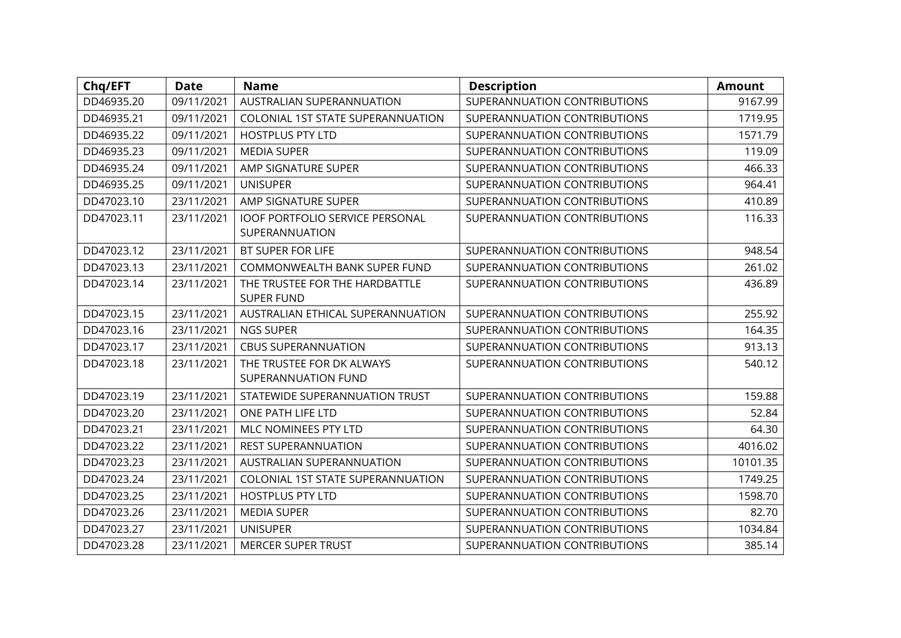| Chq/EFT    | <b>Date</b> | <b>Name</b>                                              | <b>Description</b>           | <b>Amount</b> |
|------------|-------------|----------------------------------------------------------|------------------------------|---------------|
| DD46935.20 | 09/11/2021  | AUSTRALIAN SUPERANNUATION                                | SUPERANNUATION CONTRIBUTIONS | 9167.99       |
| DD46935.21 | 09/11/2021  | COLONIAL 1ST STATE SUPERANNUATION                        | SUPERANNUATION CONTRIBUTIONS | 1719.95       |
| DD46935.22 | 09/11/2021  | <b>HOSTPLUS PTY LTD</b>                                  | SUPERANNUATION CONTRIBUTIONS | 1571.79       |
| DD46935.23 | 09/11/2021  | <b>MEDIA SUPER</b>                                       | SUPERANNUATION CONTRIBUTIONS | 119.09        |
| DD46935.24 | 09/11/2021  | AMP SIGNATURE SUPER                                      | SUPERANNUATION CONTRIBUTIONS | 466.33        |
| DD46935.25 | 09/11/2021  | <b>UNISUPER</b>                                          | SUPERANNUATION CONTRIBUTIONS | 964.41        |
| DD47023.10 | 23/11/2021  | AMP SIGNATURE SUPER                                      | SUPERANNUATION CONTRIBUTIONS | 410.89        |
| DD47023.11 | 23/11/2021  | <b>IOOF PORTFOLIO SERVICE PERSONAL</b><br>SUPERANNUATION | SUPERANNUATION CONTRIBUTIONS | 116.33        |
| DD47023.12 | 23/11/2021  | BT SUPER FOR LIFE                                        | SUPERANNUATION CONTRIBUTIONS | 948.54        |
| DD47023.13 | 23/11/2021  | COMMONWEALTH BANK SUPER FUND                             | SUPERANNUATION CONTRIBUTIONS | 261.02        |
| DD47023.14 | 23/11/2021  | THE TRUSTEE FOR THE HARDBATTLE<br><b>SUPER FUND</b>      | SUPERANNUATION CONTRIBUTIONS | 436.89        |
| DD47023.15 | 23/11/2021  | AUSTRALIAN ETHICAL SUPERANNUATION                        | SUPERANNUATION CONTRIBUTIONS | 255.92        |
| DD47023.16 | 23/11/2021  | NGS SUPER                                                | SUPERANNUATION CONTRIBUTIONS | 164.35        |
| DD47023.17 | 23/11/2021  | <b>CBUS SUPERANNUATION</b>                               | SUPERANNUATION CONTRIBUTIONS | 913.13        |
| DD47023.18 | 23/11/2021  | THE TRUSTEE FOR DK ALWAYS<br>SUPERANNUATION FUND         | SUPERANNUATION CONTRIBUTIONS | 540.12        |
| DD47023.19 | 23/11/2021  | STATEWIDE SUPERANNUATION TRUST                           | SUPERANNUATION CONTRIBUTIONS | 159.88        |
| DD47023.20 | 23/11/2021  | ONE PATH LIFE LTD                                        | SUPERANNUATION CONTRIBUTIONS | 52.84         |
| DD47023.21 | 23/11/2021  | MLC NOMINEES PTY LTD                                     | SUPERANNUATION CONTRIBUTIONS | 64.30         |
| DD47023.22 | 23/11/2021  | <b>REST SUPERANNUATION</b>                               | SUPERANNUATION CONTRIBUTIONS | 4016.02       |
| DD47023.23 | 23/11/2021  | AUSTRALIAN SUPERANNUATION                                | SUPERANNUATION CONTRIBUTIONS | 10101.35      |
| DD47023.24 | 23/11/2021  | COLONIAL 1ST STATE SUPERANNUATION                        | SUPERANNUATION CONTRIBUTIONS | 1749.25       |
| DD47023.25 | 23/11/2021  | <b>HOSTPLUS PTY LTD</b>                                  | SUPERANNUATION CONTRIBUTIONS | 1598.70       |
| DD47023.26 | 23/11/2021  | <b>MEDIA SUPER</b>                                       | SUPERANNUATION CONTRIBUTIONS | 82.70         |
| DD47023.27 | 23/11/2021  | <b>UNISUPER</b>                                          | SUPERANNUATION CONTRIBUTIONS | 1034.84       |
| DD47023.28 | 23/11/2021  | <b>MERCER SUPER TRUST</b>                                | SUPERANNUATION CONTRIBUTIONS | 385.14        |